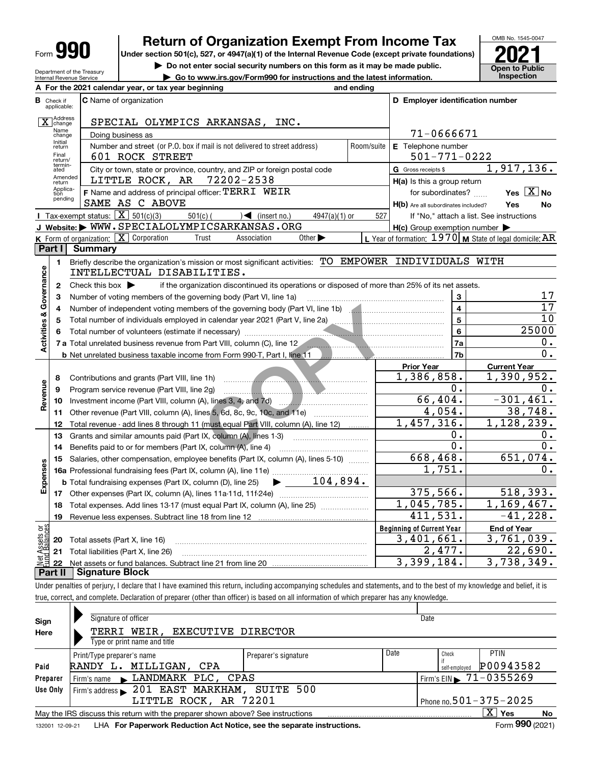| Form |  |
|------|--|
|------|--|

Department of the Treasury Internal Revenue Service

# **Return of Organization Exempt From Income Tax**

Under section 501(c), 527, or 4947(a)(1) of the Internal Revenue Code (except private foundations) **2021** 

**| Do not enter social security numbers on this form as it may be made public.**

**| Go to www.irs.gov/Form990 for instructions and the latest information. Inspection**



|                         |                         | A For the 2021 calendar year, or tax year beginning                                                                                     | and ending         |                                                     |                                                           |
|-------------------------|-------------------------|-----------------------------------------------------------------------------------------------------------------------------------------|--------------------|-----------------------------------------------------|-----------------------------------------------------------|
| в                       | Check if<br>applicable: | <b>C</b> Name of organization                                                                                                           |                    | D Employer identification number                    |                                                           |
|                         | Address<br>change       | SPECIAL OLYMPICS ARKANSAS, INC.                                                                                                         |                    |                                                     |                                                           |
|                         | Name<br>change          | Doing business as                                                                                                                       |                    | 71-0666671                                          |                                                           |
|                         | Initial<br>return       | Number and street (or P.O. box if mail is not delivered to street address)<br>Room/suite                                                | E Telephone number |                                                     |                                                           |
|                         | Final<br>return/        | 601 ROCK STREET                                                                                                                         | $501 - 771 - 0222$ |                                                     |                                                           |
|                         | termin-<br>ated         | City or town, state or province, country, and ZIP or foreign postal code                                                                |                    | G Gross receipts \$                                 | 1,917,136.                                                |
|                         | Amended<br>return       | LITTLE ROCK, AR 72202-2538                                                                                                              |                    | $H(a)$ is this a group return                       |                                                           |
|                         | Applica-<br>tion        | F Name and address of principal officer: TERRI WEIR                                                                                     |                    | for subordinates?                                   | Yes $X$ No                                                |
|                         | pending                 | SAME AS C ABOVE                                                                                                                         |                    | H(b) Are all subordinates included?                 | Yes<br>No                                                 |
|                         |                         | <b>I</b> Tax-exempt status: $\overline{X}$ 501(c)(3)<br>$501(c)$ (<br>$\sqrt{\frac{1}{1}}$ (insert no.)<br>$4947(a)(1)$ or              | 527                |                                                     | If "No," attach a list. See instructions                  |
|                         |                         | J Website: WWW.SPECIALOLYMPICSARKANSAS.ORG                                                                                              |                    | $H(c)$ Group exemption number $\blacktriangleright$ |                                                           |
|                         |                         | K Form of organization: $X$ Corporation<br>Trust<br>Association<br>Other $\blacktriangleright$                                          |                    |                                                     | L Year of formation: $1970$ M State of legal domicile: AR |
|                         | Part I                  | <b>Summary</b>                                                                                                                          |                    |                                                     |                                                           |
|                         | 1.                      | Briefly describe the organization's mission or most significant activities: TO EMPOWER INDIVIDUALS WITH                                 |                    |                                                     |                                                           |
|                         |                         | INTELLECTUAL DISABILITIES.                                                                                                              |                    |                                                     |                                                           |
| Activities & Governance | $\mathbf{2}$            | Check this box $\blacktriangleright$<br>if the organization discontinued its operations or disposed of more than 25% of its net assets. |                    |                                                     |                                                           |
|                         | 3                       | Number of voting members of the governing body (Part VI, line 1a)                                                                       |                    | 3                                                   | 17                                                        |
|                         | 4                       | Number of independent voting members of the governing body (Part VI, line 1b) [100]                                                     |                    | $\overline{\mathbf{4}}$                             | 17                                                        |
|                         | 5                       | Total number of individuals employed in calendar year 2021 (Part V, line 2a) _________________________________                          |                    | 5                                                   | 10                                                        |
|                         | 6                       |                                                                                                                                         |                    | 6                                                   | 25000                                                     |
|                         |                         | 7 a Total unrelated business revenue from Part VIII, column (C), line 12                                                                |                    | 7a                                                  | 0.                                                        |
|                         |                         | <b>b</b> Net unrelated business taxable income from Form 990-T, Part I, line 11                                                         |                    | 7b                                                  | $\overline{0}$ .                                          |
|                         |                         |                                                                                                                                         |                    | <b>Prior Year</b>                                   | <b>Current Year</b>                                       |
|                         | 8                       | Contributions and grants (Part VIII, line 1h)                                                                                           |                    | 1,386,858.                                          | 1,390,952.                                                |
| Revenue                 | 9                       | Program service revenue (Part VIII, line 2g)                                                                                            |                    | 0.                                                  | О.                                                        |
|                         | 10                      |                                                                                                                                         |                    | 66,404.                                             | $-301, 461.$                                              |
|                         | 11                      |                                                                                                                                         |                    | 4,054.                                              | 38,748.                                                   |
|                         | 12                      | Total revenue - add lines 8 through 11 (must equal Part VIII, column (A), line 12)                                                      |                    | 1,457,316.                                          | $\overline{1}$ , 128, 239.                                |
|                         | 13                      | Grants and similar amounts paid (Part IX, column (A), lines 1-3)                                                                        |                    | 0.<br>$\overline{0}$ .                              | Ο.<br>0.                                                  |
|                         | 14                      | Benefits paid to or for members (Part IX, column (A), line 4)                                                                           |                    |                                                     |                                                           |
|                         | 15                      | Salaries, other compensation, employee benefits (Part IX, column (A), lines 5-10)                                                       |                    | 668,468.<br>1,751.                                  | 651,074.<br>Ο.                                            |
|                         |                         |                                                                                                                                         |                    |                                                     |                                                           |
| Expenses                |                         | 104,894.<br><b>b</b> Total fundraising expenses (Part IX, column (D), line 25)<br>$\blacktriangleright$ and $\blacktriangleright$       |                    | 375,566.                                            |                                                           |
|                         |                         |                                                                                                                                         |                    |                                                     | 518,393.                                                  |
|                         | 18                      | Total expenses. Add lines 13-17 (must equal Part IX, column (A), line 25)                                                               |                    | 1,045,785.                                          | $\overline{1,169,467}$ .                                  |
|                         | 19                      |                                                                                                                                         |                    | $\overline{4}$ 11,531.                              | $-41,228.$                                                |
| ទង្វី                   |                         |                                                                                                                                         |                    | <b>Beginning of Current Year</b>                    | <b>End of Year</b>                                        |
| : Assets<br>d.Balanc    | 20                      | Total assets (Part X, line 16)                                                                                                          |                    | 3,401,661.                                          | 3,761,039.                                                |
|                         | 21                      | Total liabilities (Part X, line 26)                                                                                                     |                    | 2,477.                                              | 22,690.                                                   |
|                         | 22                      |                                                                                                                                         |                    | 3,399,184.                                          | 3,738,349.                                                |
|                         |                         | <b>Part II   Signature Block</b>                                                                                                        |                    |                                                     |                                                           |

Under penalties of perjury, I declare that I have examined this return, including accompanying schedules and statements, and to the best of my knowledge and belief, it is true, correct, and complete. Declaration of preparer (other than officer) is based on all information of which preparer has any knowledge.

| Sign     | Signature of officer                                                                                                        |                      |      | Date                                   |           |  |  |  |
|----------|-----------------------------------------------------------------------------------------------------------------------------|----------------------|------|----------------------------------------|-----------|--|--|--|
| Here     | TERRI WEIR, EXECUTIVE DIRECTOR                                                                                              |                      |      |                                        |           |  |  |  |
|          | Type or print name and title                                                                                                |                      |      |                                        |           |  |  |  |
|          | Print/Type preparer's name                                                                                                  | Preparer's signature | Date | Check                                  | PTIN      |  |  |  |
| Paid     | RANDY L. MILLIGAN, CPA                                                                                                      |                      |      | self-emploved                          | P00943582 |  |  |  |
| Preparer | Firm's name LANDMARK PLC, CPAS                                                                                              |                      |      | Firm's EIN $\triangleright$ 71-0355269 |           |  |  |  |
| Use Only | Firm's address 201 EAST MARKHAM, SUITE 500                                                                                  |                      |      |                                        |           |  |  |  |
|          | LITTLE ROCK, AR 72201                                                                                                       |                      |      | Phone no. 501 - 375 - 2025             |           |  |  |  |
|          | $\overline{\mathrm{X}}$ Yes<br><b>No</b><br>May the IRS discuss this return with the preparer shown above? See instructions |                      |      |                                        |           |  |  |  |
|          | Form 990 (2021)<br>LHA For Paperwork Reduction Act Notice, see the separate instructions.<br>132001 12-09-21                |                      |      |                                        |           |  |  |  |
|          |                                                                                                                             |                      |      |                                        |           |  |  |  |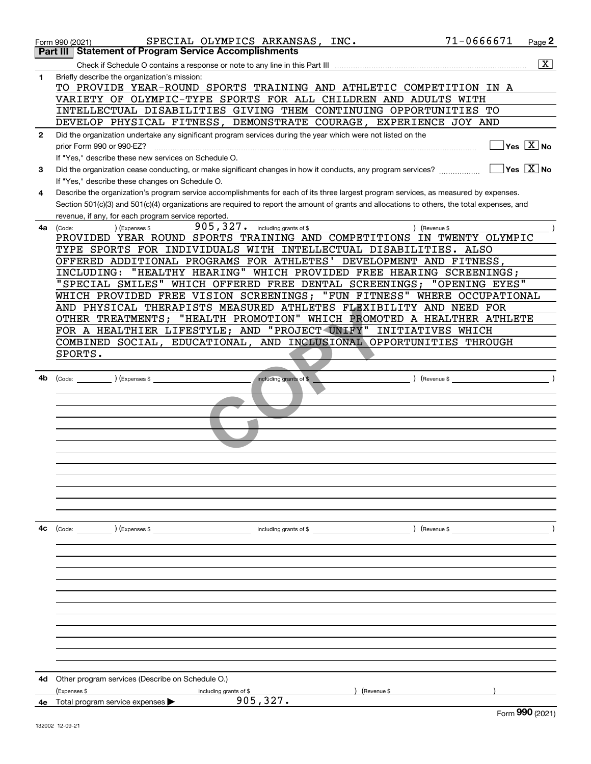|              | 71-0666671<br>SPECIAL OLYMPICS ARKANSAS, INC.<br>Page 2<br>Form 990 (2021)                                                                   |  |
|--------------|----------------------------------------------------------------------------------------------------------------------------------------------|--|
|              | <b>Statement of Program Service Accomplishments</b><br>Part III                                                                              |  |
|              | $\overline{\mathbf{X}}$                                                                                                                      |  |
| 1            | Briefly describe the organization's mission:                                                                                                 |  |
|              | TO PROVIDE YEAR-ROUND SPORTS TRAINING AND ATHLETIC COMPETITION IN A                                                                          |  |
|              | VARIETY OF OLYMPIC-TYPE SPORTS FOR ALL CHILDREN AND ADULTS WITH                                                                              |  |
|              | INTELLECTUAL DISABILITIES GIVING THEM CONTINUING OPPORTUNITIES TO                                                                            |  |
|              | DEVELOP PHYSICAL FITNESS, DEMONSTRATE COURAGE, EXPERIENCE JOY AND                                                                            |  |
| $\mathbf{2}$ | Did the organization undertake any significant program services during the year which were not listed on the                                 |  |
|              | $\sqrt{}$ Yes $\sqrt{}$ X $\sqrt{}$ No<br>prior Form 990 or 990-EZ?                                                                          |  |
|              | If "Yes," describe these new services on Schedule O.                                                                                         |  |
| 3            | $\Box$ Yes $\Box X$ No<br>Did the organization cease conducting, or make significant changes in how it conducts, any program services?       |  |
|              | If "Yes," describe these changes on Schedule O.                                                                                              |  |
| 4            | Describe the organization's program service accomplishments for each of its three largest program services, as measured by expenses.         |  |
|              | Section 501(c)(3) and 501(c)(4) organizations are required to report the amount of grants and allocations to others, the total expenses, and |  |
|              | revenue, if any, for each program service reported.                                                                                          |  |
| 4a l         | $905, 327$ . including grants of \$<br>) (Expenses \$<br>) (Revenue \$<br>(Code:                                                             |  |
|              | PROVIDED YEAR ROUND SPORTS TRAINING AND COMPETITIONS IN TWENTY OLYMPIC                                                                       |  |
|              | TYPE SPORTS FOR INDIVIDUALS WITH INTELLECTUAL DISABILITIES. ALSO                                                                             |  |
|              | OFFERED ADDITIONAL PROGRAMS FOR ATHLETES' DEVELOPMENT AND FITNESS,                                                                           |  |
|              | "HEALTHY HEARING" WHICH PROVIDED FREE HEARING SCREENINGS;<br>INCLUDING:                                                                      |  |
|              | SPECIAL SMILES" WHICH OFFERED FREE DENTAL SCREENINGS; "OPENING EYES"                                                                         |  |
|              | WHICH PROVIDED FREE VISION SCREENINGS; "FUN FITNESS" WHERE OCCUPATIONAL                                                                      |  |
|              | AND PHYSICAL THERAPISTS MEASURED ATHLETES FLEXIBILITY AND NEED FOR                                                                           |  |
|              | OTHER TREATMENTS; "HEALTH PROMOTION" WHICH PROMOTED A HEALTHER ATHLETE                                                                       |  |
|              | FOR A HEALTHIER LIFESTYLE; AND "PROJECT UNIFY" INITIATIVES WHICH                                                                             |  |
|              | COMBINED SOCIAL, EDUCATIONAL, AND INCLUSIONAL OPPORTUNITIES THROUGH                                                                          |  |
|              | SPORTS.                                                                                                                                      |  |
|              |                                                                                                                                              |  |
| 4b           | including grants of \$<br>) (Revenue \$<br>(Code: ) (Expenses \$                                                                             |  |
|              |                                                                                                                                              |  |
|              |                                                                                                                                              |  |
|              |                                                                                                                                              |  |
|              |                                                                                                                                              |  |
|              |                                                                                                                                              |  |
|              |                                                                                                                                              |  |
|              |                                                                                                                                              |  |
|              |                                                                                                                                              |  |
|              |                                                                                                                                              |  |
|              |                                                                                                                                              |  |
|              |                                                                                                                                              |  |
|              |                                                                                                                                              |  |
| 4с           | $\left(\text{Code:}\right)$ $\left(\text{Expenses $}\right)$<br>) (Revenue \$<br>including grants of $$$                                     |  |
|              |                                                                                                                                              |  |
|              |                                                                                                                                              |  |
|              |                                                                                                                                              |  |
|              |                                                                                                                                              |  |
|              |                                                                                                                                              |  |
|              |                                                                                                                                              |  |
|              |                                                                                                                                              |  |
|              |                                                                                                                                              |  |
|              |                                                                                                                                              |  |
|              |                                                                                                                                              |  |
|              |                                                                                                                                              |  |
|              |                                                                                                                                              |  |
| 4d           | Other program services (Describe on Schedule O.)                                                                                             |  |
|              | (Expenses \$<br>(Revenue \$<br>including grants of \$<br>905, 327.                                                                           |  |
|              | 4e Total program service expenses<br>nnn.                                                                                                    |  |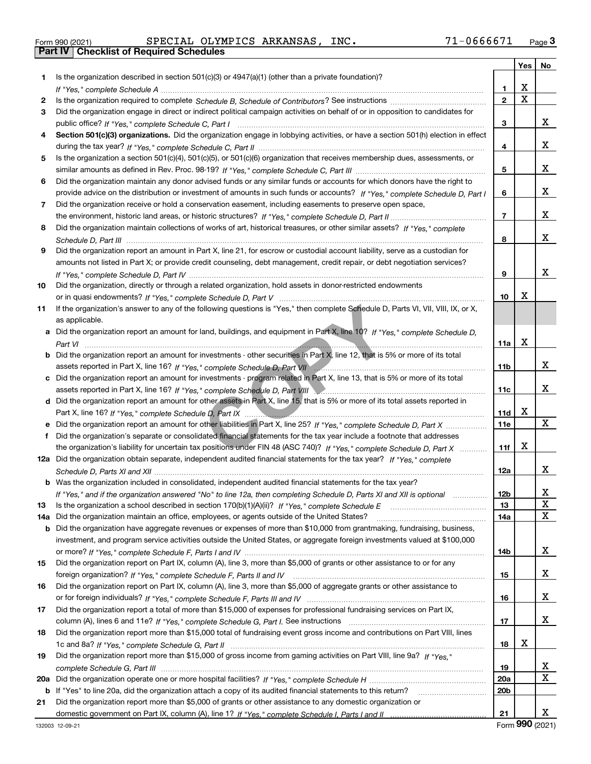|  | Form 990 (2021) |
|--|-----------------|

Form 990 (2021) Page **3Part IV Checklist of Required Schedules** SPECIAL OLYMPICS ARKANSAS, INC. 71-0666671

|     |                                                                                                                                       |                        | Yes   No |   |
|-----|---------------------------------------------------------------------------------------------------------------------------------------|------------------------|----------|---|
| 1.  | Is the organization described in section $501(c)(3)$ or $4947(a)(1)$ (other than a private foundation)?                               |                        |          |   |
|     |                                                                                                                                       | 1                      | x        |   |
| 2   |                                                                                                                                       | $\overline{2}$         | X        |   |
| 3   | Did the organization engage in direct or indirect political campaign activities on behalf of or in opposition to candidates for       |                        |          |   |
|     |                                                                                                                                       | 3                      |          | x |
| 4   | Section 501(c)(3) organizations. Did the organization engage in lobbying activities, or have a section 501(h) election in effect      |                        |          |   |
|     |                                                                                                                                       | 4                      |          | x |
| 5   | Is the organization a section 501(c)(4), 501(c)(5), or 501(c)(6) organization that receives membership dues, assessments, or          |                        |          |   |
|     |                                                                                                                                       | 5                      |          | x |
| 6   | Did the organization maintain any donor advised funds or any similar funds or accounts for which donors have the right to             |                        |          |   |
|     | provide advice on the distribution or investment of amounts in such funds or accounts? If "Yes," complete Schedule D, Part I          | 6                      |          | x |
| 7   | Did the organization receive or hold a conservation easement, including easements to preserve open space,                             |                        |          |   |
|     |                                                                                                                                       | $\overline{7}$         |          | x |
| 8   | Did the organization maintain collections of works of art, historical treasures, or other similar assets? If "Yes," complete          |                        |          |   |
|     |                                                                                                                                       | 8                      |          | x |
| 9   | Did the organization report an amount in Part X, line 21, for escrow or custodial account liability, serve as a custodian for         |                        |          |   |
|     | amounts not listed in Part X; or provide credit counseling, debt management, credit repair, or debt negotiation services?             |                        |          |   |
|     |                                                                                                                                       | 9                      |          | x |
| 10  | Did the organization, directly or through a related organization, hold assets in donor-restricted endowments                          |                        |          |   |
|     |                                                                                                                                       | 10                     | x        |   |
| 11  | If the organization's answer to any of the following questions is "Yes," then complete Schedule D, Parts VI, VII, VIII, IX, or X,     |                        |          |   |
|     | as applicable.                                                                                                                        |                        |          |   |
|     | a Did the organization report an amount for land, buildings, and equipment in Part X, line 10? If "Yes," complete Schedule D,         |                        |          |   |
|     |                                                                                                                                       | 11a                    | X        |   |
|     | <b>b</b> Did the organization report an amount for investments - other securities in Part X, line 12, that is 5% or more of its total |                        |          |   |
|     |                                                                                                                                       | 11 <sub>b</sub>        |          | x |
|     | c Did the organization report an amount for investments - program related in Part X, line 13, that is 5% or more of its total         |                        |          |   |
|     | assets reported in Part X, line 16? If "Yes," complete Schedule D, Part VIII [2000] [2000] [2000] [2000] [2000                        | 11c                    |          | x |
|     | d Did the organization report an amount for other assets in Part X, line 15, that is 5% or more of its total assets reported in       |                        |          |   |
|     |                                                                                                                                       | 11d                    | x        |   |
|     | e Did the organization report an amount for other liabilities in Part X, line 25? If "Yes," complete Schedule D, Part X               | 11e                    |          | X |
| f   | Did the organization's separate or consolidated financial statements for the tax year include a footnote that addresses               |                        |          |   |
|     | the organization's liability for uncertain tax positions under FIN 48 (ASC 740)? If "Yes," complete Schedule D, Part X                | 11f                    | x        |   |
|     | 12a Did the organization obtain separate, independent audited financial statements for the tax year? If "Yes," complete               |                        |          |   |
|     |                                                                                                                                       | 12a                    |          | x |
|     | <b>b</b> Was the organization included in consolidated, independent audited financial statements for the tax year?                    |                        |          |   |
|     | If "Yes," and if the organization answered "No" to line 12a, then completing Schedule D, Parts XI and XII is optional                 | 12 <sub>b</sub>        |          | х |
| 13  |                                                                                                                                       | 13                     |          | х |
| 14a | Did the organization maintain an office, employees, or agents outside of the United States?                                           | 14a                    |          | x |
| b   | Did the organization have aggregate revenues or expenses of more than \$10,000 from grantmaking, fundraising, business,               |                        |          |   |
|     | investment, and program service activities outside the United States, or aggregate foreign investments valued at \$100,000            |                        |          |   |
|     |                                                                                                                                       | 14b                    |          | x |
| 15  | Did the organization report on Part IX, column (A), line 3, more than \$5,000 of grants or other assistance to or for any             |                        |          |   |
|     | Did the organization report on Part IX, column (A), line 3, more than \$5,000 of aggregate grants or other assistance to              | 15                     |          | x |
| 16  |                                                                                                                                       |                        |          |   |
|     |                                                                                                                                       | 16                     |          | x |
| 17  | Did the organization report a total of more than \$15,000 of expenses for professional fundraising services on Part IX,               |                        |          | x |
|     |                                                                                                                                       | 17                     |          |   |
| 18  | Did the organization report more than \$15,000 total of fundraising event gross income and contributions on Part VIII, lines          |                        | х        |   |
|     | Did the organization report more than \$15,000 of gross income from gaming activities on Part VIII, line 9a? If "Yes."                | 18                     |          |   |
| 19  |                                                                                                                                       |                        |          | x |
|     |                                                                                                                                       | 19                     |          | x |
| 20a |                                                                                                                                       | 20a<br>20 <sub>b</sub> |          |   |
|     | b If "Yes" to line 20a, did the organization attach a copy of its audited financial statements to this return?                        |                        |          |   |
| 21  | Did the organization report more than \$5,000 of grants or other assistance to any domestic organization or                           | 21                     |          | x |
|     |                                                                                                                                       |                        |          |   |

Form (2021) **990**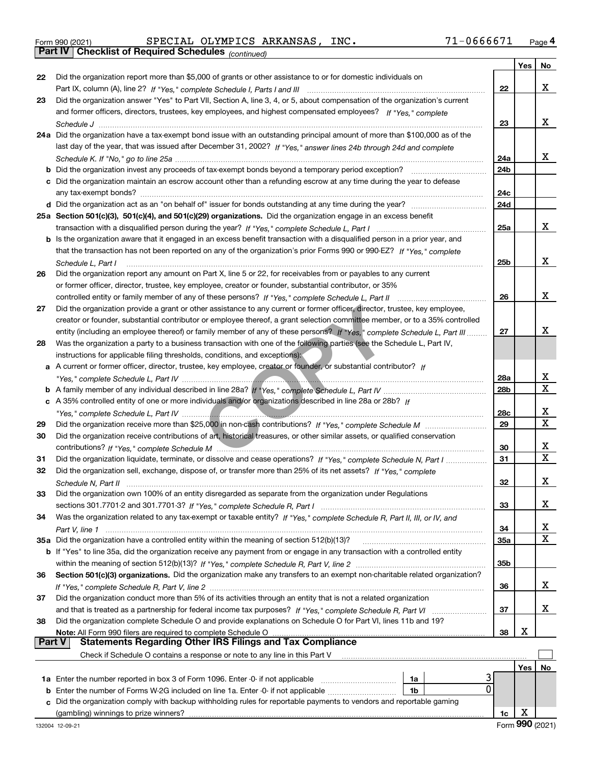Form 990 (2021) Page **4Part IV Checklist of Required Schedules** SPECIAL OLYMPICS ARKANSAS, INC. 71-0666671

*(continued)*

|               |                                                                                                                                                                                                                                                       |            | Yes | No          |
|---------------|-------------------------------------------------------------------------------------------------------------------------------------------------------------------------------------------------------------------------------------------------------|------------|-----|-------------|
| 22            | Did the organization report more than \$5,000 of grants or other assistance to or for domestic individuals on                                                                                                                                         |            |     |             |
|               |                                                                                                                                                                                                                                                       | 22         |     | x           |
| 23            | Did the organization answer "Yes" to Part VII, Section A, line 3, 4, or 5, about compensation of the organization's current                                                                                                                           |            |     |             |
|               | and former officers, directors, trustees, key employees, and highest compensated employees? If "Yes," complete                                                                                                                                        |            |     |             |
|               |                                                                                                                                                                                                                                                       | 23         |     | х           |
|               | 24a Did the organization have a tax-exempt bond issue with an outstanding principal amount of more than \$100,000 as of the                                                                                                                           |            |     |             |
|               | last day of the year, that was issued after December 31, 2002? If "Yes," answer lines 24b through 24d and complete                                                                                                                                    |            |     |             |
|               |                                                                                                                                                                                                                                                       | 24a        |     | х           |
|               | <b>b</b> Did the organization invest any proceeds of tax-exempt bonds beyond a temporary period exception?                                                                                                                                            | 24b        |     |             |
|               | c Did the organization maintain an escrow account other than a refunding escrow at any time during the year to defease                                                                                                                                |            |     |             |
|               |                                                                                                                                                                                                                                                       | 24c        |     |             |
|               |                                                                                                                                                                                                                                                       | 24d        |     |             |
|               | 25a Section 501(c)(3), 501(c)(4), and 501(c)(29) organizations. Did the organization engage in an excess benefit                                                                                                                                      |            |     | х           |
|               |                                                                                                                                                                                                                                                       | 25a        |     |             |
|               | b Is the organization aware that it engaged in an excess benefit transaction with a disqualified person in a prior year, and<br>that the transaction has not been reported on any of the organization's prior Forms 990 or 990-EZ? If "Yes," complete |            |     |             |
|               |                                                                                                                                                                                                                                                       | 25b        |     | х           |
| 26            | Schedule L, Part I<br>Did the organization report any amount on Part X, line 5 or 22, for receivables from or payables to any current                                                                                                                 |            |     |             |
|               |                                                                                                                                                                                                                                                       |            |     |             |
|               | or former officer, director, trustee, key employee, creator or founder, substantial contributor, or 35%                                                                                                                                               | 26         |     | х           |
| 27            | controlled entity or family member of any of these persons? If "Yes," complete Schedule L, Part II<br>Did the organization provide a grant or other assistance to any current or former officer, director, trustee, key employee,                     |            |     |             |
|               | creator or founder, substantial contributor or employee thereof, a grant selection committee member, or to a 35% controlled                                                                                                                           |            |     |             |
|               | entity (including an employee thereof) or family member of any of these persons? If "Yes," complete Schedule L, Part III                                                                                                                              | 27         |     | X           |
| 28            | Was the organization a party to a business transaction with one of the following parties (see the Schedule L, Part IV,                                                                                                                                |            |     |             |
|               | instructions for applicable filing thresholds, conditions, and exceptions):                                                                                                                                                                           |            |     |             |
|               | a A current or former officer, director, trustee, key employee, creator or founder, or substantial contributor? If                                                                                                                                    |            |     |             |
|               |                                                                                                                                                                                                                                                       | 28a        |     | x           |
|               |                                                                                                                                                                                                                                                       | 28b        |     | Х           |
|               | c A 35% controlled entity of one or more individuals and/or organizations described in line 28a or 28b? If                                                                                                                                            |            |     |             |
|               |                                                                                                                                                                                                                                                       | 28c        |     | х           |
| 29            |                                                                                                                                                                                                                                                       | 29         |     | $\mathbf X$ |
| 30            | Did the organization receive contributions of art, historical treasures, or other similar assets, or qualified conservation                                                                                                                           |            |     |             |
|               |                                                                                                                                                                                                                                                       | 30         |     | х           |
| 31            | Did the organization liquidate, terminate, or dissolve and cease operations? If "Yes," complete Schedule N, Part I                                                                                                                                    | 31         |     | $\mathbf X$ |
| 32            | Did the organization sell, exchange, dispose of, or transfer more than 25% of its net assets? If "Yes," complete                                                                                                                                      |            |     |             |
|               |                                                                                                                                                                                                                                                       | 32         |     | X           |
| 33            | Did the organization own 100% of an entity disregarded as separate from the organization under Regulations                                                                                                                                            |            |     |             |
|               |                                                                                                                                                                                                                                                       | 33         |     | х           |
| 34            | Was the organization related to any tax-exempt or taxable entity? If "Yes," complete Schedule R, Part II, III, or IV, and                                                                                                                             |            |     |             |
|               |                                                                                                                                                                                                                                                       | 34         |     | x           |
|               | 35a Did the organization have a controlled entity within the meaning of section 512(b)(13)?                                                                                                                                                           | <b>35a</b> |     | X           |
|               | <b>b</b> If "Yes" to line 35a, did the organization receive any payment from or engage in any transaction with a controlled entity                                                                                                                    |            |     |             |
|               |                                                                                                                                                                                                                                                       | 35b        |     |             |
| 36            | Section 501(c)(3) organizations. Did the organization make any transfers to an exempt non-charitable related organization?                                                                                                                            |            |     |             |
|               |                                                                                                                                                                                                                                                       | 36         |     | х           |
| 37            | Did the organization conduct more than 5% of its activities through an entity that is not a related organization                                                                                                                                      |            |     |             |
|               |                                                                                                                                                                                                                                                       | 37         |     | x           |
| 38            | Did the organization complete Schedule O and provide explanations on Schedule O for Part VI, lines 11b and 19?                                                                                                                                        |            |     |             |
| <b>Part V</b> | Note: All Form 990 filers are required to complete Schedule O<br><b>Statements Regarding Other IRS Filings and Tax Compliance</b>                                                                                                                     | 38         | X   |             |
|               |                                                                                                                                                                                                                                                       |            |     |             |
|               | Check if Schedule O contains a response or note to any line in this Part V                                                                                                                                                                            |            |     |             |
|               |                                                                                                                                                                                                                                                       |            | Yes | No          |
|               | 1a Enter the number reported in box 3 of Form 1096. Enter -0- if not applicable<br>1a<br>0<br>1b                                                                                                                                                      |            |     |             |
| c             | Did the organization comply with backup withholding rules for reportable payments to vendors and reportable gaming                                                                                                                                    |            |     |             |
|               | (gambling) winnings to prize winners?                                                                                                                                                                                                                 | 1c         | х   |             |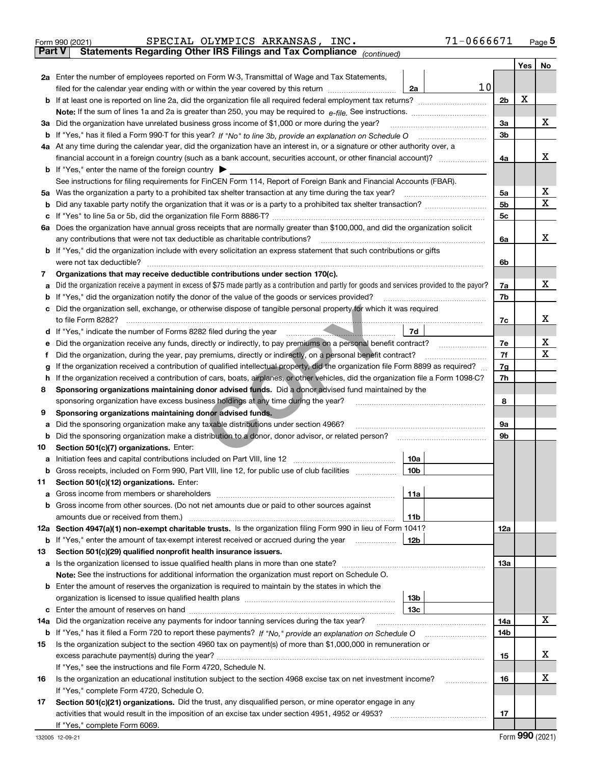|               | 71-0666671<br>SPECIAL OLYMPICS ARKANSAS, INC.<br>Form 990 (2021)                                                                                |                |     | $_{\text{Page}}$ 5 |
|---------------|-------------------------------------------------------------------------------------------------------------------------------------------------|----------------|-----|--------------------|
| <b>Part V</b> | Statements Regarding Other IRS Filings and Tax Compliance (continued)                                                                           |                |     |                    |
|               |                                                                                                                                                 |                | Yes | No                 |
|               | 2a Enter the number of employees reported on Form W-3, Transmittal of Wage and Tax Statements,                                                  |                |     |                    |
|               | 10<br>filed for the calendar year ending with or within the year covered by this return <i>[[[[[[[[[[[[[[]]]</i> ]]<br>2a                       |                |     |                    |
|               |                                                                                                                                                 | 2 <sub>b</sub> | х   |                    |
|               |                                                                                                                                                 |                |     |                    |
|               | 3a Did the organization have unrelated business gross income of \$1,000 or more during the year?                                                | 3a             |     | х                  |
|               |                                                                                                                                                 | 3 <sub>b</sub> |     |                    |
|               |                                                                                                                                                 |                |     |                    |
|               | 4a At any time during the calendar year, did the organization have an interest in, or a signature or other authority over, a                    |                |     |                    |
|               |                                                                                                                                                 | 4a             |     | х                  |
|               | <b>b</b> If "Yes," enter the name of the foreign country $\blacktriangleright$                                                                  |                |     |                    |
|               | See instructions for filing requirements for FinCEN Form 114, Report of Foreign Bank and Financial Accounts (FBAR).                             |                |     |                    |
|               | 5a Was the organization a party to a prohibited tax shelter transaction at any time during the tax year?                                        | 5a             |     | х                  |
| b             |                                                                                                                                                 | 5 <sub>b</sub> |     | х                  |
| c             |                                                                                                                                                 | 5c             |     |                    |
|               | 6a Does the organization have annual gross receipts that are normally greater than \$100,000, and did the organization solicit                  |                |     |                    |
|               | any contributions that were not tax deductible as charitable contributions?                                                                     | 6a             |     | x                  |
|               | <b>b</b> If "Yes," did the organization include with every solicitation an express statement that such contributions or gifts                   |                |     |                    |
|               | were not tax deductible?                                                                                                                        | 6b             |     |                    |
| 7             | Organizations that may receive deductible contributions under section 170(c).                                                                   |                |     |                    |
|               | Did the organization receive a payment in excess of \$75 made partly as a contribution and partly for goods and services provided to the payor? | 7a             |     | х                  |
| а             | <b>b</b> If "Yes," did the organization notify the donor of the value of the goods or services provided?                                        | 7b             |     |                    |
|               |                                                                                                                                                 |                |     |                    |
|               | c Did the organization sell, exchange, or otherwise dispose of tangible personal property for which it was required                             |                |     |                    |
|               |                                                                                                                                                 | 7c             |     | х                  |
|               | 7d                                                                                                                                              |                |     |                    |
| е             |                                                                                                                                                 | 7e             |     | x                  |
| f             | Did the organization, during the year, pay premiums, directly or indirectly, on a personal benefit contract?                                    | 7f             |     | х                  |
| g             | If the organization received a contribution of qualified intellectual property, did the organization file Form 8899 as required?                | 7g             |     |                    |
| h.            | If the organization received a contribution of cars, boats, airplanes, or other vehicles, did the organization file a Form 1098-C?              | 7h             |     |                    |
| 8             | Sponsoring organizations maintaining donor advised funds. Did a donor advised fund maintained by the                                            |                |     |                    |
|               | sponsoring organization have excess business holdings at any time during the year?                                                              | 8              |     |                    |
| 9             | Sponsoring organizations maintaining donor advised funds.                                                                                       |                |     |                    |
| а             | Did the sponsoring organization make any taxable distributions under section 4966?                                                              | 9а             |     |                    |
| b             | Did the sponsoring organization make a distribution to a donor, donor advisor, or related person?                                               | 9b             |     |                    |
| 10            | Section 501(c)(7) organizations. Enter:                                                                                                         |                |     |                    |
|               | 10a                                                                                                                                             |                |     |                    |
|               | 10 <sub>b</sub>  <br>Gross receipts, included on Form 990, Part VIII, line 12, for public use of club facilities                                |                |     |                    |
|               |                                                                                                                                                 |                |     |                    |
| 11            | Section 501(c)(12) organizations. Enter:                                                                                                        |                |     |                    |
|               | 11a                                                                                                                                             |                |     |                    |
|               | b Gross income from other sources. (Do not net amounts due or paid to other sources against                                                     |                |     |                    |
|               | 11b                                                                                                                                             |                |     |                    |
|               | 12a Section 4947(a)(1) non-exempt charitable trusts. Is the organization filing Form 990 in lieu of Form 1041?                                  | <b>12a</b>     |     |                    |
|               | 12b<br><b>b</b> If "Yes," enter the amount of tax-exempt interest received or accrued during the year                                           |                |     |                    |
| 13            | Section 501(c)(29) qualified nonprofit health insurance issuers.                                                                                |                |     |                    |
|               | a Is the organization licensed to issue qualified health plans in more than one state?                                                          | <b>13a</b>     |     |                    |
|               | Note: See the instructions for additional information the organization must report on Schedule O.                                               |                |     |                    |
|               | <b>b</b> Enter the amount of reserves the organization is required to maintain by the states in which the                                       |                |     |                    |
|               | 13b                                                                                                                                             |                |     |                    |
|               | 13с                                                                                                                                             |                |     |                    |
| 14a           | Did the organization receive any payments for indoor tanning services during the tax year?                                                      | 14a            |     | x                  |
|               |                                                                                                                                                 | 14b            |     |                    |
| 15            | Is the organization subject to the section 4960 tax on payment(s) of more than \$1,000,000 in remuneration or                                   |                |     |                    |
|               |                                                                                                                                                 |                |     | x                  |
|               |                                                                                                                                                 | 15             |     |                    |
|               | If "Yes," see the instructions and file Form 4720, Schedule N.                                                                                  |                |     |                    |
| 16            | Is the organization an educational institution subject to the section 4968 excise tax on net investment income?                                 | 16             |     | х                  |
|               | If "Yes," complete Form 4720, Schedule O.                                                                                                       |                |     |                    |
| 17            | Section 501(c)(21) organizations. Did the trust, any disqualified person, or mine operator engage in any                                        |                |     |                    |
|               | activities that would result in the imposition of an excise tax under section 4951, 4952 or 4953?                                               | 17             |     |                    |
|               | If "Yes," complete Form 6069.                                                                                                                   |                |     |                    |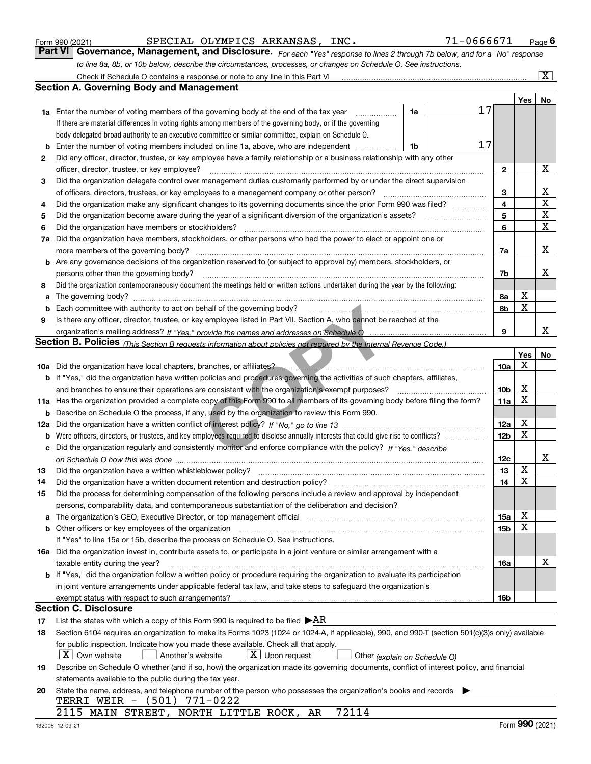|                 |  | --- |  |
|-----------------|--|-----|--|
| 132006 12-09-21 |  |     |  |

|     | body delegated broad authority to an executive committee or similar committee, explain on Schedule O.                                                                      |                 |     |    |  |  |
|-----|----------------------------------------------------------------------------------------------------------------------------------------------------------------------------|-----------------|-----|----|--|--|
|     | 17<br>Enter the number of voting members included on line 1a, above, who are independent<br>1b                                                                             |                 |     |    |  |  |
| 2   | Did any officer, director, trustee, or key employee have a family relationship or a business relationship with any other                                                   |                 |     |    |  |  |
|     | officer, director, trustee, or key employee?                                                                                                                               | 2               |     | x  |  |  |
| 3   | Did the organization delegate control over management duties customarily performed by or under the direct supervision                                                      |                 |     |    |  |  |
|     | of officers, directors, trustees, or key employees to a management company or other person?                                                                                | 3               |     | X  |  |  |
| 4   | Did the organization make any significant changes to its governing documents since the prior Form 990 was filed?                                                           | 4               |     | X  |  |  |
| 5   |                                                                                                                                                                            | 5               |     | X  |  |  |
| 6   | Did the organization have members or stockholders?                                                                                                                         | 6               |     | X  |  |  |
| 7а  | Did the organization have members, stockholders, or other persons who had the power to elect or appoint one or                                                             |                 |     |    |  |  |
|     | more members of the governing body?                                                                                                                                        | 7a              |     | X  |  |  |
|     | <b>b</b> Are any governance decisions of the organization reserved to (or subject to approval by) members, stockholders, or                                                |                 |     |    |  |  |
|     | persons other than the governing body?                                                                                                                                     |                 |     |    |  |  |
| 8   | Did the organization contemporaneously document the meetings held or written actions undertaken during the year by the following:                                          |                 |     |    |  |  |
| a   |                                                                                                                                                                            | 8а              | X   |    |  |  |
| b   | Each committee with authority to act on behalf of the governing body?                                                                                                      | 8b              | х   |    |  |  |
| 9   | Is there any officer, director, trustee, or key employee listed in Part VII, Section A, who cannot be reached at the                                                       |                 |     |    |  |  |
|     |                                                                                                                                                                            | 9               |     | х  |  |  |
|     | <b>Section B. Policies</b> (This Section B requests information about policies not required by the Internal Revenue Code.)                                                 |                 |     |    |  |  |
|     |                                                                                                                                                                            |                 | Yes | No |  |  |
|     |                                                                                                                                                                            | 10a             | х   |    |  |  |
|     | b If "Yes," did the organization have written policies and procedures governing the activities of such chapters, affiliates,                                               |                 |     |    |  |  |
|     | and branches to ensure their operations are consistent with the organization's exempt purposes?                                                                            | 10 <sub>b</sub> | х   |    |  |  |
|     | 11a Has the organization provided a complete copy of this Form 990 to all members of its governing body before filing the form?                                            |                 |     |    |  |  |
| b   | Describe on Schedule O the process, if any, used by the organization to review this Form 990.                                                                              | 11a             | х   |    |  |  |
| 12a |                                                                                                                                                                            |                 |     |    |  |  |
| b   |                                                                                                                                                                            |                 |     |    |  |  |
| с   | Did the organization regularly and consistently monitor and enforce compliance with the policy? If "Yes." describe                                                         |                 |     |    |  |  |
|     |                                                                                                                                                                            | 12c             |     | х  |  |  |
| 13  | Did the organization have a written whistleblower policy?                                                                                                                  | 13              | x   |    |  |  |
| 14  | Did the organization have a written document retention and destruction policy?                                                                                             | 14              | х   |    |  |  |
| 15  | Did the process for determining compensation of the following persons include a review and approval by independent                                                         |                 |     |    |  |  |
|     | persons, comparability data, and contemporaneous substantiation of the deliberation and decision?                                                                          |                 |     |    |  |  |
| а   | The organization's CEO, Executive Director, or top management official manufactured content of the organization's CEO, Executive Director, or top management official      | 15a             | х   |    |  |  |
| b   |                                                                                                                                                                            | 15 <sub>b</sub> | х   |    |  |  |
|     | If "Yes" to line 15a or 15b, describe the process on Schedule O. See instructions.                                                                                         |                 |     |    |  |  |
|     | 16a Did the organization invest in, contribute assets to, or participate in a joint venture or similar arrangement with a                                                  |                 |     |    |  |  |
|     |                                                                                                                                                                            | 16a             |     | х  |  |  |
|     | <b>b</b> If "Yes," did the organization follow a written policy or procedure requiring the organization to evaluate its participation                                      |                 |     |    |  |  |
|     | in joint venture arrangements under applicable federal tax law, and take steps to safeguard the organization's                                                             |                 |     |    |  |  |
|     | exempt status with respect to such arrangements?                                                                                                                           | 16b             |     |    |  |  |
|     | Section C. Disclosure                                                                                                                                                      |                 |     |    |  |  |
| 17  | List the states with which a copy of this Form 990 is required to be filed $\blacktriangleright AR$                                                                        |                 |     |    |  |  |
| 18  | Section 6104 requires an organization to make its Forms 1023 (1024 or 1024-A, if applicable), 990, and 990-T (section 501(c)(3)s only) available                           |                 |     |    |  |  |
|     | for public inspection. Indicate how you made these available. Check all that apply.                                                                                        |                 |     |    |  |  |
|     | $X$ Own website<br>$X$ Upon request<br>Another's website                                                                                                                   |                 |     |    |  |  |
|     | Other (explain on Schedule O)<br>Describe on Schedule O whether (and if so, how) the organization made its governing documents, conflict of interest policy, and financial |                 |     |    |  |  |
| 19  |                                                                                                                                                                            |                 |     |    |  |  |
|     | statements available to the public during the tax year.<br>State the name, address, and telephone number of the person who possesses the organization's books and records  |                 |     |    |  |  |
| 20  | $(501)$ 771-0222<br>TERRI WEIR -                                                                                                                                           |                 |     |    |  |  |
|     | 72114<br>2115 MAIN STREET, NORTH LITTLE ROCK, AR                                                                                                                           |                 |     |    |  |  |
|     |                                                                                                                                                                            |                 |     |    |  |  |

## SPECIAL OLYMPICS ARKANSAS, INC. 71-0666671

**1a** Enter the number of voting members of the governing body at the end of the tax year  $\ldots$ 

Check if Schedule O contains a response or note to any line in this Part VI

**Section A. Governing Body and Management**

If there are material differences in voting rights among members of the governing body, or if the governing

*For each "Yes" response to lines 2 through 7b below, and for a "No" response to line 8a, 8b, or 10b below, describe the circumstances, processes, or changes on Schedule O. See instructions.* Form 990 (2021) **CONFIGET BE SEPE COMPTICS ARKANSAS, INC.** The Same CONFIGET Page 6<br>**Part VI Governance, Management, and Disclosure.** For each "Yes" response to lines 2 through 7b below, and for a "No" response

17

**1a**

 $\boxed{\text{X}}$ 

**Yes No**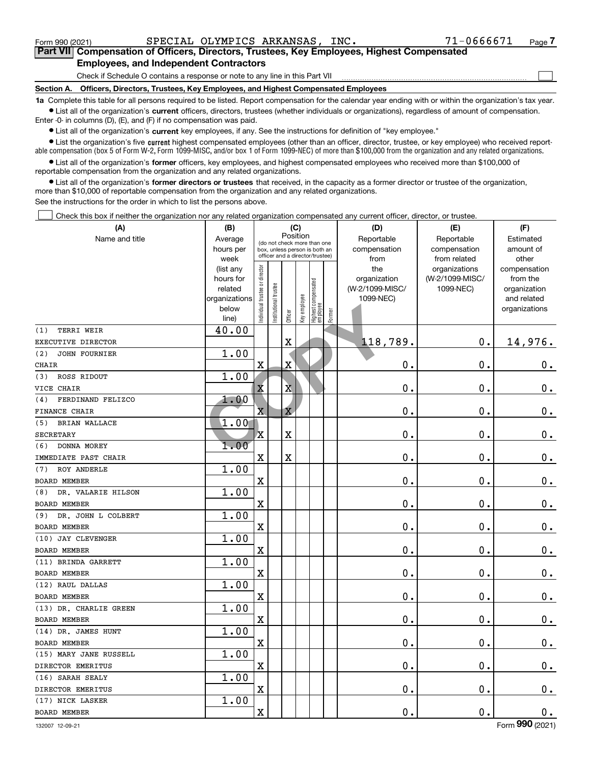$\mathcal{L}^{\text{max}}$ 

| Form 990 (2021) |                                                                                            | SPECIAL OLYMPICS ARKANSAS, | INC. | 71-0666671 | Page $\prime$ |
|-----------------|--------------------------------------------------------------------------------------------|----------------------------|------|------------|---------------|
|                 | Part VII Compensation of Officers, Directors, Trustees, Key Employees, Highest Compensated |                            |      |            |               |
|                 | <b>Employees, and Independent Contractors</b>                                              |                            |      |            |               |

Check if Schedule O contains a response or note to any line in this Part VII

**Section A. Officers, Directors, Trustees, Key Employees, and Highest Compensated Employees**

**1a**  Complete this table for all persons required to be listed. Report compensation for the calendar year ending with or within the organization's tax year. **•** List all of the organization's current officers, directors, trustees (whether individuals or organizations), regardless of amount of compensation.

Enter -0- in columns (D), (E), and (F) if no compensation was paid.

 $\bullet$  List all of the organization's  $\sf current$  key employees, if any. See the instructions for definition of "key employee."

• List the organization's five current highest compensated employees (other than an officer, director, trustee, or key employee) who received report-■ List the organization's five current highest compensated employees (other than an officer, director, trustee, or key employee) who received report-<br>able compensation (box 5 of Form W-2, Form 1099-MISC, and/or box 1 of F

**•** List all of the organization's former officers, key employees, and highest compensated employees who received more than \$100,000 of reportable compensation from the organization and any related organizations.

**former directors or trustees**  ¥ List all of the organization's that received, in the capacity as a former director or trustee of the organization, more than \$10,000 of reportable compensation from the organization and any related organizations.

See the instructions for the order in which to list the persons above.

Check this box if neither the organization nor any related organization compensated any current officer, director, or trustee.  $\mathcal{L}^{\text{max}}$ 

| (A)                         | (B)               |                               |                      | (C)                     |              |                                                                  |        | (D)                  | (E)                          | (F)                |
|-----------------------------|-------------------|-------------------------------|----------------------|-------------------------|--------------|------------------------------------------------------------------|--------|----------------------|------------------------------|--------------------|
| Name and title              | Average           |                               |                      | Position                |              | (do not check more than one                                      |        | Reportable           | Reportable                   | Estimated          |
|                             | hours per<br>week |                               |                      |                         |              | box, unless person is both an<br>officer and a director/trustee) |        | compensation<br>from | compensation<br>from related | amount of<br>other |
|                             | (list any         |                               |                      |                         |              |                                                                  |        | the                  | organizations                | compensation       |
|                             | hours for         |                               |                      |                         |              |                                                                  |        | organization         | (W-2/1099-MISC/              | from the           |
|                             | related           |                               |                      |                         |              |                                                                  |        | (W-2/1099-MISC/      | 1099-NEC)                    | organization       |
|                             | organizations     |                               |                      |                         |              |                                                                  |        | 1099-NEC)            |                              | and related        |
|                             | below<br>line)    | ndividual trustee or director | nstitutional trustee | Officer                 | Key employee | Highest compensated<br>  employee                                | Former |                      |                              | organizations      |
| <b>TERRI WEIR</b><br>(1)    | 40.00             |                               |                      |                         |              |                                                                  |        |                      |                              |                    |
| EXECUTIVE DIRECTOR          |                   |                               |                      | $\overline{\textbf{X}}$ |              |                                                                  |        | 118,789.             | 0.                           | 14,976.            |
| (2)<br><b>JOHN FOURNIER</b> | 1.00              |                               |                      |                         |              |                                                                  |        |                      |                              |                    |
| CHAIR                       |                   | X                             |                      | X                       |              |                                                                  |        | 0.                   | $\mathbf 0$ .                | $\mathbf 0$ .      |
| ROSS RIDOUT<br>(3)          | 1.00              |                               |                      |                         |              |                                                                  |        |                      |                              |                    |
| VICE CHAIR                  |                   | X                             |                      | $\overline{\mathbf{X}}$ |              |                                                                  |        | $\mathbf 0$ .        | $\mathbf 0$ .                | $\mathbf 0$ .      |
| FERDINAND FELIZCO<br>(4)    | 1.00              |                               |                      |                         |              |                                                                  |        |                      |                              |                    |
| FINANCE CHAIR               |                   | $\overline{\text{X}}$         |                      | $\overline{\text{X}}$   |              |                                                                  |        | 0.                   | $\mathbf 0$ .                | $\mathbf 0$ .      |
| (5)<br><b>BRIAN WALLACE</b> | 1.00              |                               |                      |                         |              |                                                                  |        |                      |                              |                    |
| <b>SECRETARY</b>            |                   | х                             |                      | $\overline{\textbf{X}}$ |              |                                                                  |        | 0.                   | $\mathbf 0$ .                | $0_{.}$            |
| (6)<br>DONNA MOREY          | 1.00              |                               |                      |                         |              |                                                                  |        |                      |                              |                    |
| IMMEDIATE PAST CHAIR        |                   | $\mathbf x$                   |                      | $\overline{\text{X}}$   |              |                                                                  |        | 0.                   | $\mathbf 0$ .                | $0_{.}$            |
| ROY ANDERLE<br>(7)          | 1.00              |                               |                      |                         |              |                                                                  |        |                      |                              |                    |
| <b>BOARD MEMBER</b>         |                   | $\mathbf X$                   |                      |                         |              |                                                                  |        | 0.                   | $\mathbf 0$ .                | $0_{.}$            |
| DR. VALARIE HILSON<br>(8)   | 1.00              |                               |                      |                         |              |                                                                  |        |                      |                              |                    |
| <b>BOARD MEMBER</b>         |                   | $\overline{\textbf{X}}$       |                      |                         |              |                                                                  |        | 0.                   | $\mathbf 0$ .                | $\mathbf 0$ .      |
| DR. JOHN L COLBERT<br>(9)   | 1.00              |                               |                      |                         |              |                                                                  |        |                      |                              |                    |
| <b>BOARD MEMBER</b>         |                   | X                             |                      |                         |              |                                                                  |        | $0$ .                | $\mathbf 0$ .                | $\mathbf 0$ .      |
| (10) JAY CLEVENGER          | 1.00              |                               |                      |                         |              |                                                                  |        |                      |                              |                    |
| <b>BOARD MEMBER</b>         |                   | $\mathbf X$                   |                      |                         |              |                                                                  |        | 0.                   | $\mathbf 0$ .                | $0_{.}$            |
| (11) BRINDA GARRETT         | 1.00              |                               |                      |                         |              |                                                                  |        |                      |                              |                    |
| <b>BOARD MEMBER</b>         |                   | $\rm X$                       |                      |                         |              |                                                                  |        | 0.                   | $\mathbf 0$ .                | $\mathbf 0$ .      |
| (12) RAUL DALLAS            | 1.00              |                               |                      |                         |              |                                                                  |        |                      |                              |                    |
| <b>BOARD MEMBER</b>         |                   | $\mathbf x$                   |                      |                         |              |                                                                  |        | 0.                   | $\mathbf 0$ .                | $\mathbf 0$ .      |
| (13) DR. CHARLIE GREEN      | 1.00              |                               |                      |                         |              |                                                                  |        |                      |                              |                    |
| <b>BOARD MEMBER</b>         |                   | $\mathbf x$                   |                      |                         |              |                                                                  |        | 0.                   | $\mathbf 0$ .                | $\mathbf 0$ .      |
| (14) DR. JAMES HUNT         | 1.00              |                               |                      |                         |              |                                                                  |        |                      |                              |                    |
| <b>BOARD MEMBER</b>         |                   | X                             |                      |                         |              |                                                                  |        | 0.                   | $\mathbf 0$ .                | $\mathbf 0$ .      |
| (15) MARY JANE RUSSELL      | 1.00              |                               |                      |                         |              |                                                                  |        |                      |                              |                    |
| DIRECTOR EMERITUS           |                   | X                             |                      |                         |              |                                                                  |        | 0.                   | $\mathbf 0$ .                | $0_{.}$            |
| (16) SARAH SEALY            | 1.00              |                               |                      |                         |              |                                                                  |        |                      |                              |                    |
| DIRECTOR EMERITUS           |                   | X                             |                      |                         |              |                                                                  |        | 0.                   | $\mathbf 0$ .                | $0_{.}$            |
| (17) NICK LASKER            | 1.00              |                               |                      |                         |              |                                                                  |        |                      |                              |                    |
| <b>BOARD MEMBER</b>         |                   | X                             |                      |                         |              |                                                                  |        | 0.                   | $\mathbf 0$ .                | $0_{.}$            |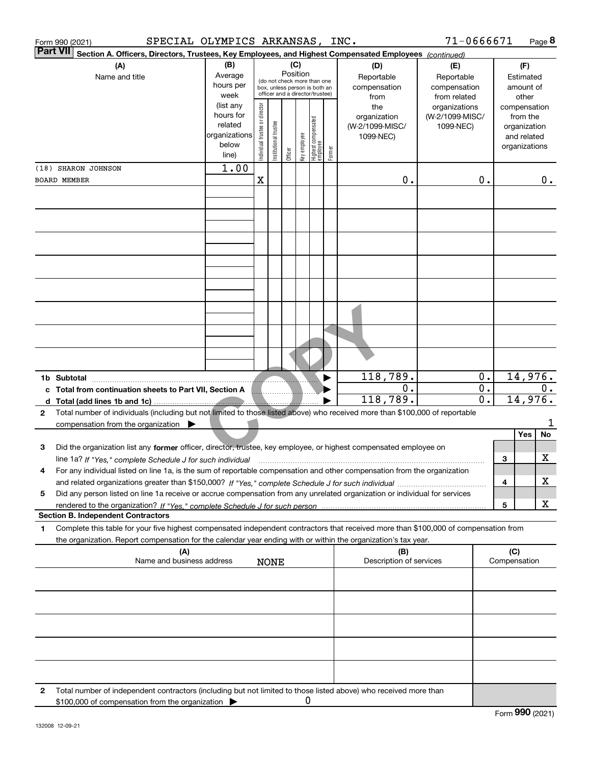| Form 990 (2021)     | SPECIAL OLYMPICS ARKANSAS, INC.                                                                                                                                                                                                                        |                                                                      |                                                                                                             |                       |         |              |                                  |        |                                                     | $71 - 0666671$                                |                           |        |                                                                          | Page 8 |
|---------------------|--------------------------------------------------------------------------------------------------------------------------------------------------------------------------------------------------------------------------------------------------------|----------------------------------------------------------------------|-------------------------------------------------------------------------------------------------------------|-----------------------|---------|--------------|----------------------------------|--------|-----------------------------------------------------|-----------------------------------------------|---------------------------|--------|--------------------------------------------------------------------------|--------|
| <b>Part VII</b>     | Section A. Officers, Directors, Trustees, Key Employees, and Highest Compensated Employees (continued)                                                                                                                                                 |                                                                      |                                                                                                             |                       |         | (C)          |                                  |        |                                                     | (E)                                           |                           |        |                                                                          |        |
|                     | (A)<br>Name and title                                                                                                                                                                                                                                  | (B)<br>Average<br>hours per<br>week                                  | Position<br>(do not check more than one<br>box, unless person is both an<br>officer and a director/trustee) |                       |         |              |                                  |        | (D)<br>Reportable<br>compensation<br>from           | Reportable<br>compensation<br>from related    |                           |        | (F)<br>Estimated<br>amount of<br>other                                   |        |
|                     |                                                                                                                                                                                                                                                        | (list any<br>hours for<br>related<br>organizations<br>below<br>line) | Individual trustee or director                                                                              | Institutional trustee | Officer | key employee | Highest compensated<br> employee | Former | the<br>organization<br>(W-2/1099-MISC/<br>1099-NEC) | organizations<br>(W-2/1099-MISC/<br>1099-NEC) |                           |        | compensation<br>from the<br>organization<br>and related<br>organizations |        |
| (18) SHARON JOHNSON |                                                                                                                                                                                                                                                        | 1.00                                                                 |                                                                                                             |                       |         |              |                                  |        |                                                     |                                               |                           |        |                                                                          |        |
| <b>BOARD MEMBER</b> |                                                                                                                                                                                                                                                        |                                                                      | $\mathbf X$                                                                                                 |                       |         |              |                                  |        | 0.                                                  |                                               | 0.                        |        |                                                                          | 0.     |
|                     |                                                                                                                                                                                                                                                        |                                                                      |                                                                                                             |                       |         |              |                                  |        |                                                     |                                               |                           |        |                                                                          |        |
|                     |                                                                                                                                                                                                                                                        |                                                                      |                                                                                                             |                       |         |              |                                  |        |                                                     |                                               |                           |        |                                                                          |        |
|                     |                                                                                                                                                                                                                                                        |                                                                      |                                                                                                             |                       |         |              |                                  |        |                                                     |                                               |                           |        |                                                                          |        |
|                     |                                                                                                                                                                                                                                                        |                                                                      |                                                                                                             |                       |         |              |                                  |        | 118,789.                                            |                                               | $0$ .                     |        | 14,976.                                                                  |        |
| 1b Subtotal         | c Total from continuation sheets to Part VII, Section A                                                                                                                                                                                                |                                                                      |                                                                                                             |                       |         |              |                                  |        | 0.<br>118,789.                                      |                                               | $0$ .<br>$\overline{0}$ . |        | 14,976.                                                                  | $0$ .  |
| $\mathbf{2}$        | Total number of individuals (including but not limited to those listed above) who received more than \$100,000 of reportable<br>compensation from the organization $\blacktriangleright$                                                               |                                                                      |                                                                                                             |                       |         |              |                                  |        |                                                     |                                               |                           |        |                                                                          |        |
| 3                   | Did the organization list any former officer, director, trustee, key employee, or highest compensated employee on                                                                                                                                      |                                                                      |                                                                                                             |                       |         |              |                                  |        |                                                     |                                               |                           |        | Yes                                                                      | No     |
| 4                   | line 1a? If "Yes," complete Schedule J for such individual<br>For any individual listed on line 1a, is the sum of reportable compensation and other compensation from the organization                                                                 |                                                                      |                                                                                                             |                       |         |              |                                  |        |                                                     |                                               |                           | 3      |                                                                          | х      |
| 5                   | Did any person listed on line 1a receive or accrue compensation from any unrelated organization or individual for services                                                                                                                             |                                                                      |                                                                                                             |                       |         |              |                                  |        |                                                     |                                               |                           | 4<br>5 |                                                                          | х<br>x |
|                     | <b>Section B. Independent Contractors</b>                                                                                                                                                                                                              |                                                                      |                                                                                                             |                       |         |              |                                  |        |                                                     |                                               |                           |        |                                                                          |        |
| 1                   | Complete this table for your five highest compensated independent contractors that received more than \$100,000 of compensation from<br>the organization. Report compensation for the calendar year ending with or within the organization's tax year. |                                                                      |                                                                                                             |                       |         |              |                                  |        |                                                     |                                               |                           |        |                                                                          |        |
|                     | (A)<br>Name and business address                                                                                                                                                                                                                       |                                                                      |                                                                                                             | <b>NONE</b>           |         |              |                                  |        | (B)<br>Description of services                      |                                               |                           | (C)    | Compensation                                                             |        |
|                     |                                                                                                                                                                                                                                                        |                                                                      |                                                                                                             |                       |         |              |                                  |        |                                                     |                                               |                           |        |                                                                          |        |
|                     |                                                                                                                                                                                                                                                        |                                                                      |                                                                                                             |                       |         |              |                                  |        |                                                     |                                               |                           |        |                                                                          |        |
|                     |                                                                                                                                                                                                                                                        |                                                                      |                                                                                                             |                       |         |              |                                  |        |                                                     |                                               |                           |        |                                                                          |        |
| 2                   | Total number of independent contractors (including but not limited to those listed above) who received more than<br>\$100,000 of compensation from the organization >                                                                                  |                                                                      |                                                                                                             |                       |         | 0            |                                  |        |                                                     |                                               |                           |        |                                                                          |        |
|                     |                                                                                                                                                                                                                                                        |                                                                      |                                                                                                             |                       |         |              |                                  |        |                                                     |                                               |                           |        | $F_{\text{c}}$ 990 (2021)                                                |        |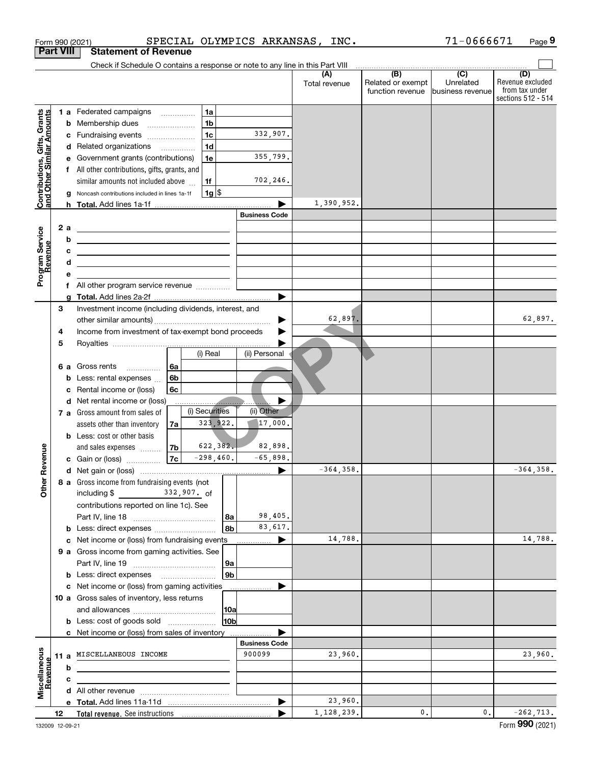|                                                           |                  |   | SPECIAL OLYMPICS ARKANSAS, INC.<br>Form 990 (2021)                                                                                                                                                                                   |                      |               |                                                                                                      | 71-0666671                    | Page 9                                                   |
|-----------------------------------------------------------|------------------|---|--------------------------------------------------------------------------------------------------------------------------------------------------------------------------------------------------------------------------------------|----------------------|---------------|------------------------------------------------------------------------------------------------------|-------------------------------|----------------------------------------------------------|
|                                                           | <b>Part VIII</b> |   | <b>Statement of Revenue</b>                                                                                                                                                                                                          |                      |               |                                                                                                      |                               |                                                          |
|                                                           |                  |   | Check if Schedule O contains a response or note to any line in this Part VIII                                                                                                                                                        |                      | (A)           | $\begin{array}{c c c c c c} \hline \textbf{(B)} & \textbf{(C)} & \textbf{(D)} \\ \hline \end{array}$ |                               | (D)                                                      |
|                                                           |                  |   |                                                                                                                                                                                                                                      |                      | Total revenue | Related or exempt<br>function revenue                                                                | Unrelated<br>business revenue | Revenue excluded<br>from tax under<br>sections 512 - 514 |
|                                                           |                  |   | 1a<br><b>1 a</b> Federated campaigns                                                                                                                                                                                                 |                      |               |                                                                                                      |                               |                                                          |
| Contributions, Gifts, Grants<br>and Other Similar Amounts |                  | b | 1 <sub>b</sub><br>Membership dues                                                                                                                                                                                                    |                      |               |                                                                                                      |                               |                                                          |
|                                                           |                  |   | 1c<br>c Fundraising events                                                                                                                                                                                                           | 332,907.             |               |                                                                                                      |                               |                                                          |
|                                                           |                  |   | 1 <sub>d</sub><br>d Related organizations                                                                                                                                                                                            |                      |               |                                                                                                      |                               |                                                          |
|                                                           |                  | е | 1e<br>Government grants (contributions)                                                                                                                                                                                              | 355,799.             |               |                                                                                                      |                               |                                                          |
|                                                           |                  |   | f All other contributions, gifts, grants, and                                                                                                                                                                                        |                      |               |                                                                                                      |                               |                                                          |
|                                                           |                  |   | similar amounts not included above<br>1f                                                                                                                                                                                             | 702,246.             |               |                                                                                                      |                               |                                                          |
|                                                           |                  | g | $1g$ \$<br>Noncash contributions included in lines 1a-1f                                                                                                                                                                             |                      |               |                                                                                                      |                               |                                                          |
|                                                           |                  |   |                                                                                                                                                                                                                                      |                      | 1,390,952.    |                                                                                                      |                               |                                                          |
|                                                           |                  |   |                                                                                                                                                                                                                                      | <b>Business Code</b> |               |                                                                                                      |                               |                                                          |
|                                                           | 2 a              |   | <u>and the state of the state of the state of the state of the state of the state of the state of the state of the state of the state of the state of the state of the state of the state of the state of the state of the state</u> |                      |               |                                                                                                      |                               |                                                          |
|                                                           |                  | b | <u> 1989 - Johann Barn, fransk politik amerikansk politik (</u>                                                                                                                                                                      |                      |               |                                                                                                      |                               |                                                          |
|                                                           |                  | с | <u> 2000 - John Stein, Amerikaans en beskriuw om de gemeente van de gemeente van de gemeente van de gemeente van de</u>                                                                                                              |                      |               |                                                                                                      |                               |                                                          |
|                                                           |                  | d | the contract of the contract of the contract of the contract of the contract of                                                                                                                                                      |                      |               |                                                                                                      |                               |                                                          |
| Program Service<br>Revenue                                |                  | e |                                                                                                                                                                                                                                      |                      |               |                                                                                                      |                               |                                                          |
|                                                           |                  |   | f All other program service revenue                                                                                                                                                                                                  |                      |               |                                                                                                      |                               |                                                          |
|                                                           |                  |   |                                                                                                                                                                                                                                      |                      |               |                                                                                                      |                               |                                                          |
|                                                           | 3                |   | Investment income (including dividends, interest, and                                                                                                                                                                                |                      |               |                                                                                                      |                               |                                                          |
|                                                           |                  |   |                                                                                                                                                                                                                                      |                      | 62,897.       |                                                                                                      |                               | 62,897.                                                  |
|                                                           | 4                |   | Income from investment of tax-exempt bond proceeds                                                                                                                                                                                   |                      |               |                                                                                                      |                               |                                                          |
|                                                           | 5                |   |                                                                                                                                                                                                                                      |                      |               |                                                                                                      |                               |                                                          |
|                                                           |                  |   | (i) Real                                                                                                                                                                                                                             | (ii) Personal        |               |                                                                                                      |                               |                                                          |
|                                                           |                  |   | 6a<br>6 a Gross rents                                                                                                                                                                                                                |                      |               |                                                                                                      |                               |                                                          |
|                                                           |                  |   | 6 <sub>b</sub><br><b>b</b> Less: rental expenses                                                                                                                                                                                     |                      |               |                                                                                                      |                               |                                                          |
|                                                           |                  | c | 6c<br>Rental income or (loss)                                                                                                                                                                                                        |                      |               |                                                                                                      |                               |                                                          |
|                                                           |                  |   | d Net rental income or (loss)                                                                                                                                                                                                        |                      |               |                                                                                                      |                               |                                                          |
|                                                           |                  |   | (i) Securities<br>7 a Gross amount from sales of                                                                                                                                                                                     | (ii) Other           |               |                                                                                                      |                               |                                                          |
|                                                           |                  |   | 323, 922.<br>assets other than inventory<br>7a                                                                                                                                                                                       | $ 17,000$ .          |               |                                                                                                      |                               |                                                          |
|                                                           |                  |   | <b>b</b> Less: cost or other basis                                                                                                                                                                                                   |                      |               |                                                                                                      |                               |                                                          |
|                                                           |                  |   | 622, 382.<br>7b<br>and sales expenses                                                                                                                                                                                                | 82,898.              |               |                                                                                                      |                               |                                                          |
| evenue                                                    |                  |   | $-298,460.$<br>7c<br>c Gain or (loss)                                                                                                                                                                                                | $-65,898.$           |               |                                                                                                      |                               |                                                          |
| Œ                                                         |                  |   |                                                                                                                                                                                                                                      |                      | $-364, 358.$  |                                                                                                      |                               | $-364, 358.$                                             |
| Other                                                     |                  |   | 8 a Gross income from fundraising events (not                                                                                                                                                                                        |                      |               |                                                                                                      |                               |                                                          |
|                                                           |                  |   |                                                                                                                                                                                                                                      |                      |               |                                                                                                      |                               |                                                          |
|                                                           |                  |   | contributions reported on line 1c). See                                                                                                                                                                                              |                      |               |                                                                                                      |                               |                                                          |
|                                                           |                  |   | 8a                                                                                                                                                                                                                                   | 98,405.              |               |                                                                                                      |                               |                                                          |
|                                                           |                  |   | 8b                                                                                                                                                                                                                                   | 83,617.              |               |                                                                                                      |                               |                                                          |
|                                                           |                  |   | c Net income or (loss) from fundraising events                                                                                                                                                                                       | ▶                    | 14,788.       |                                                                                                      |                               | 14,788.                                                  |
|                                                           |                  |   | 9 a Gross income from gaming activities. See                                                                                                                                                                                         |                      |               |                                                                                                      |                               |                                                          |
|                                                           |                  |   | 9a                                                                                                                                                                                                                                   |                      |               |                                                                                                      |                               |                                                          |
|                                                           |                  |   | 9b                                                                                                                                                                                                                                   |                      |               |                                                                                                      |                               |                                                          |
|                                                           |                  |   | c Net income or (loss) from gaming activities                                                                                                                                                                                        | .                    |               |                                                                                                      |                               |                                                          |
|                                                           |                  |   | 10 a Gross sales of inventory, less returns                                                                                                                                                                                          |                      |               |                                                                                                      |                               |                                                          |
|                                                           |                  |   | 10a<br>10 <sub>b</sub>                                                                                                                                                                                                               |                      |               |                                                                                                      |                               |                                                          |
|                                                           |                  |   | <b>b</b> Less: cost of goods sold                                                                                                                                                                                                    |                      |               |                                                                                                      |                               |                                                          |
|                                                           |                  |   | c Net income or (loss) from sales of inventory                                                                                                                                                                                       | <b>Business Code</b> |               |                                                                                                      |                               |                                                          |
|                                                           |                  |   | 11 a MISCELLANEOUS INCOME                                                                                                                                                                                                            | 900099               | 23,960.       |                                                                                                      |                               | 23,960.                                                  |
|                                                           |                  | b |                                                                                                                                                                                                                                      |                      |               |                                                                                                      |                               |                                                          |
| Revenue                                                   |                  | с |                                                                                                                                                                                                                                      |                      |               |                                                                                                      |                               |                                                          |
| Miscellaneous                                             |                  |   |                                                                                                                                                                                                                                      |                      |               |                                                                                                      |                               |                                                          |
|                                                           |                  |   |                                                                                                                                                                                                                                      | ▶                    | 23,960.       |                                                                                                      |                               |                                                          |
|                                                           |                  |   |                                                                                                                                                                                                                                      |                      | 1,128,239.    | 0.                                                                                                   | 0.                            | $-262, 713.$                                             |
|                                                           | 12               |   |                                                                                                                                                                                                                                      |                      |               |                                                                                                      |                               |                                                          |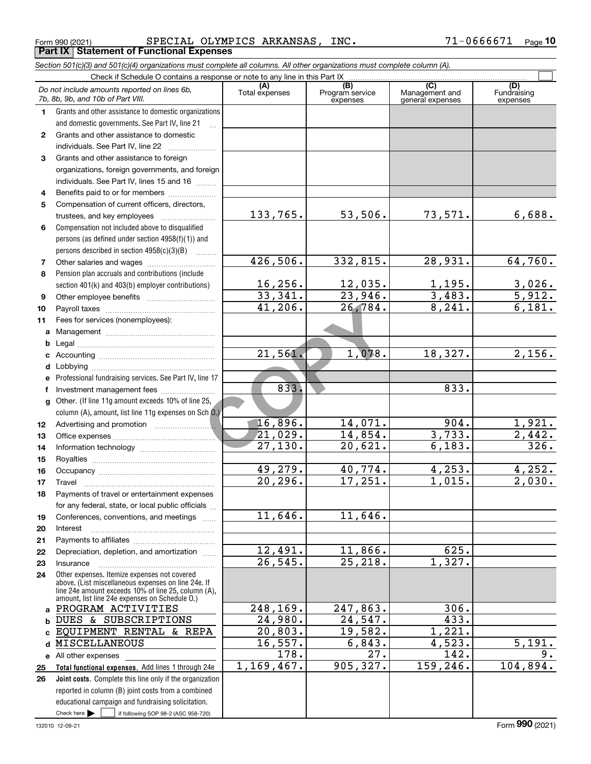**10**

|              | Do not include amounts reported on lines 6b,<br>7b, 8b, 9b, and 10b of Part VIII.                                                                          | (A)<br>Total expenses | (B)<br>Program service<br>expenses | $\overline{C}$<br>Management and<br>general expenses | (D)<br>Fundraising<br>expenses |
|--------------|------------------------------------------------------------------------------------------------------------------------------------------------------------|-----------------------|------------------------------------|------------------------------------------------------|--------------------------------|
| 1            | Grants and other assistance to domestic organizations                                                                                                      |                       |                                    |                                                      |                                |
|              | and domestic governments. See Part IV, line 21                                                                                                             |                       |                                    |                                                      |                                |
| $\mathbf{2}$ | Grants and other assistance to domestic                                                                                                                    |                       |                                    |                                                      |                                |
|              | individuals. See Part IV, line 22                                                                                                                          |                       |                                    |                                                      |                                |
| 3            | Grants and other assistance to foreign                                                                                                                     |                       |                                    |                                                      |                                |
|              | organizations, foreign governments, and foreign                                                                                                            |                       |                                    |                                                      |                                |
|              | individuals. See Part IV, lines 15 and 16                                                                                                                  |                       |                                    |                                                      |                                |
| 4            | Benefits paid to or for members                                                                                                                            |                       |                                    |                                                      |                                |
| 5            | Compensation of current officers, directors,                                                                                                               |                       |                                    |                                                      |                                |
|              | trustees, and key employees                                                                                                                                | 133,765.              | 53,506.                            | 73,571.                                              | 6,688.                         |
| 6            | Compensation not included above to disqualified                                                                                                            |                       |                                    |                                                      |                                |
|              | persons (as defined under section 4958(f)(1)) and                                                                                                          |                       |                                    |                                                      |                                |
|              | persons described in section 4958(c)(3)(B)                                                                                                                 |                       |                                    |                                                      |                                |
| 7            | Other salaries and wages                                                                                                                                   | 426,506.              | 332,815.                           | $\overline{28,931}$ .                                | 64,760.                        |
| 8            | Pension plan accruals and contributions (include                                                                                                           |                       |                                    |                                                      |                                |
|              | section 401(k) and 403(b) employer contributions)                                                                                                          | 16, 256.              | 12,035.                            | $\frac{1,195.}{3,483.}$                              | 3,026.                         |
| 9            |                                                                                                                                                            | 33,341.               | 23,946.                            |                                                      | 5,912.                         |
| 10           |                                                                                                                                                            | 41,206.               | $\overline{26,784}$ .              | 8,241.                                               | 6,181.                         |
| 11           | Fees for services (nonemployees):                                                                                                                          |                       |                                    |                                                      |                                |
| a            |                                                                                                                                                            |                       |                                    |                                                      |                                |
| b            |                                                                                                                                                            |                       |                                    |                                                      |                                |
|              |                                                                                                                                                            | 21,561.               | 1,078.                             | 18,327.                                              | 2,156.                         |
|              |                                                                                                                                                            |                       |                                    |                                                      |                                |
| е            | Professional fundraising services. See Part IV, line 17                                                                                                    |                       |                                    |                                                      |                                |
| f            | Investment management fees                                                                                                                                 | 833.                  |                                    | 833.                                                 |                                |
| g            | Other. (If line 11g amount exceeds 10% of line 25,                                                                                                         |                       |                                    |                                                      |                                |
|              | column (A), amount, list line 11g expenses on Sch 0.)                                                                                                      | 16,896.               | 14,071.                            | 904.                                                 |                                |
| 12           |                                                                                                                                                            | 21,029.               | 14,854.                            | 3,733.                                               | 1,921.<br>2,442.               |
| 13           |                                                                                                                                                            | 27,130.               | 20,621.                            | 6,183.                                               | 326.                           |
| 14           |                                                                                                                                                            |                       |                                    |                                                      |                                |
| 15           |                                                                                                                                                            | 49,279.               | 40,774.                            | 4,253.                                               | 4,252.                         |
| 16           |                                                                                                                                                            | 20, 296.              | 17,251.                            | 1,015.                                               | 2,030.                         |
| 17           | Travel<br>Payments of travel or entertainment expenses                                                                                                     |                       |                                    |                                                      |                                |
| 18           | for any federal, state, or local public officials                                                                                                          |                       |                                    |                                                      |                                |
| 19           | Conferences, conventions, and meetings                                                                                                                     | 11,646.               | 11,646.                            |                                                      |                                |
| 20           | Interest                                                                                                                                                   |                       |                                    |                                                      |                                |
| 21           |                                                                                                                                                            |                       |                                    |                                                      |                                |
| 22           | Depreciation, depletion, and amortization                                                                                                                  | 12,491.               | 11,866.                            | 625.                                                 |                                |
| 23           | Insurance                                                                                                                                                  | 26, 545.              | 25, 218.                           | 1,327.                                               |                                |
| 24           | Other expenses. Itemize expenses not covered<br>above. (List miscellaneous expenses on line 24e. If<br>line 24e amount exceeds 10% of line 25, column (A), |                       |                                    |                                                      |                                |
|              | amount, list line 24e expenses on Schedule 0.)<br>a PROGRAM ACTIVITIES                                                                                     | 248,169.              | 247,863.                           | 306.                                                 |                                |
|              | <b>b DUES &amp; SUBSCRIPTIONS</b>                                                                                                                          | 24,980.               | 24,547.                            | 433.                                                 |                                |
|              | c EQUIPMENT RENTAL & REPA                                                                                                                                  | 20,803.               | 19,582.                            | 1,221.                                               |                                |
|              | d MISCELLANEOUS                                                                                                                                            | 16,557.               | 6,843.                             | 4,523.                                               | 5,191.                         |
|              | e All other expenses                                                                                                                                       | $\overline{178}$ .    | 27.                                | 142.                                                 | 9.                             |
| 25           | Total functional expenses. Add lines 1 through 24e                                                                                                         | 1,169,467.            | 905, 327.                          | 159,246.                                             | 104,894.                       |
| 26           | Joint costs. Complete this line only if the organization                                                                                                   |                       |                                    |                                                      |                                |
|              | reported in column (B) joint costs from a combined                                                                                                         |                       |                                    |                                                      |                                |
|              | educational campaign and fundraising solicitation.                                                                                                         |                       |                                    |                                                      |                                |
|              | Check here $\blacktriangleright$<br>if following SOP 98-2 (ASC 958-720)                                                                                    |                       |                                    |                                                      |                                |

# *Section 501(c)(3) and 501(c)(4) organizations must complete all columns. All other organizations must complete column (A).*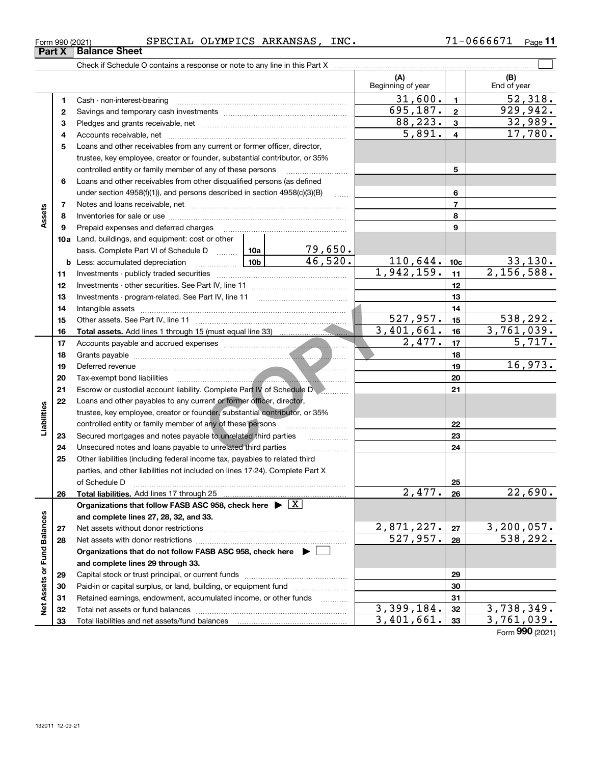| Form 990 (2021) |                      | SPEC:<br>.AL | OLYMPICS | <b>ARKANSAS</b>           | INC. | Page |
|-----------------|----------------------|--------------|----------|---------------------------|------|------|
| Part X          | <b>Balance Sheet</b> |              |          |                           |      |      |
|                 | .<br>$ -$            |              |          | .<br>$\sim$ $\sim$ $\sim$ |      |      |

|                             |          |                                                                                                                                                                                                                                                                                                                                                                                                                                 |            |                         | (A)<br>Beginning of year |                 | (B)<br>End of year         |
|-----------------------------|----------|---------------------------------------------------------------------------------------------------------------------------------------------------------------------------------------------------------------------------------------------------------------------------------------------------------------------------------------------------------------------------------------------------------------------------------|------------|-------------------------|--------------------------|-----------------|----------------------------|
|                             | 1        |                                                                                                                                                                                                                                                                                                                                                                                                                                 |            |                         | 31,600.                  | $\blacksquare$  | 52,318.                    |
|                             | 2        |                                                                                                                                                                                                                                                                                                                                                                                                                                 |            |                         | 695, 187.                | $\mathbf{2}$    | 929,942.                   |
|                             | з        |                                                                                                                                                                                                                                                                                                                                                                                                                                 |            |                         | 88, 223.                 | $\mathbf{3}$    | 32,989.                    |
|                             | 4        |                                                                                                                                                                                                                                                                                                                                                                                                                                 |            |                         | 5,891.                   | $\overline{4}$  | 17,780.                    |
|                             | 5        | Loans and other receivables from any current or former officer, director,                                                                                                                                                                                                                                                                                                                                                       |            |                         |                          |                 |                            |
|                             |          | trustee, key employee, creator or founder, substantial contributor, or 35%                                                                                                                                                                                                                                                                                                                                                      |            |                         |                          |                 |                            |
|                             |          | controlled entity or family member of any of these persons                                                                                                                                                                                                                                                                                                                                                                      |            |                         |                          | 5               |                            |
|                             | 6        | Loans and other receivables from other disqualified persons (as defined                                                                                                                                                                                                                                                                                                                                                         |            |                         |                          |                 |                            |
|                             |          | under section 4958(f)(1)), and persons described in section 4958(c)(3)(B)                                                                                                                                                                                                                                                                                                                                                       |            | 6                       |                          |                 |                            |
|                             | 7        |                                                                                                                                                                                                                                                                                                                                                                                                                                 |            |                         |                          | $\overline{7}$  |                            |
| Assets                      | 8        |                                                                                                                                                                                                                                                                                                                                                                                                                                 |            |                         |                          | 8               |                            |
|                             | 9        | Prepaid expenses and deferred charges                                                                                                                                                                                                                                                                                                                                                                                           |            |                         |                          | 9               |                            |
|                             |          | <b>10a</b> Land, buildings, and equipment: cost or other                                                                                                                                                                                                                                                                                                                                                                        |            |                         |                          |                 |                            |
|                             |          | basis. Complete Part VI of Schedule D  10a                                                                                                                                                                                                                                                                                                                                                                                      |            | $\frac{79,650}{46,520}$ |                          |                 |                            |
|                             |          | <b>b</b> Less: accumulated depreciation<br>.                                                                                                                                                                                                                                                                                                                                                                                    | 10b        |                         | 110,644.                 | 10 <sub>c</sub> | $\frac{33,130}{2,156,588}$ |
|                             | 11       |                                                                                                                                                                                                                                                                                                                                                                                                                                 | 1,942,159. | 11                      |                          |                 |                            |
|                             | 12       |                                                                                                                                                                                                                                                                                                                                                                                                                                 |            | 12                      |                          |                 |                            |
|                             | 13       | Investments - program-related. See Part IV, line 11                                                                                                                                                                                                                                                                                                                                                                             |            |                         | 13                       |                 |                            |
|                             | 14       |                                                                                                                                                                                                                                                                                                                                                                                                                                 |            | 14                      |                          |                 |                            |
|                             | 15       |                                                                                                                                                                                                                                                                                                                                                                                                                                 |            |                         | 527,957.                 | 15              | <u>538,292.</u>            |
|                             | 16       |                                                                                                                                                                                                                                                                                                                                                                                                                                 |            |                         | 3,401,661.               | 16              | 3,761,039.                 |
|                             | 17       |                                                                                                                                                                                                                                                                                                                                                                                                                                 |            |                         | 2,477.                   | 17              | 5,717.                     |
|                             | 18       |                                                                                                                                                                                                                                                                                                                                                                                                                                 |            |                         |                          | 18              |                            |
|                             | 19       |                                                                                                                                                                                                                                                                                                                                                                                                                                 |            |                         |                          | 19              | 16,973.                    |
|                             | 20       |                                                                                                                                                                                                                                                                                                                                                                                                                                 |            | 20                      |                          |                 |                            |
|                             | 21       | Escrow or custodial account liability. Complete Part IV of Schedule D                                                                                                                                                                                                                                                                                                                                                           |            | 21                      |                          |                 |                            |
|                             | 22       | Loans and other payables to any current or former officer, director,                                                                                                                                                                                                                                                                                                                                                            |            |                         |                          |                 |                            |
| Liabilities                 |          | trustee, key employee, creator or founder, substantial contributor, or 35%                                                                                                                                                                                                                                                                                                                                                      |            |                         |                          |                 |                            |
|                             |          | controlled entity or family member of any of these persons                                                                                                                                                                                                                                                                                                                                                                      |            |                         |                          | 22              |                            |
|                             | 23       | Secured mortgages and notes payable to unrelated third parties                                                                                                                                                                                                                                                                                                                                                                  |            |                         |                          | 23              |                            |
|                             | 24       | Unsecured notes and loans payable to unrelated third parties                                                                                                                                                                                                                                                                                                                                                                    |            |                         |                          | 24              |                            |
|                             | 25       | Other liabilities (including federal income tax, payables to related third                                                                                                                                                                                                                                                                                                                                                      |            |                         |                          |                 |                            |
|                             |          | parties, and other liabilities not included on lines 17-24). Complete Part X                                                                                                                                                                                                                                                                                                                                                    |            |                         |                          |                 |                            |
|                             |          | of Schedule D<br>$\begin{bmatrix} \rule{0mm}{6mm} \rule{0mm}{6mm} \rule{0mm}{6mm} \rule{0mm}{6mm} \rule{0mm}{6mm} \rule{0mm}{6mm} \rule{0mm}{6mm} \rule{0mm}{6mm} \rule{0mm}{6mm} \rule{0mm}{6mm} \rule{0mm}{6mm} \rule{0mm}{6mm} \rule{0mm}{6mm} \rule{0mm}{6mm} \rule{0mm}{6mm} \rule{0mm}{6mm} \rule{0mm}{6mm} \rule{0mm}{6mm} \rule{0mm}{6mm} \rule{0mm}{6mm} \rule{0mm}{6mm} \rule{0mm}{6mm} \rule{0mm}{6mm} \rule{0mm}{6$ |            |                         | 2,477.                   | 25              | 22,690.                    |
|                             | 26       |                                                                                                                                                                                                                                                                                                                                                                                                                                 |            |                         |                          | 26              |                            |
|                             |          | Organizations that follow FASB ASC 958, check here $\blacktriangleright \boxed{X}$<br>and complete lines 27, 28, 32, and 33.                                                                                                                                                                                                                                                                                                    |            |                         |                          |                 |                            |
|                             |          | Net assets without donor restrictions                                                                                                                                                                                                                                                                                                                                                                                           |            |                         | 2,871,227.               | 27              | 3,200,057.                 |
|                             | 27<br>28 | Net assets with donor restrictions                                                                                                                                                                                                                                                                                                                                                                                              |            |                         | 527,957.                 | 28              | 538, 292.                  |
|                             |          | Organizations that do not follow FASB ASC 958, check here $\blacktriangleright$                                                                                                                                                                                                                                                                                                                                                 |            |                         |                          |                 |                            |
|                             |          | and complete lines 29 through 33.                                                                                                                                                                                                                                                                                                                                                                                               |            |                         |                          |                 |                            |
|                             | 29       |                                                                                                                                                                                                                                                                                                                                                                                                                                 |            |                         | 29                       |                 |                            |
|                             | 30       | Paid-in or capital surplus, or land, building, or equipment fund                                                                                                                                                                                                                                                                                                                                                                |            | 30                      |                          |                 |                            |
| Net Assets or Fund Balances | 31       | Retained earnings, endowment, accumulated income, or other funds                                                                                                                                                                                                                                                                                                                                                                |            |                         |                          | 31              |                            |
|                             | 32       | Total net assets or fund balances                                                                                                                                                                                                                                                                                                                                                                                               | .          | 3,399,184.              | 32                       | 3,738,349.      |                            |
|                             | 33       |                                                                                                                                                                                                                                                                                                                                                                                                                                 |            |                         | 3,401,661.               | 33              | 3,761,039.                 |
|                             |          |                                                                                                                                                                                                                                                                                                                                                                                                                                 |            |                         |                          |                 | Form 990 (2021)            |
|                             |          |                                                                                                                                                                                                                                                                                                                                                                                                                                 |            |                         |                          |                 |                            |

### **Part X Balance S**

| Form 990 (2021 |  |
|----------------|--|
|                |  |

 $\overline{\phantom{a}}$ 

 $\overline{\phantom{0}}$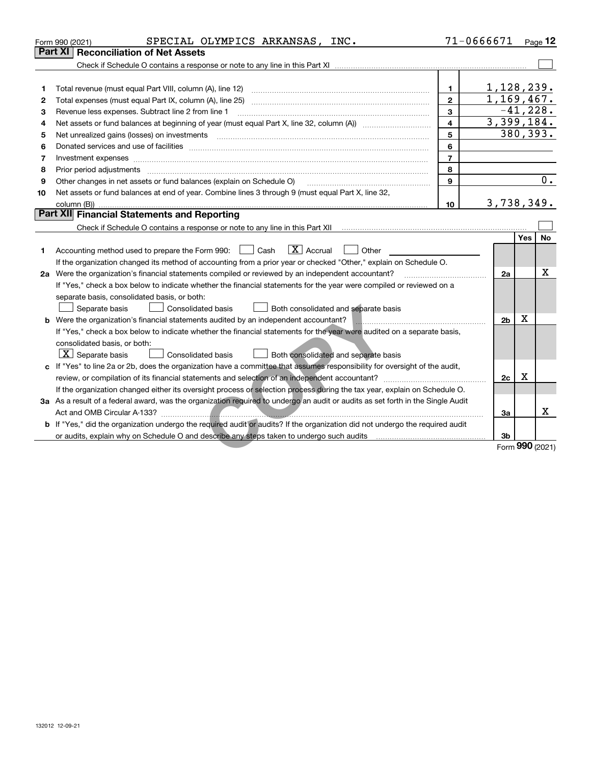|    | SPECIAL OLYMPICS ARKANSAS, INC.<br>Form 990 (2021)                                                                                                                                                                             | 71-0666671              |                 |             | Page $12$ |
|----|--------------------------------------------------------------------------------------------------------------------------------------------------------------------------------------------------------------------------------|-------------------------|-----------------|-------------|-----------|
|    | Part XI<br><b>Reconciliation of Net Assets</b>                                                                                                                                                                                 |                         |                 |             |           |
|    |                                                                                                                                                                                                                                |                         |                 |             |           |
|    |                                                                                                                                                                                                                                |                         |                 |             |           |
| 1  | Total revenue (must equal Part VIII, column (A), line 12)                                                                                                                                                                      | $\mathbf{1}$            | 1,128,239.      |             |           |
| 2  |                                                                                                                                                                                                                                | $\overline{2}$          | 1,169,467.      |             |           |
| 3  | Revenue less expenses. Subtract line 2 from line 1                                                                                                                                                                             | 3                       |                 | $-41, 228.$ |           |
| 4  |                                                                                                                                                                                                                                | $\overline{\mathbf{4}}$ | 3,399,184.      |             |           |
| 5  |                                                                                                                                                                                                                                | 5                       |                 | 380,393.    |           |
| 6  |                                                                                                                                                                                                                                | 6                       |                 |             |           |
| 7  | Investment expenses www.communication.com/www.communication.com/www.communication.com/www.com                                                                                                                                  | $\overline{7}$          |                 |             |           |
| 8  | Prior period adjustments material contents and content of the content of the content of the content of the content of the content of the content of the content of the content of the content of the content of the content of | 8                       |                 |             |           |
| 9  | Other changes in net assets or fund balances (explain on Schedule O)                                                                                                                                                           | 9                       |                 |             | 0.        |
| 10 | Net assets or fund balances at end of year. Combine lines 3 through 9 (must equal Part X, line 32,                                                                                                                             |                         |                 |             |           |
|    | column (B))                                                                                                                                                                                                                    | 10                      | 3,738,349.      |             |           |
|    | <b>Part XII Financial Statements and Reporting</b>                                                                                                                                                                             |                         |                 |             |           |
|    |                                                                                                                                                                                                                                |                         |                 |             |           |
|    |                                                                                                                                                                                                                                |                         |                 | Yes         | No        |
| 1  | $\boxed{\mathbf{X}}$ Accrual<br>Accounting method used to prepare the Form 990: <u>II</u> Cash<br>Other                                                                                                                        |                         |                 |             |           |
|    | If the organization changed its method of accounting from a prior year or checked "Other," explain on Schedule O.                                                                                                              |                         |                 |             |           |
|    | 2a Were the organization's financial statements compiled or reviewed by an independent accountant?                                                                                                                             |                         | 2a              |             | х         |
|    | If "Yes," check a box below to indicate whether the financial statements for the year were compiled or reviewed on a                                                                                                           |                         |                 |             |           |
|    | separate basis, consolidated basis, or both:                                                                                                                                                                                   |                         |                 |             |           |
|    | Separate basis<br><b>Consolidated basis</b><br>Both consolidated and separate basis                                                                                                                                            |                         |                 |             |           |
|    | b Were the organization's financial statements audited by an independent accountant?                                                                                                                                           |                         | 2 <sub>b</sub>  | x           |           |
|    | If "Yes," check a box below to indicate whether the financial statements for the year were audited on a separate basis,                                                                                                        |                         |                 |             |           |
|    | consolidated basis, or both:                                                                                                                                                                                                   |                         |                 |             |           |
|    | $\lfloor x \rfloor$ Separate basis<br>Both consolidated and separate basis<br>Consolidated basis                                                                                                                               |                         |                 |             |           |
|    | c If "Yes" to line 2a or 2b, does the organization have a committee that assumes responsibility for oversight of the audit,                                                                                                    |                         |                 |             |           |
|    |                                                                                                                                                                                                                                |                         | 2c              | X           |           |
|    | If the organization changed either its oversight process or selection process during the tax year, explain on Schedule O.                                                                                                      |                         |                 |             |           |
|    | 3a As a result of a federal award, was the organization required to undergo an audit or audits as set forth in the Single Audit                                                                                                |                         |                 |             |           |
|    |                                                                                                                                                                                                                                |                         | За              |             | Χ         |
|    | b If "Yes," did the organization undergo the required audit or audits? If the organization did not undergo the required audit                                                                                                  |                         |                 |             |           |
|    | or audits, explain why on Schedule O and describe any steps taken to undergo such audits                                                                                                                                       |                         | 3b              |             |           |
|    |                                                                                                                                                                                                                                |                         | Form 990 (2021) |             |           |

Form (2021) **990**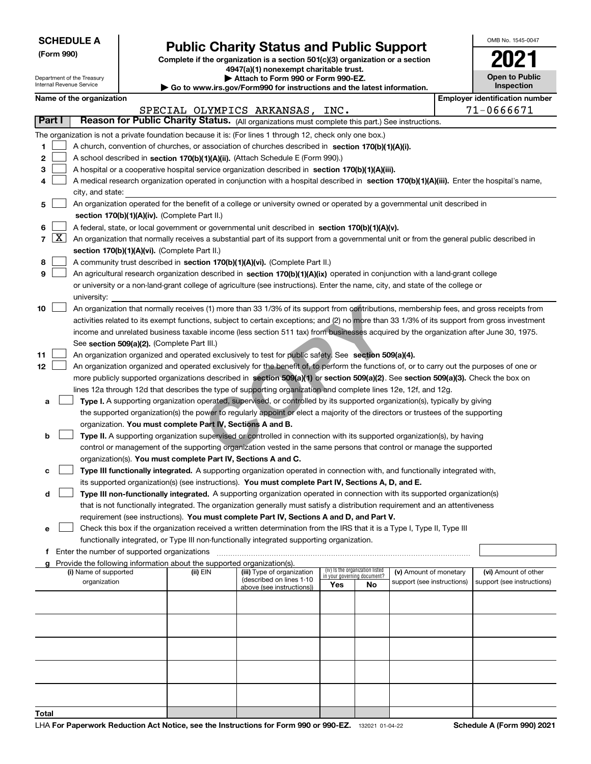| <b>SCHEDULE A</b> |  |
|-------------------|--|
|-------------------|--|

**(Form 990)**

## **Public Charity Status and Public Support**

**Complete if the organization is a section 501(c)(3) organization or a section 4947(a)(1) nonexempt charitable trust.**

| Internal Revenue Service | Department of the Treasury                                                                                                                                                 |  |                                                                        | Attach to Form 990 or Form 990-EZ.<br>$\blacktriangleright$ Go to www.irs.gov/Form990 for instructions and the latest information.           |     |                                                                |                            |  | <b>Open to Public</b><br>Inspection   |
|--------------------------|----------------------------------------------------------------------------------------------------------------------------------------------------------------------------|--|------------------------------------------------------------------------|----------------------------------------------------------------------------------------------------------------------------------------------|-----|----------------------------------------------------------------|----------------------------|--|---------------------------------------|
|                          | Name of the organization                                                                                                                                                   |  |                                                                        |                                                                                                                                              |     |                                                                |                            |  | <b>Employer identification number</b> |
|                          |                                                                                                                                                                            |  |                                                                        | SPECIAL OLYMPICS ARKANSAS, INC.                                                                                                              |     |                                                                |                            |  | 71-0666671                            |
| Part I                   |                                                                                                                                                                            |  |                                                                        | Reason for Public Charity Status. (All organizations must complete this part.) See instructions.                                             |     |                                                                |                            |  |                                       |
|                          |                                                                                                                                                                            |  |                                                                        | The organization is not a private foundation because it is: (For lines 1 through 12, check only one box.)                                    |     |                                                                |                            |  |                                       |
| 1                        |                                                                                                                                                                            |  |                                                                        | A church, convention of churches, or association of churches described in section 170(b)(1)(A)(i).                                           |     |                                                                |                            |  |                                       |
| 2                        |                                                                                                                                                                            |  |                                                                        | A school described in section 170(b)(1)(A)(ii). (Attach Schedule E (Form 990).)                                                              |     |                                                                |                            |  |                                       |
| з                        |                                                                                                                                                                            |  |                                                                        | A hospital or a cooperative hospital service organization described in section 170(b)(1)(A)(iii).                                            |     |                                                                |                            |  |                                       |
| 4                        |                                                                                                                                                                            |  |                                                                        | A medical research organization operated in conjunction with a hospital described in section 170(b)(1)(A)(iii). Enter the hospital's name,   |     |                                                                |                            |  |                                       |
|                          | city, and state:                                                                                                                                                           |  |                                                                        |                                                                                                                                              |     |                                                                |                            |  |                                       |
| 5                        |                                                                                                                                                                            |  |                                                                        |                                                                                                                                              |     |                                                                |                            |  |                                       |
|                          | An organization operated for the benefit of a college or university owned or operated by a governmental unit described in<br>section 170(b)(1)(A)(iv). (Complete Part II.) |  |                                                                        |                                                                                                                                              |     |                                                                |                            |  |                                       |
| 6                        |                                                                                                                                                                            |  |                                                                        | A federal, state, or local government or governmental unit described in section 170(b)(1)(A)(v).                                             |     |                                                                |                            |  |                                       |
| 7   X                    |                                                                                                                                                                            |  |                                                                        | An organization that normally receives a substantial part of its support from a governmental unit or from the general public described in    |     |                                                                |                            |  |                                       |
|                          |                                                                                                                                                                            |  | section 170(b)(1)(A)(vi). (Complete Part II.)                          |                                                                                                                                              |     |                                                                |                            |  |                                       |
| 8                        |                                                                                                                                                                            |  |                                                                        | A community trust described in section 170(b)(1)(A)(vi). (Complete Part II.)                                                                 |     |                                                                |                            |  |                                       |
| 9                        |                                                                                                                                                                            |  |                                                                        | An agricultural research organization described in section 170(b)(1)(A)(ix) operated in conjunction with a land-grant college                |     |                                                                |                            |  |                                       |
|                          |                                                                                                                                                                            |  |                                                                        | or university or a non-land-grant college of agriculture (see instructions). Enter the name, city, and state of the college or               |     |                                                                |                            |  |                                       |
|                          | university:                                                                                                                                                                |  |                                                                        |                                                                                                                                              |     |                                                                |                            |  |                                       |
| 10                       |                                                                                                                                                                            |  |                                                                        | An organization that normally receives (1) more than 33 1/3% of its support from contributions, membership fees, and gross receipts from     |     |                                                                |                            |  |                                       |
|                          |                                                                                                                                                                            |  |                                                                        | activities related to its exempt functions, subject to certain exceptions; and (2) no more than 33 1/3% of its support from gross investment |     |                                                                |                            |  |                                       |
|                          |                                                                                                                                                                            |  |                                                                        | income and unrelated business taxable income (less section 511 tax) from businesses acquired by the organization after June 30, 1975.        |     |                                                                |                            |  |                                       |
|                          |                                                                                                                                                                            |  | See section 509(a)(2). (Complete Part III.)                            |                                                                                                                                              |     |                                                                |                            |  |                                       |
| 11                       |                                                                                                                                                                            |  |                                                                        | An organization organized and operated exclusively to test for public safety. See section 509(a)(4).                                         |     |                                                                |                            |  |                                       |
| 12                       |                                                                                                                                                                            |  |                                                                        | An organization organized and operated exclusively for the benefit of, to perform the functions of, or to carry out the purposes of one or   |     |                                                                |                            |  |                                       |
|                          |                                                                                                                                                                            |  |                                                                        | more publicly supported organizations described in section 509(a)(1) or section 509(a)(2). See section 509(a)(3). Check the box on           |     |                                                                |                            |  |                                       |
|                          |                                                                                                                                                                            |  |                                                                        | lines 12a through 12d that describes the type of supporting organization and complete lines 12e, 12f, and 12g.                               |     |                                                                |                            |  |                                       |
| а                        |                                                                                                                                                                            |  |                                                                        | Type I. A supporting organization operated, supervised, or controlled by its supported organization(s), typically by giving                  |     |                                                                |                            |  |                                       |
|                          |                                                                                                                                                                            |  |                                                                        | the supported organization(s) the power to regularly appoint or elect a majority of the directors or trustees of the supporting              |     |                                                                |                            |  |                                       |
|                          |                                                                                                                                                                            |  | organization. You must complete Part IV, Sections A and B.             |                                                                                                                                              |     |                                                                |                            |  |                                       |
| b                        |                                                                                                                                                                            |  |                                                                        | Type II. A supporting organization supervised or controlled in connection with its supported organization(s), by having                      |     |                                                                |                            |  |                                       |
|                          |                                                                                                                                                                            |  |                                                                        | control or management of the supporting organization vested in the same persons that control or manage the supported                         |     |                                                                |                            |  |                                       |
|                          |                                                                                                                                                                            |  | organization(s). You must complete Part IV, Sections A and C.          |                                                                                                                                              |     |                                                                |                            |  |                                       |
| с                        |                                                                                                                                                                            |  |                                                                        | Type III functionally integrated. A supporting organization operated in connection with, and functionally integrated with,                   |     |                                                                |                            |  |                                       |
|                          |                                                                                                                                                                            |  |                                                                        | its supported organization(s) (see instructions). You must complete Part IV, Sections A, D, and E.                                           |     |                                                                |                            |  |                                       |
| d                        |                                                                                                                                                                            |  |                                                                        | Type III non-functionally integrated. A supporting organization operated in connection with its supported organization(s)                    |     |                                                                |                            |  |                                       |
|                          |                                                                                                                                                                            |  |                                                                        | that is not functionally integrated. The organization generally must satisfy a distribution requirement and an attentiveness                 |     |                                                                |                            |  |                                       |
|                          |                                                                                                                                                                            |  |                                                                        | requirement (see instructions). You must complete Part IV, Sections A and D, and Part V.                                                     |     |                                                                |                            |  |                                       |
| е                        |                                                                                                                                                                            |  |                                                                        | Check this box if the organization received a written determination from the IRS that it is a Type I, Type II, Type III                      |     |                                                                |                            |  |                                       |
|                          |                                                                                                                                                                            |  |                                                                        | functionally integrated, or Type III non-functionally integrated supporting organization.                                                    |     |                                                                |                            |  |                                       |
|                          | f Enter the number of supported organizations                                                                                                                              |  |                                                                        |                                                                                                                                              |     |                                                                |                            |  |                                       |
| a                        |                                                                                                                                                                            |  | Provide the following information about the supported organization(s). |                                                                                                                                              |     |                                                                |                            |  |                                       |
|                          | (i) Name of supported                                                                                                                                                      |  | (ii) EIN                                                               | (iii) Type of organization<br>(described on lines 1-10                                                                                       |     | (iv) Is the organization listed<br>in your governing document? | (v) Amount of monetary     |  | (vi) Amount of other                  |
|                          | organization                                                                                                                                                               |  |                                                                        | above (see instructions))                                                                                                                    | Yes | No                                                             | support (see instructions) |  | support (see instructions)            |
|                          |                                                                                                                                                                            |  |                                                                        |                                                                                                                                              |     |                                                                |                            |  |                                       |
|                          |                                                                                                                                                                            |  |                                                                        |                                                                                                                                              |     |                                                                |                            |  |                                       |
|                          |                                                                                                                                                                            |  |                                                                        |                                                                                                                                              |     |                                                                |                            |  |                                       |
|                          |                                                                                                                                                                            |  |                                                                        |                                                                                                                                              |     |                                                                |                            |  |                                       |
|                          |                                                                                                                                                                            |  |                                                                        |                                                                                                                                              |     |                                                                |                            |  |                                       |
|                          |                                                                                                                                                                            |  |                                                                        |                                                                                                                                              |     |                                                                |                            |  |                                       |
|                          |                                                                                                                                                                            |  |                                                                        |                                                                                                                                              |     |                                                                |                            |  |                                       |
|                          |                                                                                                                                                                            |  |                                                                        |                                                                                                                                              |     |                                                                |                            |  |                                       |
|                          |                                                                                                                                                                            |  |                                                                        |                                                                                                                                              |     |                                                                |                            |  |                                       |
|                          |                                                                                                                                                                            |  |                                                                        |                                                                                                                                              |     |                                                                |                            |  |                                       |
| Total                    |                                                                                                                                                                            |  |                                                                        |                                                                                                                                              |     |                                                                |                            |  |                                       |

٦

OMB No. 1545-0047

**2021**

**Open to Public**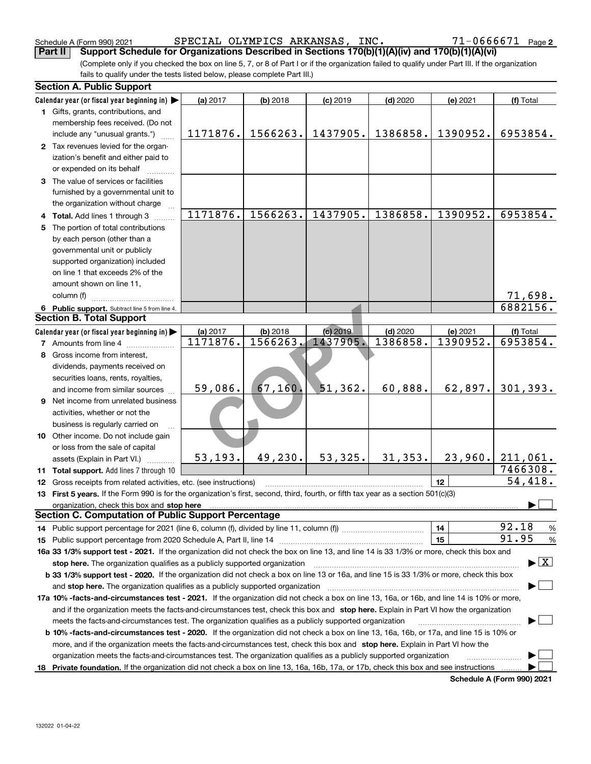Schedule A (Form 990) 2021 SPECIAL OLYMPICS ARKANSAS, INC。 7 I - U 6 6 6 7 I Page SPECIAL OLYMPICS ARKANSAS, INC. 71-0666671

(Complete only if you checked the box on line 5, 7, or 8 of Part I or if the organization failed to qualify under Part III. If the organization fails to qualify under the tests listed below, please complete Part III.) **Part II Support Schedule for Organizations Described in Sections 170(b)(1)(A)(iv) and 170(b)(1)(A)(vi)**

|    | <b>Section A. Public Support</b>                                                                                                               |          |            |            |            |          |                                          |
|----|------------------------------------------------------------------------------------------------------------------------------------------------|----------|------------|------------|------------|----------|------------------------------------------|
|    | Calendar year (or fiscal year beginning in)                                                                                                    | (a) 2017 | $(b)$ 2018 | $(c)$ 2019 | $(d)$ 2020 | (e) 2021 | (f) Total                                |
|    | 1 Gifts, grants, contributions, and                                                                                                            |          |            |            |            |          |                                          |
|    | membership fees received. (Do not                                                                                                              |          |            |            |            |          |                                          |
|    | include any "unusual grants.")                                                                                                                 | 1171876. | 1566263.   | 1437905.   | 1386858.   | 1390952. | 6953854.                                 |
|    | 2 Tax revenues levied for the organ-                                                                                                           |          |            |            |            |          |                                          |
|    | ization's benefit and either paid to                                                                                                           |          |            |            |            |          |                                          |
|    | or expended on its behalf                                                                                                                      |          |            |            |            |          |                                          |
|    | 3 The value of services or facilities                                                                                                          |          |            |            |            |          |                                          |
|    | furnished by a governmental unit to                                                                                                            |          |            |            |            |          |                                          |
|    | the organization without charge                                                                                                                |          |            |            |            |          |                                          |
|    | 4 Total. Add lines 1 through 3                                                                                                                 | 1171876. | 1566263.   | 1437905.   | 1386858.   | 1390952. | 6953854.                                 |
| 5  | The portion of total contributions                                                                                                             |          |            |            |            |          |                                          |
|    | by each person (other than a                                                                                                                   |          |            |            |            |          |                                          |
|    | governmental unit or publicly                                                                                                                  |          |            |            |            |          |                                          |
|    | supported organization) included                                                                                                               |          |            |            |            |          |                                          |
|    | on line 1 that exceeds 2% of the                                                                                                               |          |            |            |            |          |                                          |
|    | amount shown on line 11,                                                                                                                       |          |            |            |            |          |                                          |
|    | column (f)                                                                                                                                     |          |            |            |            |          | 71,698.                                  |
|    | 6 Public support. Subtract line 5 from line 4.                                                                                                 |          |            |            |            |          | 6882156.                                 |
|    | <b>Section B. Total Support</b>                                                                                                                |          |            |            |            |          |                                          |
|    | Calendar year (or fiscal year beginning in)                                                                                                    | (a) 2017 | $(b)$ 2018 | (c) 2019   | $(d)$ 2020 | (e) 2021 | (f) Total                                |
|    | <b>7</b> Amounts from line 4                                                                                                                   | 1171876. | 1566263.   | 1437905.   | 1386858.   | 1390952. | 6953854.                                 |
|    | 8 Gross income from interest,                                                                                                                  |          |            |            |            |          |                                          |
|    | dividends, payments received on                                                                                                                |          |            |            |            |          |                                          |
|    | securities loans, rents, royalties,                                                                                                            |          |            |            |            |          |                                          |
|    | and income from similar sources                                                                                                                | 59,086.  | 67,160.    | 51,362.    | 60,888.    | 62,897.  | 301, 393.                                |
|    | 9 Net income from unrelated business                                                                                                           |          |            |            |            |          |                                          |
|    | activities, whether or not the                                                                                                                 |          |            |            |            |          |                                          |
|    | business is regularly carried on                                                                                                               |          |            |            |            |          |                                          |
|    | 10 Other income. Do not include gain                                                                                                           |          |            |            |            |          |                                          |
|    | or loss from the sale of capital                                                                                                               |          |            |            |            |          |                                          |
|    | assets (Explain in Part VI.)                                                                                                                   | 53, 193. | 49,230.    | 53, 325.   | 31, 353.   | 23,960.  | 211,061.                                 |
|    | 11 Total support. Add lines 7 through 10                                                                                                       |          |            |            |            |          | 7466308.                                 |
|    | 12 Gross receipts from related activities, etc. (see instructions)                                                                             |          |            |            |            | 12       | 54,418.                                  |
|    | 13 First 5 years. If the Form 990 is for the organization's first, second, third, fourth, or fifth tax year as a section 501(c)(3)             |          |            |            |            |          |                                          |
|    | organization, check this box and stop here                                                                                                     |          |            |            |            |          |                                          |
|    | <b>Section C. Computation of Public Support Percentage</b>                                                                                     |          |            |            |            |          |                                          |
|    | 14 Public support percentage for 2021 (line 6, column (f), divided by line 11, column (f) <i>mummumumum</i>                                    |          |            |            |            | 14       | 92.18<br>%                               |
|    |                                                                                                                                                |          |            |            |            | 15       | 91.95<br>%                               |
|    | 16a 33 1/3% support test - 2021. If the organization did not check the box on line 13, and line 14 is 33 1/3% or more, check this box and      |          |            |            |            |          |                                          |
|    | stop here. The organization qualifies as a publicly supported organization                                                                     |          |            |            |            |          | $\blacktriangleright$ $\boxed{\text{X}}$ |
|    | b 33 1/3% support test - 2020. If the organization did not check a box on line 13 or 16a, and line 15 is 33 1/3% or more, check this box       |          |            |            |            |          |                                          |
|    | and stop here. The organization qualifies as a publicly supported organization                                                                 |          |            |            |            |          |                                          |
|    | 17a 10% -facts-and-circumstances test - 2021. If the organization did not check a box on line 13, 16a, or 16b, and line 14 is 10% or more,     |          |            |            |            |          |                                          |
|    | and if the organization meets the facts-and-circumstances test, check this box and stop here. Explain in Part VI how the organization          |          |            |            |            |          |                                          |
|    | meets the facts-and-circumstances test. The organization qualifies as a publicly supported organization                                        |          |            |            |            |          |                                          |
|    | <b>b 10% -facts-and-circumstances test - 2020.</b> If the organization did not check a box on line 13, 16a, 16b, or 17a, and line 15 is 10% or |          |            |            |            |          |                                          |
|    | more, and if the organization meets the facts-and-circumstances test, check this box and stop here. Explain in Part VI how the                 |          |            |            |            |          |                                          |
|    | organization meets the facts-and-circumstances test. The organization qualifies as a publicly supported organization                           |          |            |            |            |          |                                          |
| 18 | Private foundation. If the organization did not check a box on line 13, 16a, 16b, 17a, or 17b, check this box and see instructions             |          |            |            |            |          |                                          |
|    |                                                                                                                                                |          |            |            |            |          | Pohodulo A (Form 000) 2024               |

**Schedule A (Form 990) 2021**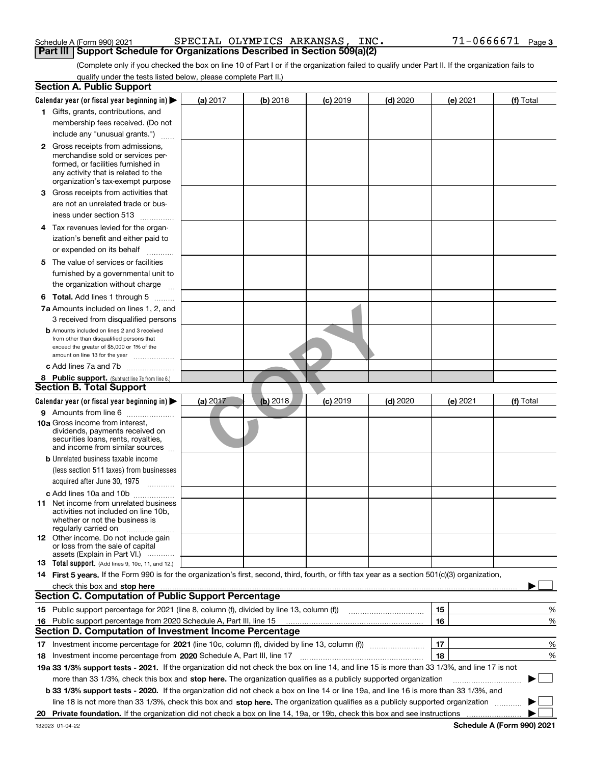| Schedule A (Form 990) 2021 |  |  |
|----------------------------|--|--|
|                            |  |  |

Schedule A (Form 990) 2021 SPECIAL OLYMPICS ARKANSAS , INC 71-0666671 <sub>Page</sub> **Part III Support Schedule for Organizations Described in Section 509(a)(2)** 

(Complete only if you checked the box on line 10 of Part I or if the organization failed to qualify under Part II. If the organization fails to qualify under the tests listed below, please complete Part II.)

| <b>Section A. Public Support</b>                                                                                                                                                                                                                                    |          |          |            |                                                                                                                      |    |          |                            |
|---------------------------------------------------------------------------------------------------------------------------------------------------------------------------------------------------------------------------------------------------------------------|----------|----------|------------|----------------------------------------------------------------------------------------------------------------------|----|----------|----------------------------|
| Calendar year (or fiscal year beginning in) $\blacktriangleright$                                                                                                                                                                                                   | (a) 2017 | (b) 2018 | $(c)$ 2019 | $(d)$ 2020                                                                                                           |    | (e) 2021 | (f) Total                  |
| 1 Gifts, grants, contributions, and                                                                                                                                                                                                                                 |          |          |            |                                                                                                                      |    |          |                            |
| membership fees received. (Do not                                                                                                                                                                                                                                   |          |          |            |                                                                                                                      |    |          |                            |
| include any "unusual grants.")                                                                                                                                                                                                                                      |          |          |            |                                                                                                                      |    |          |                            |
| <b>2</b> Gross receipts from admissions,<br>merchandise sold or services per-<br>formed, or facilities furnished in<br>any activity that is related to the<br>organization's tax-exempt purpose                                                                     |          |          |            |                                                                                                                      |    |          |                            |
| 3 Gross receipts from activities that<br>are not an unrelated trade or bus-                                                                                                                                                                                         |          |          |            |                                                                                                                      |    |          |                            |
| iness under section 513                                                                                                                                                                                                                                             |          |          |            |                                                                                                                      |    |          |                            |
| 4 Tax revenues levied for the organ-<br>ization's benefit and either paid to                                                                                                                                                                                        |          |          |            |                                                                                                                      |    |          |                            |
| or expended on its behalf<br>.                                                                                                                                                                                                                                      |          |          |            |                                                                                                                      |    |          |                            |
| 5 The value of services or facilities<br>furnished by a governmental unit to                                                                                                                                                                                        |          |          |            |                                                                                                                      |    |          |                            |
| the organization without charge                                                                                                                                                                                                                                     |          |          |            |                                                                                                                      |    |          |                            |
| <b>6 Total.</b> Add lines 1 through 5                                                                                                                                                                                                                               |          |          |            |                                                                                                                      |    |          |                            |
| 7a Amounts included on lines 1, 2, and                                                                                                                                                                                                                              |          |          |            |                                                                                                                      |    |          |                            |
| 3 received from disqualified persons<br><b>b</b> Amounts included on lines 2 and 3 received<br>from other than disqualified persons that<br>exceed the greater of \$5,000 or 1% of the<br>amount on line 13 for the year                                            |          |          |            |                                                                                                                      |    |          |                            |
| c Add lines 7a and 7b                                                                                                                                                                                                                                               |          |          |            |                                                                                                                      |    |          |                            |
| 8 Public support. (Subtract line 7c from line 6.)                                                                                                                                                                                                                   |          |          |            |                                                                                                                      |    |          |                            |
| <b>Section B. Total Support</b>                                                                                                                                                                                                                                     |          |          |            |                                                                                                                      |    |          |                            |
| Calendar year (or fiscal year beginning in)                                                                                                                                                                                                                         | (a) 2017 | (b) 2018 | $(c)$ 2019 | $(d)$ 2020                                                                                                           |    | (e) 2021 | (f) Total                  |
| 9 Amounts from line 6<br><b>10a</b> Gross income from interest,<br>dividends, payments received on<br>securities loans, rents, royalties,<br>and income from similar sources                                                                                        |          |          |            |                                                                                                                      |    |          |                            |
| <b>b</b> Unrelated business taxable income<br>(less section 511 taxes) from businesses<br>acquired after June 30, 1975                                                                                                                                              |          |          |            |                                                                                                                      |    |          |                            |
| c Add lines 10a and 10b<br>11 Net income from unrelated business<br>activities not included on line 10b,<br>whether or not the business is<br>regularly carried on                                                                                                  |          |          |            |                                                                                                                      |    |          |                            |
| <b>12</b> Other income. Do not include gain<br>or loss from the sale of capital<br>assets (Explain in Part VI.)                                                                                                                                                     |          |          |            |                                                                                                                      |    |          |                            |
| <b>13</b> Total support. (Add lines 9, 10c, 11, and 12.)                                                                                                                                                                                                            |          |          |            |                                                                                                                      |    |          |                            |
| 14 First 5 years. If the Form 990 is for the organization's first, second, third, fourth, or fifth tax year as a section 501(c)(3) organization,<br>check this box and stop here measurements are constructed as the state of the state of the state of the state o |          |          |            |                                                                                                                      |    |          |                            |
| <b>Section C. Computation of Public Support Percentage</b>                                                                                                                                                                                                          |          |          |            |                                                                                                                      |    |          |                            |
| 15 Public support percentage for 2021 (line 8, column (f), divided by line 13, column (f))                                                                                                                                                                          |          |          |            | <u> 1986 - Jan Stein Stein Stein Stein Stein Stein Stein Stein Stein Stein Stein Stein Stein Stein Stein Stein S</u> | 15 |          | %                          |
| 16 Public support percentage from 2020 Schedule A, Part III, line 15<br><b>Section D. Computation of Investment Income Percentage</b>                                                                                                                               |          |          |            |                                                                                                                      | 16 |          | %                          |
| 17 Investment income percentage for 2021 (line 10c, column (f), divided by line 13, column (f))                                                                                                                                                                     |          |          |            |                                                                                                                      | 17 |          | %                          |
| <b>18</b> Investment income percentage from <b>2020</b> Schedule A, Part III, line 17                                                                                                                                                                               |          |          |            |                                                                                                                      | 18 |          | %                          |
| 19a 33 1/3% support tests - 2021. If the organization did not check the box on line 14, and line 15 is more than 33 1/3%, and line 17 is not                                                                                                                        |          |          |            |                                                                                                                      |    |          |                            |
| more than 33 1/3%, check this box and stop here. The organization qualifies as a publicly supported organization                                                                                                                                                    |          |          |            |                                                                                                                      |    |          | ▶                          |
| b 33 1/3% support tests - 2020. If the organization did not check a box on line 14 or line 19a, and line 16 is more than 33 1/3%, and                                                                                                                               |          |          |            |                                                                                                                      |    |          |                            |
| line 18 is not more than 33 1/3%, check this box and stop here. The organization qualifies as a publicly supported organization                                                                                                                                     |          |          |            |                                                                                                                      |    |          |                            |
| 20 Private foundation. If the organization did not check a box on line 14, 19a, or 19b, check this box and see instructions                                                                                                                                         |          |          |            |                                                                                                                      |    |          | Pohodulo A (Form 000) 2024 |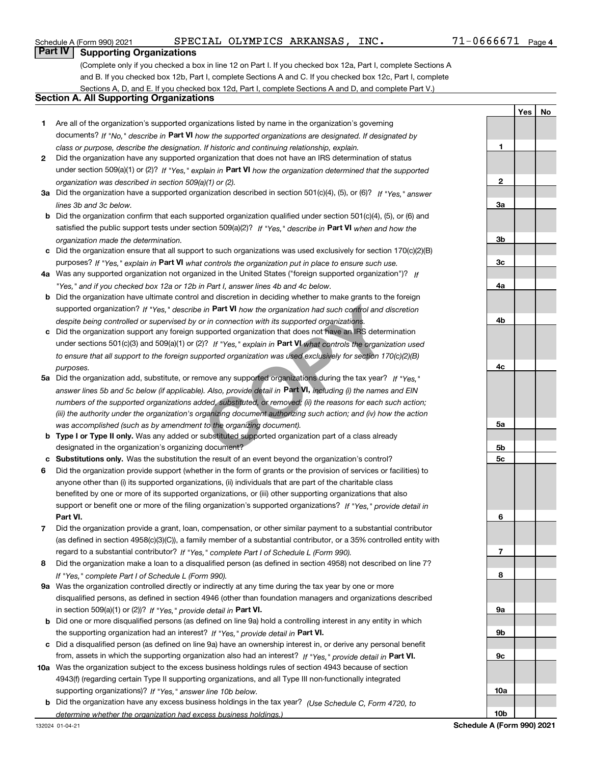#### Schedule A (Form 990) 2021 SPECIAL OLYMPICS ARKANSAS , INC 71-0666671 <sub>Page</sub>

**Yes No**

### **Part IV Supporting Organizations**

(Complete only if you checked a box in line 12 on Part I. If you checked box 12a, Part I, complete Sections A and B. If you checked box 12b, Part I, complete Sections A and C. If you checked box 12c, Part I, complete Sections A, D, and E. If you checked box 12d, Part I, complete Sections A and D, and complete Part V.)

#### **Section A. All Supporting Organizations**

- **1** Are all of the organization's supported organizations listed by name in the organization's governing documents? If "No," describe in **Part VI** how the supported organizations are designated. If designated by *class or purpose, describe the designation. If historic and continuing relationship, explain.*
- **2** Did the organization have any supported organization that does not have an IRS determination of status under section 509(a)(1) or (2)? If "Yes," explain in Part VI how the organization determined that the supported *organization was described in section 509(a)(1) or (2).*
- **3a** Did the organization have a supported organization described in section 501(c)(4), (5), or (6)? If "Yes," answer *lines 3b and 3c below.*
- **b** Did the organization confirm that each supported organization qualified under section 501(c)(4), (5), or (6) and satisfied the public support tests under section 509(a)(2)? If "Yes," describe in **Part VI** when and how the *organization made the determination.*
- **c**Did the organization ensure that all support to such organizations was used exclusively for section 170(c)(2)(B) purposes? If "Yes," explain in **Part VI** what controls the organization put in place to ensure such use.
- **4a***If* Was any supported organization not organized in the United States ("foreign supported organization")? *"Yes," and if you checked box 12a or 12b in Part I, answer lines 4b and 4c below.*
- **b** Did the organization have ultimate control and discretion in deciding whether to make grants to the foreign supported organization? If "Yes," describe in **Part VI** how the organization had such control and discretion *despite being controlled or supervised by or in connection with its supported organizations.*
- **c** Did the organization support any foreign supported organization that does not have an IRS determination under sections 501(c)(3) and 509(a)(1) or (2)? If "Yes," explain in **Part VI** what controls the organization used *to ensure that all support to the foreign supported organization was used exclusively for section 170(c)(2)(B) purposes.*
- **5a***If "Yes,"* Did the organization add, substitute, or remove any supported organizations during the tax year? answer lines 5b and 5c below (if applicable). Also, provide detail in **Part VI,** including (i) the names and EIN *numbers of the supported organizations added, substituted, or removed; (ii) the reasons for each such action; (iii) the authority under the organization's organizing document authorizing such action; and (iv) how the action was accomplished (such as by amendment to the organizing document).* in **Part VI** how the organization had such control and d<br>proving in connection with its supported organizations.<br>upported organization that does not have an IRS determ<br>?)? If "Yes," explain in **Part VI** what controls the o
- **b** Type I or Type II only. Was any added or substituted supported organization part of a class already designated in the organization's organizing document?
- **cSubstitutions only.**  Was the substitution the result of an event beyond the organization's control?
- **6** Did the organization provide support (whether in the form of grants or the provision of services or facilities) to **Part VI.** *If "Yes," provide detail in* support or benefit one or more of the filing organization's supported organizations? anyone other than (i) its supported organizations, (ii) individuals that are part of the charitable class benefited by one or more of its supported organizations, or (iii) other supporting organizations that also
- **7**Did the organization provide a grant, loan, compensation, or other similar payment to a substantial contributor *If "Yes," complete Part I of Schedule L (Form 990).* regard to a substantial contributor? (as defined in section 4958(c)(3)(C)), a family member of a substantial contributor, or a 35% controlled entity with
- **8** Did the organization make a loan to a disqualified person (as defined in section 4958) not described on line 7? *If "Yes," complete Part I of Schedule L (Form 990).*
- **9a** Was the organization controlled directly or indirectly at any time during the tax year by one or more in section 509(a)(1) or (2))? If "Yes," *provide detail in* <code>Part VI.</code> disqualified persons, as defined in section 4946 (other than foundation managers and organizations described
- **b** Did one or more disqualified persons (as defined on line 9a) hold a controlling interest in any entity in which the supporting organization had an interest? If "Yes," provide detail in P**art VI**.
- **c**Did a disqualified person (as defined on line 9a) have an ownership interest in, or derive any personal benefit from, assets in which the supporting organization also had an interest? If "Yes," provide detail in P**art VI.**
- **10a** Was the organization subject to the excess business holdings rules of section 4943 because of section supporting organizations)? If "Yes," answer line 10b below. 4943(f) (regarding certain Type II supporting organizations, and all Type III non-functionally integrated
- **b** Did the organization have any excess business holdings in the tax year? (Use Schedule C, Form 4720, to *determine whether the organization had excess business holdings.)*

**123a3b3c4a4b4c5a5b5c6789a 9b9c10a**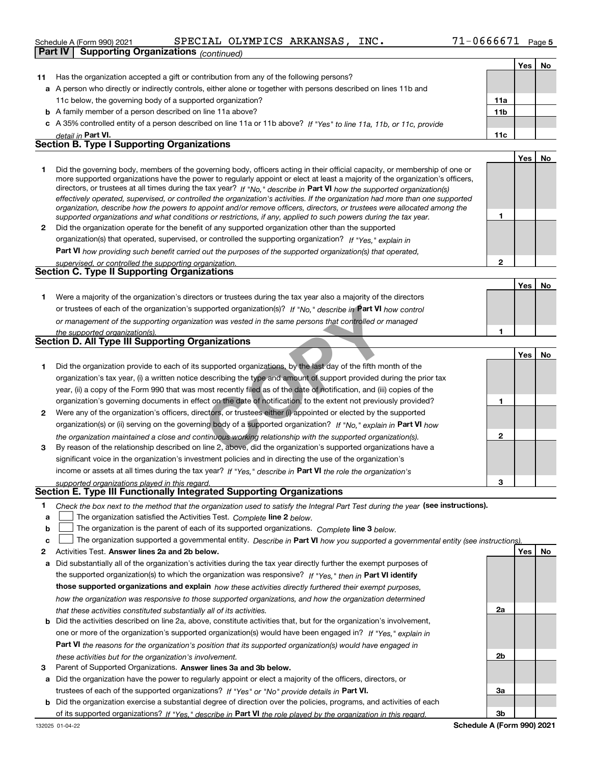|  | Schedule A (Form 990) 2021 |  |  | SPECIAL OLYMPICS ARKANSAS, | INC. | 71-0666671 | Page 5 |
|--|----------------------------|--|--|----------------------------|------|------------|--------|
|--|----------------------------|--|--|----------------------------|------|------------|--------|

|    | <b>Supporting Organizations (continued)</b><br>Part IV                                                                                                                                                                                                    |                 |     |    |
|----|-----------------------------------------------------------------------------------------------------------------------------------------------------------------------------------------------------------------------------------------------------------|-----------------|-----|----|
|    |                                                                                                                                                                                                                                                           |                 | Yes | No |
| 11 | Has the organization accepted a gift or contribution from any of the following persons?                                                                                                                                                                   |                 |     |    |
|    | a A person who directly or indirectly controls, either alone or together with persons described on lines 11b and                                                                                                                                          |                 |     |    |
|    | 11c below, the governing body of a supported organization?                                                                                                                                                                                                | 11a             |     |    |
|    | <b>b</b> A family member of a person described on line 11a above?                                                                                                                                                                                         | 11 <sub>b</sub> |     |    |
|    | c A 35% controlled entity of a person described on line 11a or 11b above? If "Yes" to line 11a, 11b, or 11c, provide                                                                                                                                      |                 |     |    |
|    | detail in Part VI.                                                                                                                                                                                                                                        | 11c             |     |    |
|    | <b>Section B. Type I Supporting Organizations</b>                                                                                                                                                                                                         |                 |     |    |
|    |                                                                                                                                                                                                                                                           |                 | Yes | No |
| 1  | Did the governing body, members of the governing body, officers acting in their official capacity, or membership of one or                                                                                                                                |                 |     |    |
|    | more supported organizations have the power to regularly appoint or elect at least a majority of the organization's officers,                                                                                                                             |                 |     |    |
|    | directors, or trustees at all times during the tax year? If "No," describe in Part VI how the supported organization(s)<br>effectively operated, supervised, or controlled the organization's activities. If the organization had more than one supported |                 |     |    |
|    | organization, describe how the powers to appoint and/or remove officers, directors, or trustees were allocated among the                                                                                                                                  |                 |     |    |
|    | supported organizations and what conditions or restrictions, if any, applied to such powers during the tax year.                                                                                                                                          | 1               |     |    |
| 2  | Did the organization operate for the benefit of any supported organization other than the supported                                                                                                                                                       |                 |     |    |
|    | organization(s) that operated, supervised, or controlled the supporting organization? If "Yes," explain in                                                                                                                                                |                 |     |    |
|    | <b>Part VI</b> how providing such benefit carried out the purposes of the supported organization(s) that operated,                                                                                                                                        |                 |     |    |
|    | supervised, or controlled the supporting organization.                                                                                                                                                                                                    | $\mathbf{2}$    |     |    |
|    | <b>Section C. Type II Supporting Organizations</b>                                                                                                                                                                                                        |                 |     |    |
|    |                                                                                                                                                                                                                                                           |                 | Yes | No |
| 1  | Were a majority of the organization's directors or trustees during the tax year also a majority of the directors                                                                                                                                          |                 |     |    |
|    | or trustees of each of the organization's supported organization(s)? If "No," describe in Part VI how control                                                                                                                                             |                 |     |    |
|    | or management of the supporting organization was vested in the same persons that controlled or managed                                                                                                                                                    |                 |     |    |
|    | the supported organization(s).                                                                                                                                                                                                                            | 1               |     |    |
|    | <b>Section D. All Type III Supporting Organizations</b>                                                                                                                                                                                                   |                 |     |    |
|    |                                                                                                                                                                                                                                                           |                 | Yes | No |
| 1  | Did the organization provide to each of its supported organizations, by the last day of the fifth month of the                                                                                                                                            |                 |     |    |
|    | organization's tax year, (i) a written notice describing the type and amount of support provided during the prior tax                                                                                                                                     |                 |     |    |
|    | year, (ii) a copy of the Form 990 that was most recently filed as of the date of notification, and (iii) copies of the                                                                                                                                    |                 |     |    |
|    | organization's governing documents in effect on the date of notification, to the extent not previously provided?                                                                                                                                          | 1               |     |    |
| 2  | Were any of the organization's officers, directors, or trustees either (i) appointed or elected by the supported                                                                                                                                          |                 |     |    |
|    | organization(s) or (ii) serving on the governing body of a supported organization? If "No," explain in Part VI how                                                                                                                                        |                 |     |    |
|    | the organization maintained a close and continuous working relationship with the supported organization(s).                                                                                                                                               | $\mathbf{2}$    |     |    |
| 3  | By reason of the relationship described on line 2, above, did the organization's supported organizations have a                                                                                                                                           |                 |     |    |
|    | significant voice in the organization's investment policies and in directing the use of the organization's                                                                                                                                                |                 |     |    |
|    | income or assets at all times during the tax year? If "Yes," describe in Part VI the role the organization's                                                                                                                                              |                 |     |    |
|    | supported organizations played in this regard.<br>Section E. Type III Functionally Integrated Supporting Organizations                                                                                                                                    | 3               |     |    |
|    |                                                                                                                                                                                                                                                           |                 |     |    |
| 1  | Check the box next to the method that the organization used to satisfy the Integral Part Test during the year (see instructions).                                                                                                                         |                 |     |    |
| a  | The organization satisfied the Activities Test. Complete line 2 below.                                                                                                                                                                                    |                 |     |    |
| b  | The organization is the parent of each of its supported organizations. Complete line 3 below.                                                                                                                                                             |                 |     |    |
| c  | The organization supported a governmental entity. Describe in Part VI how you supported a governmental entity (see instructions)                                                                                                                          |                 |     |    |
| 2  | Activities Test. Answer lines 2a and 2b below.                                                                                                                                                                                                            |                 | Yes | No |
| а  | Did substantially all of the organization's activities during the tax year directly further the exempt purposes of                                                                                                                                        |                 |     |    |
|    | the supported organization(s) to which the organization was responsive? If "Yes," then in Part VI identify                                                                                                                                                |                 |     |    |
|    | those supported organizations and explain how these activities directly furthered their exempt purposes,                                                                                                                                                  |                 |     |    |
|    | how the organization was responsive to those supported organizations, and how the organization determined                                                                                                                                                 |                 |     |    |

*that these activities constituted substantially all of its activities.*

- **b** Did the activities described on line 2a, above, constitute activities that, but for the organization's involvement, **Part VI**  *the reasons for the organization's position that its supported organization(s) would have engaged in* one or more of the organization's supported organization(s) would have been engaged in? If "Yes," e*xplain in these activities but for the organization's involvement.*
- **3** Parent of Supported Organizations. Answer lines 3a and 3b below.

**a** Did the organization have the power to regularly appoint or elect a majority of the officers, directors, or trustees of each of the supported organizations? If "Yes" or "No" provide details in **Part VI.** 

**b** Did the organization exercise a substantial degree of direction over the policies, programs, and activities of each of its supported organizations? If "Yes," describe in **Part VI** the role played by the organization in this regard.<br>.

**2a**

**2b**

**3a**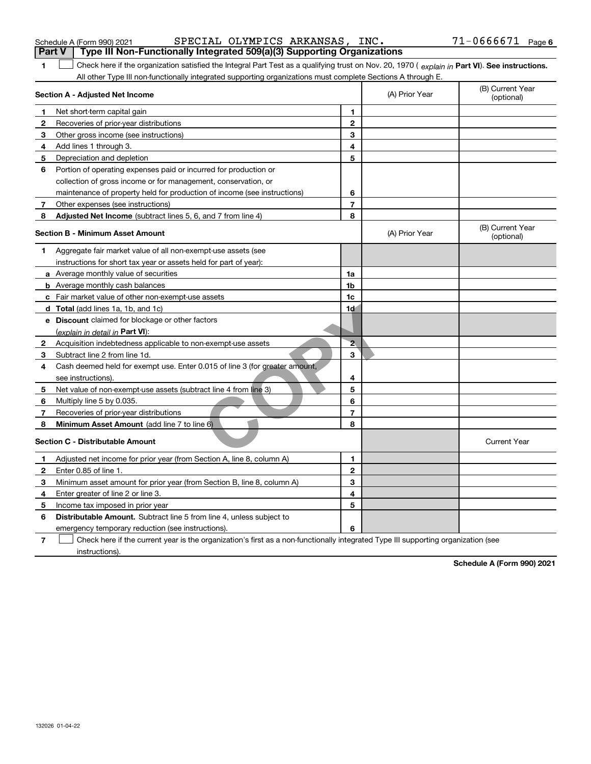| Schedule A (Form 990) 20 |  |
|--------------------------|--|
|                          |  |

Schedule A (Form 990) 2021 SPECIAL OLYMPICS ARKANSAS, INC。 7 I - U 6 6 6 7 I Page SPECIAL OLYMPICS ARKANSAS, INC. 71-0666671

| <b>Part V</b> | Type III Non-Functionally Integrated 509(a)(3) Supporting Organizations                                                                        |                |                |                                |
|---------------|------------------------------------------------------------------------------------------------------------------------------------------------|----------------|----------------|--------------------------------|
| 1             | Check here if the organization satisfied the Integral Part Test as a qualifying trust on Nov. 20, 1970 (explain in Part VI). See instructions. |                |                |                                |
|               | All other Type III non-functionally integrated supporting organizations must complete Sections A through E.                                    |                |                |                                |
|               | Section A - Adjusted Net Income                                                                                                                |                | (A) Prior Year | (B) Current Year<br>(optional) |
| 1             | Net short-term capital gain                                                                                                                    | 1              |                |                                |
| $\mathbf{2}$  | Recoveries of prior-year distributions                                                                                                         | $\overline{2}$ |                |                                |
| 3             | Other gross income (see instructions)                                                                                                          | 3              |                |                                |
| 4             | Add lines 1 through 3.                                                                                                                         | 4              |                |                                |
| 5             | Depreciation and depletion                                                                                                                     | 5              |                |                                |
| 6             | Portion of operating expenses paid or incurred for production or                                                                               |                |                |                                |
|               | collection of gross income or for management, conservation, or                                                                                 |                |                |                                |
|               | maintenance of property held for production of income (see instructions)                                                                       | 6              |                |                                |
| 7             | Other expenses (see instructions)                                                                                                              | $\overline{7}$ |                |                                |
| 8             | <b>Adjusted Net Income</b> (subtract lines 5, 6, and 7 from line 4)                                                                            | 8              |                |                                |
|               | <b>Section B - Minimum Asset Amount</b>                                                                                                        |                | (A) Prior Year | (B) Current Year<br>(optional) |
| 1.            | Aggregate fair market value of all non-exempt-use assets (see                                                                                  |                |                |                                |
|               | instructions for short tax year or assets held for part of year):                                                                              |                |                |                                |
|               | a Average monthly value of securities                                                                                                          | 1a             |                |                                |
|               | <b>b</b> Average monthly cash balances                                                                                                         | 1b             |                |                                |
|               | c Fair market value of other non-exempt-use assets                                                                                             | 1c             |                |                                |
|               | <b>d</b> Total (add lines 1a, 1b, and 1c)                                                                                                      | 1d             |                |                                |
|               | e Discount claimed for blockage or other factors                                                                                               |                |                |                                |
|               | (explain in detail in Part VI):                                                                                                                |                |                |                                |
| $\mathbf{2}$  | Acquisition indebtedness applicable to non-exempt-use assets                                                                                   | $\overline{2}$ |                |                                |
| 3             | Subtract line 2 from line 1d.                                                                                                                  | 3              |                |                                |
| 4             | Cash deemed held for exempt use. Enter 0.015 of line 3 (for greater amount,                                                                    |                |                |                                |
|               | see instructions).                                                                                                                             | 4              |                |                                |
| 5             | Net value of non-exempt-use assets (subtract line 4 from line 3)                                                                               | 5              |                |                                |
| 6             | Multiply line 5 by 0.035.                                                                                                                      | 6              |                |                                |
| 7             | Recoveries of prior-year distributions                                                                                                         | 7              |                |                                |
| 8             | Minimum Asset Amount (add line 7 to line 6)                                                                                                    | 8              |                |                                |
|               | <b>Section C - Distributable Amount</b>                                                                                                        |                |                | <b>Current Year</b>            |
| 1             | Adjusted net income for prior year (from Section A, line 8, column A)                                                                          | 1              |                |                                |
| 2             | Enter 0.85 of line 1.                                                                                                                          | $\overline{2}$ |                |                                |
| з             | Minimum asset amount for prior year (from Section B, line 8, column A)                                                                         | 3              |                |                                |
| 4             | Enter greater of line 2 or line 3.                                                                                                             | 4              |                |                                |
| 5             | Income tax imposed in prior year                                                                                                               | 5              |                |                                |
| 6             | <b>Distributable Amount.</b> Subtract line 5 from line 4, unless subject to                                                                    |                |                |                                |
|               | emergency temporary reduction (see instructions).                                                                                              | 6              |                |                                |
|               |                                                                                                                                                |                |                |                                |

**7**Check here if the current year is the organization's first as a non-functionally integrated Type III supporting organization (see instructions).

**Schedule A (Form 990) 2021**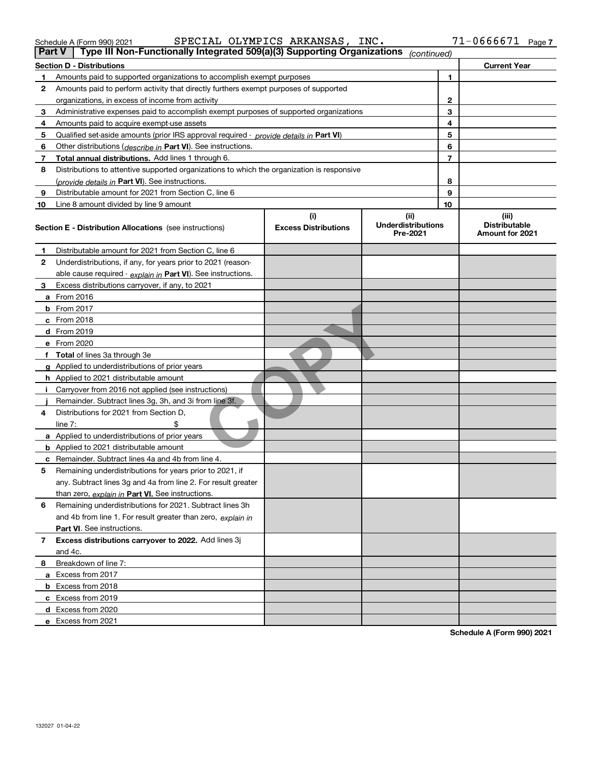| <b>Part V</b> | Type III Non-Functionally Integrated 509(a)(3) Supporting Organizations                    |                                    | (continued)                                   |                |                                                  |
|---------------|--------------------------------------------------------------------------------------------|------------------------------------|-----------------------------------------------|----------------|--------------------------------------------------|
|               | <b>Section D - Distributions</b>                                                           |                                    |                                               |                | <b>Current Year</b>                              |
| 1             | Amounts paid to supported organizations to accomplish exempt purposes                      |                                    | 1                                             |                |                                                  |
| 2             | Amounts paid to perform activity that directly furthers exempt purposes of supported       |                                    |                                               |                |                                                  |
|               | organizations, in excess of income from activity                                           |                                    | 2                                             |                |                                                  |
| 3             | Administrative expenses paid to accomplish exempt purposes of supported organizations      |                                    | 3                                             |                |                                                  |
| 4             | Amounts paid to acquire exempt-use assets                                                  |                                    |                                               | 4              |                                                  |
| 5             | Qualified set-aside amounts (prior IRS approval required - provide details in Part VI)     |                                    |                                               | 5              |                                                  |
| 6             | Other distributions ( <i>describe in</i> Part VI). See instructions.                       |                                    |                                               | 6              |                                                  |
| 7             | Total annual distributions. Add lines 1 through 6.                                         |                                    |                                               | $\overline{7}$ |                                                  |
| 8             | Distributions to attentive supported organizations to which the organization is responsive |                                    |                                               |                |                                                  |
|               | (provide details in Part VI). See instructions.                                            |                                    |                                               | 8              |                                                  |
| 9             | Distributable amount for 2021 from Section C, line 6                                       |                                    |                                               | 9              |                                                  |
| 10            | Line 8 amount divided by line 9 amount                                                     |                                    |                                               | 10             |                                                  |
|               | <b>Section E - Distribution Allocations</b> (see instructions)                             | (i)<br><b>Excess Distributions</b> | (ii)<br><b>Underdistributions</b><br>Pre-2021 |                | (iii)<br><b>Distributable</b><br>Amount for 2021 |
| 1             | Distributable amount for 2021 from Section C, line 6                                       |                                    |                                               |                |                                                  |
| 2             | Underdistributions, if any, for years prior to 2021 (reason-                               |                                    |                                               |                |                                                  |
|               | able cause required - explain in Part VI). See instructions.                               |                                    |                                               |                |                                                  |
| 3             | Excess distributions carryover, if any, to 2021                                            |                                    |                                               |                |                                                  |
|               | a From 2016                                                                                |                                    |                                               |                |                                                  |
|               | <b>b</b> From 2017                                                                         |                                    |                                               |                |                                                  |
|               | $c$ From 2018                                                                              |                                    |                                               |                |                                                  |
|               | d From 2019                                                                                |                                    |                                               |                |                                                  |
|               | e From 2020                                                                                |                                    |                                               |                |                                                  |
|               | f Total of lines 3a through 3e                                                             |                                    |                                               |                |                                                  |
|               | g Applied to underdistributions of prior years                                             |                                    |                                               |                |                                                  |
|               | h Applied to 2021 distributable amount                                                     |                                    |                                               |                |                                                  |
|               | Carryover from 2016 not applied (see instructions)                                         |                                    |                                               |                |                                                  |
|               | Remainder. Subtract lines 3g, 3h, and 3i from line 3f.                                     |                                    |                                               |                |                                                  |
| 4             | Distributions for 2021 from Section D,                                                     |                                    |                                               |                |                                                  |
|               | line $7:$                                                                                  |                                    |                                               |                |                                                  |
|               | a Applied to underdistributions of prior years                                             |                                    |                                               |                |                                                  |
|               | <b>b</b> Applied to 2021 distributable amount                                              |                                    |                                               |                |                                                  |
|               | c Remainder. Subtract lines 4a and 4b from line 4.                                         |                                    |                                               |                |                                                  |
| 5.            | Remaining underdistributions for years prior to 2021, if                                   |                                    |                                               |                |                                                  |
|               | any. Subtract lines 3g and 4a from line 2. For result greater                              |                                    |                                               |                |                                                  |
|               | than zero, explain in Part VI. See instructions.                                           |                                    |                                               |                |                                                  |
| 6             | Remaining underdistributions for 2021. Subtract lines 3h                                   |                                    |                                               |                |                                                  |
|               | and 4b from line 1. For result greater than zero, explain in                               |                                    |                                               |                |                                                  |
|               | <b>Part VI.</b> See instructions.                                                          |                                    |                                               |                |                                                  |
| 7             | Excess distributions carryover to 2022. Add lines 3j                                       |                                    |                                               |                |                                                  |
|               | and 4c.                                                                                    |                                    |                                               |                |                                                  |
| 8             | Breakdown of line 7:                                                                       |                                    |                                               |                |                                                  |
|               | a Excess from 2017                                                                         |                                    |                                               |                |                                                  |
|               | <b>b</b> Excess from 2018                                                                  |                                    |                                               |                |                                                  |
|               | c Excess from 2019                                                                         |                                    |                                               |                |                                                  |
|               | d Excess from 2020                                                                         |                                    |                                               |                |                                                  |
|               | e Excess from 2021                                                                         |                                    |                                               |                |                                                  |

**Schedule A (Form 990) 2021**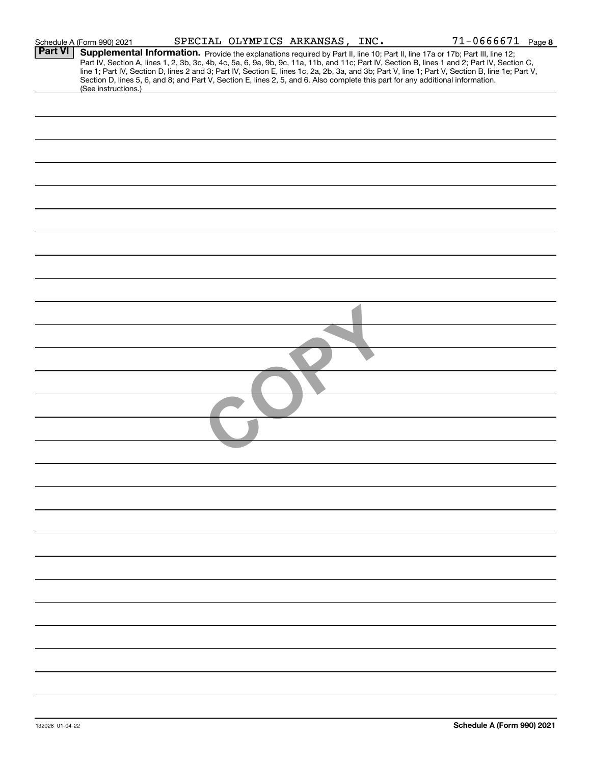|                | Schedule A (Form 990) 2021                                                                                                      |  | SPECIAL OLYMPICS ARKANSAS, INC. | $71 - 0666671$ Page 8                                                                                                                                                                                                                                                                            |  |
|----------------|---------------------------------------------------------------------------------------------------------------------------------|--|---------------------------------|--------------------------------------------------------------------------------------------------------------------------------------------------------------------------------------------------------------------------------------------------------------------------------------------------|--|
| <b>Part VI</b> |                                                                                                                                 |  |                                 | Supplemental Information. Provide the explanations required by Part II, line 10; Part II, line 17a or 17b; Part III, line 12;                                                                                                                                                                    |  |
|                |                                                                                                                                 |  |                                 | Part IV, Section A, lines 1, 2, 3b, 3c, 4b, 4c, 5a, 6, 9a, 9b, 9c, 11a, 11b, and 11c; Part IV, Section B, lines 1 and 2; Part IV, Section C,<br>line 1; Part IV, Section D, lines 2 and 3; Part IV, Section E, lines 1c, 2a, 2b, 3a, and 3b; Part V, line 1; Part V, Section B, line 1e; Part V, |  |
|                | Section D, lines 5, 6, and 8; and Part V, Section E, lines 2, 5, and 6. Also complete this part for any additional information. |  |                                 |                                                                                                                                                                                                                                                                                                  |  |
|                | (See instructions.)                                                                                                             |  |                                 |                                                                                                                                                                                                                                                                                                  |  |
|                |                                                                                                                                 |  |                                 |                                                                                                                                                                                                                                                                                                  |  |
|                |                                                                                                                                 |  |                                 |                                                                                                                                                                                                                                                                                                  |  |
|                |                                                                                                                                 |  |                                 |                                                                                                                                                                                                                                                                                                  |  |
|                |                                                                                                                                 |  |                                 |                                                                                                                                                                                                                                                                                                  |  |
|                |                                                                                                                                 |  |                                 |                                                                                                                                                                                                                                                                                                  |  |
|                |                                                                                                                                 |  |                                 |                                                                                                                                                                                                                                                                                                  |  |
|                |                                                                                                                                 |  |                                 |                                                                                                                                                                                                                                                                                                  |  |
|                |                                                                                                                                 |  |                                 |                                                                                                                                                                                                                                                                                                  |  |
|                |                                                                                                                                 |  |                                 |                                                                                                                                                                                                                                                                                                  |  |
|                |                                                                                                                                 |  |                                 |                                                                                                                                                                                                                                                                                                  |  |
|                |                                                                                                                                 |  |                                 |                                                                                                                                                                                                                                                                                                  |  |
|                |                                                                                                                                 |  |                                 |                                                                                                                                                                                                                                                                                                  |  |
|                |                                                                                                                                 |  |                                 |                                                                                                                                                                                                                                                                                                  |  |
|                |                                                                                                                                 |  |                                 |                                                                                                                                                                                                                                                                                                  |  |
|                |                                                                                                                                 |  |                                 |                                                                                                                                                                                                                                                                                                  |  |
|                |                                                                                                                                 |  |                                 |                                                                                                                                                                                                                                                                                                  |  |
|                |                                                                                                                                 |  |                                 |                                                                                                                                                                                                                                                                                                  |  |
|                |                                                                                                                                 |  |                                 |                                                                                                                                                                                                                                                                                                  |  |
|                |                                                                                                                                 |  |                                 |                                                                                                                                                                                                                                                                                                  |  |
|                |                                                                                                                                 |  |                                 |                                                                                                                                                                                                                                                                                                  |  |
|                |                                                                                                                                 |  |                                 |                                                                                                                                                                                                                                                                                                  |  |
|                |                                                                                                                                 |  |                                 |                                                                                                                                                                                                                                                                                                  |  |
|                |                                                                                                                                 |  |                                 |                                                                                                                                                                                                                                                                                                  |  |
|                |                                                                                                                                 |  |                                 |                                                                                                                                                                                                                                                                                                  |  |
|                |                                                                                                                                 |  |                                 |                                                                                                                                                                                                                                                                                                  |  |
|                |                                                                                                                                 |  |                                 |                                                                                                                                                                                                                                                                                                  |  |
|                |                                                                                                                                 |  |                                 |                                                                                                                                                                                                                                                                                                  |  |
|                |                                                                                                                                 |  |                                 |                                                                                                                                                                                                                                                                                                  |  |
|                |                                                                                                                                 |  |                                 |                                                                                                                                                                                                                                                                                                  |  |
|                |                                                                                                                                 |  |                                 |                                                                                                                                                                                                                                                                                                  |  |
|                |                                                                                                                                 |  |                                 |                                                                                                                                                                                                                                                                                                  |  |
|                |                                                                                                                                 |  |                                 |                                                                                                                                                                                                                                                                                                  |  |
|                |                                                                                                                                 |  |                                 |                                                                                                                                                                                                                                                                                                  |  |
|                |                                                                                                                                 |  |                                 |                                                                                                                                                                                                                                                                                                  |  |
|                |                                                                                                                                 |  |                                 |                                                                                                                                                                                                                                                                                                  |  |
|                |                                                                                                                                 |  |                                 |                                                                                                                                                                                                                                                                                                  |  |
|                |                                                                                                                                 |  |                                 |                                                                                                                                                                                                                                                                                                  |  |
|                |                                                                                                                                 |  |                                 |                                                                                                                                                                                                                                                                                                  |  |
|                |                                                                                                                                 |  |                                 |                                                                                                                                                                                                                                                                                                  |  |
|                |                                                                                                                                 |  |                                 |                                                                                                                                                                                                                                                                                                  |  |
|                |                                                                                                                                 |  |                                 |                                                                                                                                                                                                                                                                                                  |  |
|                |                                                                                                                                 |  |                                 |                                                                                                                                                                                                                                                                                                  |  |
|                |                                                                                                                                 |  |                                 |                                                                                                                                                                                                                                                                                                  |  |
|                |                                                                                                                                 |  |                                 |                                                                                                                                                                                                                                                                                                  |  |
|                |                                                                                                                                 |  |                                 |                                                                                                                                                                                                                                                                                                  |  |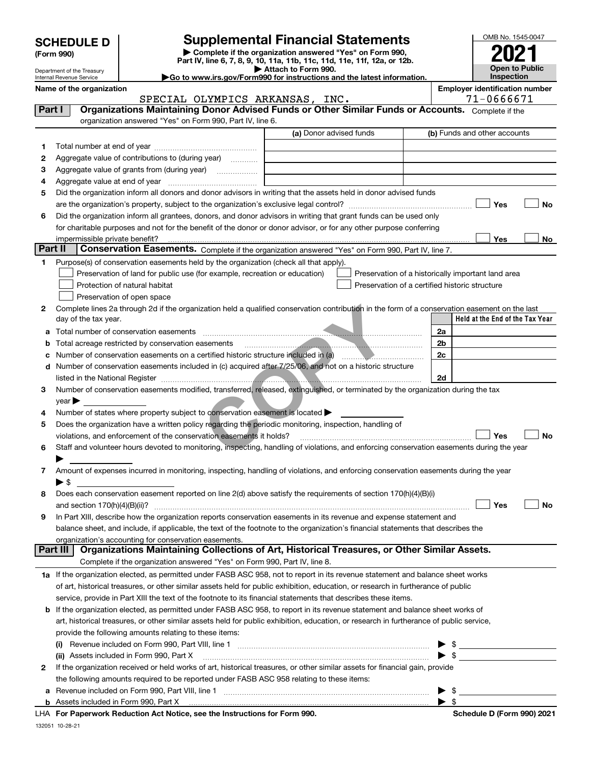| <b>SCHEDULE D</b> |  |  |
|-------------------|--|--|
|-------------------|--|--|

| (Form 990) |  |
|------------|--|
|------------|--|

# **Supplemental Financial Statements**

**| Complete if the organization answered "Yes" on Form 990, Part IV, line 6, 7, 8, 9, 10, 11a, 11b, 11c, 11d, 11e, 11f, 12a, or 12b. | Attach to Form 990.**

| OMB No. 1545-0047     |
|-----------------------|
|                       |
| 2021                  |
| <b>Open to Public</b> |
| Inspection            |

|         | Department of the Treasury<br>Internal Revenue Service                                                                      |                                                                                                                                                                      | Attach to Form 990.<br>Go to www.irs.gov/Form990 for instructions and the latest information. |                          | <b>Open to Public</b><br>Inspection                |  |  |
|---------|-----------------------------------------------------------------------------------------------------------------------------|----------------------------------------------------------------------------------------------------------------------------------------------------------------------|-----------------------------------------------------------------------------------------------|--------------------------|----------------------------------------------------|--|--|
|         | Name of the organization                                                                                                    |                                                                                                                                                                      | <b>Employer identification number</b>                                                         |                          |                                                    |  |  |
|         |                                                                                                                             | SPECIAL OLYMPICS ARKANSAS, INC.                                                                                                                                      |                                                                                               |                          | 71-0666671                                         |  |  |
| Part I  |                                                                                                                             | Organizations Maintaining Donor Advised Funds or Other Similar Funds or Accounts. Complete if the                                                                    |                                                                                               |                          |                                                    |  |  |
|         |                                                                                                                             | organization answered "Yes" on Form 990, Part IV, line 6.                                                                                                            |                                                                                               |                          |                                                    |  |  |
|         |                                                                                                                             |                                                                                                                                                                      | (a) Donor advised funds                                                                       |                          | (b) Funds and other accounts                       |  |  |
| 1.      |                                                                                                                             |                                                                                                                                                                      |                                                                                               |                          |                                                    |  |  |
| 2       |                                                                                                                             | Aggregate value of contributions to (during year)                                                                                                                    |                                                                                               |                          |                                                    |  |  |
| з       |                                                                                                                             | Aggregate value of grants from (during year)                                                                                                                         |                                                                                               |                          |                                                    |  |  |
| 4       | Aggregate value at end of year                                                                                              |                                                                                                                                                                      |                                                                                               |                          |                                                    |  |  |
| 5       |                                                                                                                             | Did the organization inform all donors and donor advisors in writing that the assets held in donor advised funds                                                     |                                                                                               |                          |                                                    |  |  |
|         |                                                                                                                             |                                                                                                                                                                      |                                                                                               |                          | Yes<br>No                                          |  |  |
| 6       |                                                                                                                             | Did the organization inform all grantees, donors, and donor advisors in writing that grant funds can be used only                                                    |                                                                                               |                          |                                                    |  |  |
|         |                                                                                                                             | for charitable purposes and not for the benefit of the donor or donor advisor, or for any other purpose conferring                                                   |                                                                                               |                          |                                                    |  |  |
|         | impermissible private benefit?                                                                                              |                                                                                                                                                                      |                                                                                               |                          | Yes<br>No                                          |  |  |
| Part II |                                                                                                                             | Conservation Easements. Complete if the organization answered "Yes" on Form 990, Part IV, line 7.                                                                    |                                                                                               |                          |                                                    |  |  |
| 1       |                                                                                                                             | Purpose(s) of conservation easements held by the organization (check all that apply).                                                                                |                                                                                               |                          |                                                    |  |  |
|         |                                                                                                                             | Preservation of land for public use (for example, recreation or education)                                                                                           |                                                                                               |                          | Preservation of a historically important land area |  |  |
|         |                                                                                                                             | Protection of natural habitat                                                                                                                                        | Preservation of a certified historic structure                                                |                          |                                                    |  |  |
|         |                                                                                                                             | Preservation of open space                                                                                                                                           |                                                                                               |                          |                                                    |  |  |
| 2       |                                                                                                                             | Complete lines 2a through 2d if the organization held a qualified conservation contribution in the form of a conservation easement on the last                       |                                                                                               |                          | Held at the End of the Tax Year                    |  |  |
|         | day of the tax year.                                                                                                        |                                                                                                                                                                      |                                                                                               |                          |                                                    |  |  |
| a       |                                                                                                                             |                                                                                                                                                                      |                                                                                               | 2a                       |                                                    |  |  |
| b       |                                                                                                                             | Total acreage restricted by conservation easements<br>Number of conservation easements on a certified historic structure included in (a) manufacture of conservation |                                                                                               | 2 <sub>b</sub><br>2c     |                                                    |  |  |
| с       |                                                                                                                             | Number of conservation easements included in (c) acquired after 7/25/06, and not on a historic structure                                                             |                                                                                               |                          |                                                    |  |  |
| d       |                                                                                                                             |                                                                                                                                                                      |                                                                                               | 2d                       |                                                    |  |  |
| З       |                                                                                                                             | Number of conservation easements modified, transferred, released, extinguished, or terminated by the organization during the tax                                     |                                                                                               |                          |                                                    |  |  |
|         | $year \blacktriangleright$                                                                                                  |                                                                                                                                                                      |                                                                                               |                          |                                                    |  |  |
| 4       |                                                                                                                             | Number of states where property subject to conservation easement is located >                                                                                        |                                                                                               |                          |                                                    |  |  |
| 5       |                                                                                                                             | Does the organization have a written policy regarding the periodic monitoring, inspection, handling of                                                               |                                                                                               |                          |                                                    |  |  |
|         |                                                                                                                             | violations, and enforcement of the conservation easements it holds?                                                                                                  |                                                                                               |                          | Yes<br>No                                          |  |  |
| 6       |                                                                                                                             | Staff and volunteer hours devoted to monitoring, inspecting, handling of violations, and enforcing conservation easements during the year                            |                                                                                               |                          |                                                    |  |  |
|         |                                                                                                                             |                                                                                                                                                                      |                                                                                               |                          |                                                    |  |  |
|         |                                                                                                                             | Amount of expenses incurred in monitoring, inspecting, handling of violations, and enforcing conservation easements during the year                                  |                                                                                               |                          |                                                    |  |  |
|         | ► \$                                                                                                                        |                                                                                                                                                                      |                                                                                               |                          |                                                    |  |  |
|         |                                                                                                                             | Does each conservation easement reported on line 2(d) above satisfy the requirements of section 170(h)(4)(B)(i)                                                      |                                                                                               |                          |                                                    |  |  |
|         |                                                                                                                             |                                                                                                                                                                      |                                                                                               |                          | Yes<br>No                                          |  |  |
| 9       |                                                                                                                             | In Part XIII, describe how the organization reports conservation easements in its revenue and expense statement and                                                  |                                                                                               |                          |                                                    |  |  |
|         |                                                                                                                             | balance sheet, and include, if applicable, the text of the footnote to the organization's financial statements that describes the                                    |                                                                                               |                          |                                                    |  |  |
|         |                                                                                                                             | organization's accounting for conservation easements.                                                                                                                |                                                                                               |                          |                                                    |  |  |
|         | Part III                                                                                                                    | Organizations Maintaining Collections of Art, Historical Treasures, or Other Similar Assets.                                                                         |                                                                                               |                          |                                                    |  |  |
|         |                                                                                                                             | Complete if the organization answered "Yes" on Form 990, Part IV, line 8.                                                                                            |                                                                                               |                          |                                                    |  |  |
|         |                                                                                                                             | 1a If the organization elected, as permitted under FASB ASC 958, not to report in its revenue statement and balance sheet works                                      |                                                                                               |                          |                                                    |  |  |
|         |                                                                                                                             | of art, historical treasures, or other similar assets held for public exhibition, education, or research in furtherance of public                                    |                                                                                               |                          |                                                    |  |  |
|         |                                                                                                                             | service, provide in Part XIII the text of the footnote to its financial statements that describes these items.                                                       |                                                                                               |                          |                                                    |  |  |
| b       | If the organization elected, as permitted under FASB ASC 958, to report in its revenue statement and balance sheet works of |                                                                                                                                                                      |                                                                                               |                          |                                                    |  |  |
|         |                                                                                                                             | art, historical treasures, or other similar assets held for public exhibition, education, or research in furtherance of public service,                              |                                                                                               |                          |                                                    |  |  |
|         |                                                                                                                             | provide the following amounts relating to these items:                                                                                                               |                                                                                               |                          |                                                    |  |  |
|         | (i)                                                                                                                         |                                                                                                                                                                      |                                                                                               | -\$<br>▶                 |                                                    |  |  |
|         |                                                                                                                             | (ii) Assets included in Form 990, Part X [110] Marrow Martin March 2014 (iii) Assets included in Form 990, Part X                                                    |                                                                                               |                          |                                                    |  |  |
| 2       |                                                                                                                             | If the organization received or held works of art, historical treasures, or other similar assets for financial gain, provide                                         |                                                                                               |                          |                                                    |  |  |
|         |                                                                                                                             | the following amounts required to be reported under FASB ASC 958 relating to these items:                                                                            |                                                                                               |                          |                                                    |  |  |
| а       |                                                                                                                             |                                                                                                                                                                      |                                                                                               |                          | $\blacktriangleright$ \$                           |  |  |
|         |                                                                                                                             |                                                                                                                                                                      |                                                                                               | $\blacktriangleright$ \$ |                                                    |  |  |

| Revenue included on Form 990, Part VIII, line |  |
|-----------------------------------------------|--|
| Assets included in Form 990. Part X           |  |

**For Paperwork Reduction Act Notice, see the Instructions for Form 990. Schedule D (Form 990) 2021** LHA

Schedule D (Form 990) 2021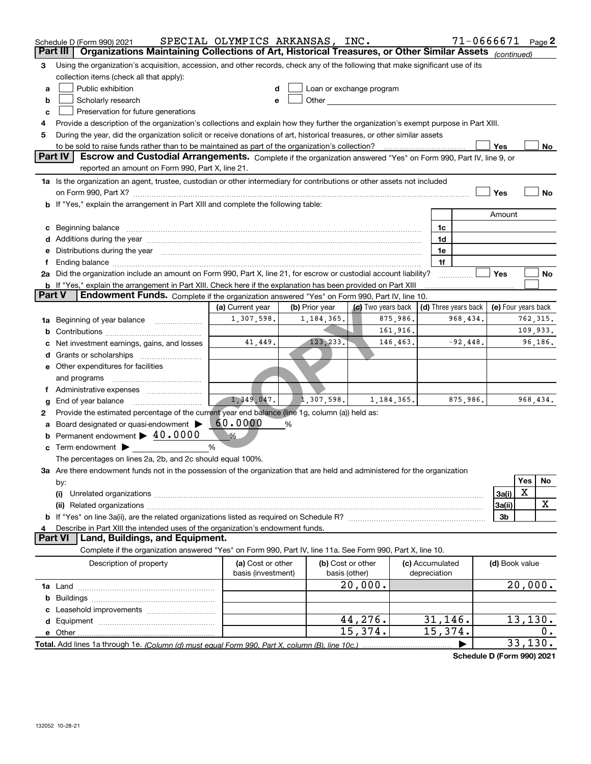|               | Schedule D (Form 990) 2021                                                                                                                                          | SPECIAL OLYMPICS ARKANSAS, INC. |                |                                                                                                                                                                                                                               |            |                 | $71 - 0666671$ Page 2                                    |                |             |    |
|---------------|---------------------------------------------------------------------------------------------------------------------------------------------------------------------|---------------------------------|----------------|-------------------------------------------------------------------------------------------------------------------------------------------------------------------------------------------------------------------------------|------------|-----------------|----------------------------------------------------------|----------------|-------------|----|
| Part III      | Organizations Maintaining Collections of Art, Historical Treasures, or Other Similar Assets (continued)                                                             |                                 |                |                                                                                                                                                                                                                               |            |                 |                                                          |                |             |    |
| З             | Using the organization's acquisition, accession, and other records, check any of the following that make significant use of its                                     |                                 |                |                                                                                                                                                                                                                               |            |                 |                                                          |                |             |    |
|               | collection items (check all that apply):                                                                                                                            |                                 |                |                                                                                                                                                                                                                               |            |                 |                                                          |                |             |    |
| a             | Public exhibition                                                                                                                                                   |                                 |                | Loan or exchange program                                                                                                                                                                                                      |            |                 |                                                          |                |             |    |
| b             | Scholarly research                                                                                                                                                  | е                               |                | Other and the contract of the contract of the contract of the contract of the contract of the contract of the contract of the contract of the contract of the contract of the contract of the contract of the contract of the |            |                 |                                                          |                |             |    |
| c             | Preservation for future generations                                                                                                                                 |                                 |                |                                                                                                                                                                                                                               |            |                 |                                                          |                |             |    |
|               | Provide a description of the organization's collections and explain how they further the organization's exempt purpose in Part XIII.                                |                                 |                |                                                                                                                                                                                                                               |            |                 |                                                          |                |             |    |
| 5             | During the year, did the organization solicit or receive donations of art, historical treasures, or other similar assets                                            |                                 |                |                                                                                                                                                                                                                               |            |                 |                                                          |                |             |    |
|               | to be sold to raise funds rather than to be maintained as part of the organization's collection?<br><b>Part IV</b>                                                  |                                 |                |                                                                                                                                                                                                                               |            |                 |                                                          | Yes            |             | No |
|               | Escrow and Custodial Arrangements. Complete if the organization answered "Yes" on Form 990, Part IV, line 9, or<br>reported an amount on Form 990, Part X, line 21. |                                 |                |                                                                                                                                                                                                                               |            |                 |                                                          |                |             |    |
|               | 1a Is the organization an agent, trustee, custodian or other intermediary for contributions or other assets not included                                            |                                 |                |                                                                                                                                                                                                                               |            |                 |                                                          |                |             |    |
|               |                                                                                                                                                                     |                                 |                |                                                                                                                                                                                                                               |            |                 |                                                          | Yes            |             | No |
|               | b If "Yes," explain the arrangement in Part XIII and complete the following table:                                                                                  |                                 |                |                                                                                                                                                                                                                               |            |                 |                                                          |                |             |    |
|               |                                                                                                                                                                     |                                 |                |                                                                                                                                                                                                                               |            |                 |                                                          | Amount         |             |    |
| c             |                                                                                                                                                                     |                                 |                |                                                                                                                                                                                                                               |            | 1c              |                                                          |                |             |    |
|               |                                                                                                                                                                     |                                 |                |                                                                                                                                                                                                                               |            | 1d              |                                                          |                |             |    |
|               | Distributions during the year manufactured and continuum and contained and the year manufactured and contained                                                      |                                 |                |                                                                                                                                                                                                                               |            | 1e              |                                                          |                |             |    |
|               |                                                                                                                                                                     |                                 |                |                                                                                                                                                                                                                               |            | 1f              |                                                          |                |             |    |
|               | 2a Did the organization include an amount on Form 990, Part X, line 21, for escrow or custodial account liability?                                                  |                                 |                |                                                                                                                                                                                                                               |            |                 |                                                          | Yes            |             | No |
|               | <b>b</b> If "Yes," explain the arrangement in Part XIII. Check here if the explanation has been provided on Part XIII                                               |                                 |                |                                                                                                                                                                                                                               |            |                 |                                                          |                |             |    |
| <b>Part V</b> | Endowment Funds. Complete if the organization answered "Yes" on Form 990, Part IV, line 10.                                                                         |                                 |                |                                                                                                                                                                                                                               |            |                 |                                                          |                |             |    |
|               |                                                                                                                                                                     | (a) Current year                | (b) Prior year | (c) Two years back                                                                                                                                                                                                            |            |                 | $\vert$ (d) Three years back $\vert$ (e) Four years back |                |             |    |
| 1a            | Beginning of year balance                                                                                                                                           | 1,307,598.                      | 1,184,365.     |                                                                                                                                                                                                                               | 875,986.   |                 | 968,434.                                                 |                | 762,315.    |    |
|               |                                                                                                                                                                     |                                 |                |                                                                                                                                                                                                                               | 161,916.   |                 |                                                          |                | 109,933.    |    |
|               | Net investment earnings, gains, and losses                                                                                                                          | 41,449.                         | 123, 233.      |                                                                                                                                                                                                                               | 146,463.   |                 | $-92,448.$                                               |                | 96,186.     |    |
|               |                                                                                                                                                                     |                                 |                |                                                                                                                                                                                                                               |            |                 |                                                          |                |             |    |
|               | e Other expenditures for facilities                                                                                                                                 |                                 |                |                                                                                                                                                                                                                               |            |                 |                                                          |                |             |    |
|               | and programs                                                                                                                                                        |                                 |                |                                                                                                                                                                                                                               |            |                 |                                                          |                |             |    |
|               |                                                                                                                                                                     | 1,349,047.                      | 1,307,598.     |                                                                                                                                                                                                                               | 1,184,365. |                 | 875,986.                                                 |                | 968,434.    |    |
|               | End of year balance                                                                                                                                                 |                                 |                |                                                                                                                                                                                                                               |            |                 |                                                          |                |             |    |
| 2             | Provide the estimated percentage of the current year end balance (line 1g, column (a)) held as:<br>Board designated or quasi-endowment                              | 60.0000                         |                |                                                                                                                                                                                                                               |            |                 |                                                          |                |             |    |
|               | Permanent endowment > 40.0000                                                                                                                                       | $\%$                            | %              |                                                                                                                                                                                                                               |            |                 |                                                          |                |             |    |
|               | Term endowment $\blacktriangleright$                                                                                                                                | %                               |                |                                                                                                                                                                                                                               |            |                 |                                                          |                |             |    |
|               | The percentages on lines 2a, 2b, and 2c should equal 100%.                                                                                                          |                                 |                |                                                                                                                                                                                                                               |            |                 |                                                          |                |             |    |
|               | 3a Are there endowment funds not in the possession of the organization that are held and administered for the organization                                          |                                 |                |                                                                                                                                                                                                                               |            |                 |                                                          |                |             |    |
|               | by:                                                                                                                                                                 |                                 |                |                                                                                                                                                                                                                               |            |                 |                                                          |                | Yes         | No |
|               | (i)                                                                                                                                                                 |                                 |                |                                                                                                                                                                                                                               |            |                 |                                                          | 3a(i)          | $\mathbf X$ |    |
|               |                                                                                                                                                                     |                                 |                |                                                                                                                                                                                                                               |            |                 |                                                          | 3a(ii)         |             | X  |
|               |                                                                                                                                                                     |                                 |                |                                                                                                                                                                                                                               |            |                 |                                                          | 3b             |             |    |
|               | Describe in Part XIII the intended uses of the organization's endowment funds.                                                                                      |                                 |                |                                                                                                                                                                                                                               |            |                 |                                                          |                |             |    |
|               | Land, Buildings, and Equipment.<br><b>Part VI</b>                                                                                                                   |                                 |                |                                                                                                                                                                                                                               |            |                 |                                                          |                |             |    |
|               | Complete if the organization answered "Yes" on Form 990, Part IV, line 11a. See Form 990, Part X, line 10.                                                          |                                 |                |                                                                                                                                                                                                                               |            |                 |                                                          |                |             |    |
|               | Description of property                                                                                                                                             | (a) Cost or other               |                | (b) Cost or other                                                                                                                                                                                                             |            | (c) Accumulated |                                                          | (d) Book value |             |    |
|               |                                                                                                                                                                     | basis (investment)              |                | basis (other)                                                                                                                                                                                                                 |            | depreciation    |                                                          |                |             |    |
|               |                                                                                                                                                                     |                                 |                | 20,000.                                                                                                                                                                                                                       |            |                 |                                                          |                | 20,000.     |    |
|               |                                                                                                                                                                     |                                 |                |                                                                                                                                                                                                                               |            |                 |                                                          |                |             |    |
|               |                                                                                                                                                                     |                                 |                |                                                                                                                                                                                                                               |            |                 |                                                          |                |             |    |
|               |                                                                                                                                                                     |                                 |                | 44, 276.                                                                                                                                                                                                                      |            | 31,146.         |                                                          |                | 13, 130.    |    |
|               |                                                                                                                                                                     |                                 |                | 15,374.                                                                                                                                                                                                                       |            | 15,374.         |                                                          |                |             | О. |
|               |                                                                                                                                                                     |                                 |                |                                                                                                                                                                                                                               |            |                 |                                                          |                | 33, 130.    |    |

**Schedule D (Form 990) 2021**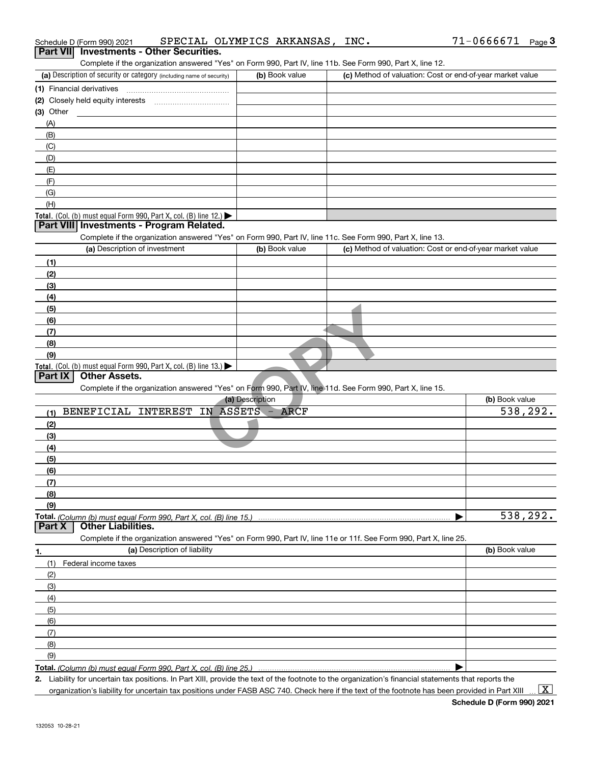|                  | Schedule D (Form 990) 2021                                                                                        | SPECIAL OLYMPICS ARKANSAS, INC. |                                                           | $71 - 0666671$ | Page $3$ |
|------------------|-------------------------------------------------------------------------------------------------------------------|---------------------------------|-----------------------------------------------------------|----------------|----------|
| <b>Part VIII</b> | <b>Investments - Other Securities.</b>                                                                            |                                 |                                                           |                |          |
|                  | Complete if the organization answered "Yes" on Form 990, Part IV, line 11b. See Form 990, Part X, line 12.        |                                 |                                                           |                |          |
|                  | (a) Description of security or category (including name of security)                                              | (b) Book value                  | (c) Method of valuation: Cost or end-of-year market value |                |          |
|                  | (1) Financial derivatives                                                                                         |                                 |                                                           |                |          |
|                  |                                                                                                                   |                                 |                                                           |                |          |
| $(3)$ Other      |                                                                                                                   |                                 |                                                           |                |          |
| (A)              |                                                                                                                   |                                 |                                                           |                |          |
| (B)              |                                                                                                                   |                                 |                                                           |                |          |
| (C)              |                                                                                                                   |                                 |                                                           |                |          |
| (D)              |                                                                                                                   |                                 |                                                           |                |          |
| (E)              |                                                                                                                   |                                 |                                                           |                |          |
| (F)              |                                                                                                                   |                                 |                                                           |                |          |
| (G)              |                                                                                                                   |                                 |                                                           |                |          |
| (H)              |                                                                                                                   |                                 |                                                           |                |          |
|                  | Total. (Col. (b) must equal Form 990, Part X, col. (B) line 12.)                                                  |                                 |                                                           |                |          |
|                  | Part VIII Investments - Program Related.                                                                          |                                 |                                                           |                |          |
|                  | Complete if the organization answered "Yes" on Form 990, Part IV, line 11c. See Form 990, Part X, line 13.        |                                 |                                                           |                |          |
|                  | (a) Description of investment                                                                                     | (b) Book value                  | (c) Method of valuation: Cost or end-of-year market value |                |          |
| (1)              |                                                                                                                   |                                 |                                                           |                |          |
| (2)              |                                                                                                                   |                                 |                                                           |                |          |
| (3)              |                                                                                                                   |                                 |                                                           |                |          |
| (4)              |                                                                                                                   |                                 |                                                           |                |          |
| (5)              |                                                                                                                   |                                 |                                                           |                |          |
| (6)              |                                                                                                                   |                                 |                                                           |                |          |
| (7)              |                                                                                                                   |                                 |                                                           |                |          |
| (8)              |                                                                                                                   |                                 |                                                           |                |          |
| (9)              |                                                                                                                   |                                 |                                                           |                |          |
| Part IX          | Total. (Col. (b) must equal Form 990, Part X, col. (B) line 13.)<br><b>Other Assets.</b>                          |                                 |                                                           |                |          |
|                  | Complete if the organization answered "Yes" on Form 990, Part IV, line 11d. See Form 990, Part X, line 15.        |                                 |                                                           |                |          |
|                  |                                                                                                                   | (a) Description                 |                                                           | (b) Book value |          |
| (1)              | BENEFICIAL INTEREST IN ASSETS - ARCF                                                                              |                                 |                                                           |                | 538,292. |
| (2)              |                                                                                                                   |                                 |                                                           |                |          |
| (3)              |                                                                                                                   |                                 |                                                           |                |          |
| (4)              |                                                                                                                   |                                 |                                                           |                |          |
| (5)              |                                                                                                                   |                                 |                                                           |                |          |
| (6)              |                                                                                                                   |                                 |                                                           |                |          |
| (7)              |                                                                                                                   |                                 |                                                           |                |          |
| (8)              |                                                                                                                   |                                 |                                                           |                |          |
| (9)              |                                                                                                                   |                                 |                                                           |                |          |
|                  |                                                                                                                   |                                 |                                                           |                | 538,292. |
| Part X           | <b>Other Liabilities.</b>                                                                                         |                                 |                                                           |                |          |
|                  | Complete if the organization answered "Yes" on Form 990, Part IV, line 11e or 11f. See Form 990, Part X, line 25. |                                 |                                                           |                |          |
| 1.               | (a) Description of liability                                                                                      |                                 |                                                           | (b) Book value |          |
| (1)              | Federal income taxes                                                                                              |                                 |                                                           |                |          |
| (2)              |                                                                                                                   |                                 |                                                           |                |          |
| (3)              |                                                                                                                   |                                 |                                                           |                |          |
| (4)              |                                                                                                                   |                                 |                                                           |                |          |
| (5)              |                                                                                                                   |                                 |                                                           |                |          |
| (6)              |                                                                                                                   |                                 |                                                           |                |          |
| (7)              |                                                                                                                   |                                 |                                                           |                |          |
| (8)              |                                                                                                                   |                                 |                                                           |                |          |
| (9)              |                                                                                                                   |                                 |                                                           |                |          |
|                  |                                                                                                                   |                                 |                                                           |                |          |

**2.** | Liability for uncertain tax positions. In Part XIII, provide the text of the footnote to the organization's financial statements that reports the organization's liability for uncertain tax positions under FASB ASC 740. Check here if the text of the footnote has been provided in Part XIII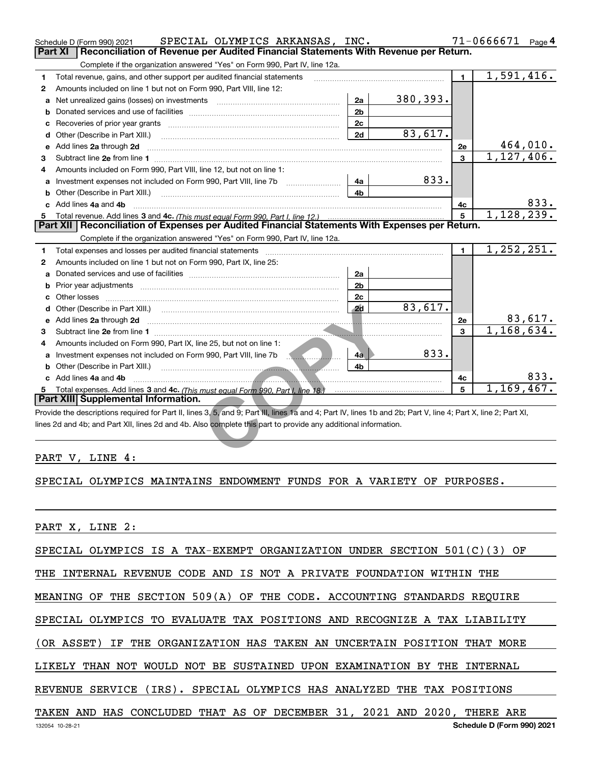|    | SPECIAL OLYMPICS ARKANSAS, INC.<br>Schedule D (Form 990) 2021                                                                                                                                                                       |                |           |                | $71 - 0666671$ Page 4 |          |
|----|-------------------------------------------------------------------------------------------------------------------------------------------------------------------------------------------------------------------------------------|----------------|-----------|----------------|-----------------------|----------|
|    | Part XI<br>Reconciliation of Revenue per Audited Financial Statements With Revenue per Return.                                                                                                                                      |                |           |                |                       |          |
|    | Complete if the organization answered "Yes" on Form 990, Part IV, line 12a.                                                                                                                                                         |                |           |                |                       |          |
| 1  | Total revenue, gains, and other support per audited financial statements                                                                                                                                                            |                |           | $\blacksquare$ | 1,591,416.            |          |
| 2  | Amounts included on line 1 but not on Form 990, Part VIII, line 12:                                                                                                                                                                 |                |           |                |                       |          |
| a  | Net unrealized gains (losses) on investments [111] [12] matter and all the values of the values of the values                                                                                                                       | 2a             | 380, 393. |                |                       |          |
| b  |                                                                                                                                                                                                                                     | 2 <sub>b</sub> |           |                |                       |          |
| c  |                                                                                                                                                                                                                                     | 2c             |           |                |                       |          |
|    | d Other (Describe in Part XIII.)                                                                                                                                                                                                    | 2d             | 83,617.   |                |                       |          |
|    | e Add lines 2a through 2d                                                                                                                                                                                                           |                |           | 2е             |                       | 464,010. |
| 3  |                                                                                                                                                                                                                                     |                |           | 3              | 1, 127, 406.          |          |
| 4  | Amounts included on Form 990, Part VIII, line 12, but not on line 1:                                                                                                                                                                |                |           |                |                       |          |
| a  | Investment expenses not included on Form 990, Part VIII, line 7b                                                                                                                                                                    | 4a             | 833.      |                |                       |          |
| b  | Other (Describe in Part XIII.)                                                                                                                                                                                                      | 4b             |           |                |                       |          |
|    | c Add lines 4a and 4b                                                                                                                                                                                                               |                |           | 4c             |                       | 833.     |
|    |                                                                                                                                                                                                                                     |                |           | 5              | 1, 128, 239.          |          |
|    | Part XII   Reconciliation of Expenses per Audited Financial Statements With Expenses per Return.                                                                                                                                    |                |           |                |                       |          |
|    | Complete if the organization answered "Yes" on Form 990, Part IV, line 12a.                                                                                                                                                         |                |           |                |                       |          |
| 1  |                                                                                                                                                                                                                                     |                |           | $\blacksquare$ | 1, 252, 251.          |          |
| 2  | Amounts included on line 1 but not on Form 990, Part IX, line 25:                                                                                                                                                                   |                |           |                |                       |          |
| a  |                                                                                                                                                                                                                                     | 2a             |           |                |                       |          |
|    |                                                                                                                                                                                                                                     | 2 <sub>b</sub> |           |                |                       |          |
| c. |                                                                                                                                                                                                                                     | 2c             |           |                |                       |          |
|    |                                                                                                                                                                                                                                     | 2d             | 83,617.   |                |                       |          |
|    | e Add lines 2a through 2d <b>[10]</b> 2d [10] 2d [10] 2d [10] 2d [10] 2d [10] 2d [10] 2d [10] 2d [10] 2d [10] 2d [10] 2d [10] 2d [10] 2d [10] 2d [10] 2d [10] 2d [10] 2d [10] 2d [10] 2d [10] 2d [10] 2d [10] 2d [10] 2d [10] 2d [1 |                |           | 2е             |                       | 83,617.  |
| 3  |                                                                                                                                                                                                                                     |                |           | 3              | 1,168,634.            |          |
| 4  | Amounts included on Form 990, Part IX, line 25, but not on line 1:                                                                                                                                                                  |                |           |                |                       |          |
|    | a Investment expenses not included on Form 990, Part VIII, line 7b <b>1990</b>                                                                                                                                                      | $4a$           | 833.      |                |                       |          |
|    |                                                                                                                                                                                                                                     | 4b             |           |                |                       |          |
|    | c Add lines 4a and 4b                                                                                                                                                                                                               |                |           | 4c             |                       | 833.     |
|    |                                                                                                                                                                                                                                     |                |           | 5              | 1,169,467.            |          |
|    | Part XIII Supplemental Information.                                                                                                                                                                                                 |                |           |                |                       |          |
|    | Provide the descriptions required for Part II, lines 3, 5, and 9; Part III, lines 1a and 4; Part IV, lines 1b and 2b; Part V, line 4; Part X, line 2; Part XI,                                                                      |                |           |                |                       |          |
|    | lines 2d and 4b; and Part XII, lines 2d and 4b. Also complete this part to provide any additional information.                                                                                                                      |                |           |                |                       |          |
|    |                                                                                                                                                                                                                                     |                |           |                |                       |          |
|    | <i>יי</i> החתגה<br>T TAIR .                                                                                                                                                                                                         |                |           |                |                       |          |

#### PART V, LINE 4:

#### SPECIAL OLYMPICS MAINTAINS ENDOWMENT FUNDS FOR A VARIETY OF PURPOSES.

PART X, LINE 2:

SPECIAL OLYMPICS IS A TAX-EXEMPT ORGANIZATION UNDER SECTION 501(C)(3) OF

THE INTERNAL REVENUE CODE AND IS NOT A PRIVATE FOUNDATION WITHIN THE

MEANING OF THE SECTION 509(A) OF THE CODE. ACCOUNTING STANDARDS REQUIRE

SPECIAL OLYMPICS TO EVALUATE TAX POSITIONS AND RECOGNIZE A TAX LIABILITY

(OR ASSET) IF THE ORGANIZATION HAS TAKEN AN UNCERTAIN POSITION THAT MORE

LIKELY THAN NOT WOULD NOT BE SUSTAINED UPON EXAMINATION BY THE INTERNAL

REVENUE SERVICE (IRS). SPECIAL OLYMPICS HAS ANALYZED THE TAX POSITIONS

### TAKEN AND HAS CONCLUDED THAT AS OF DECEMBER 31, 2021 AND 2020, THERE ARE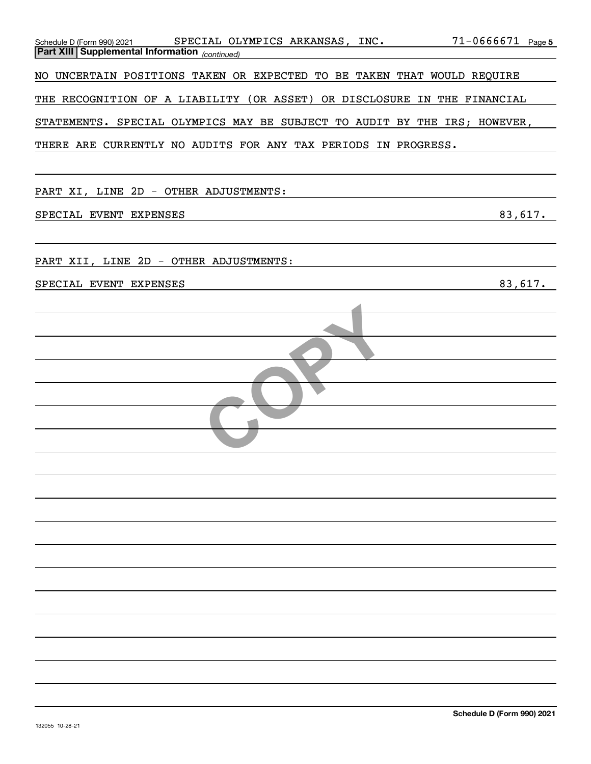| $71 - 0666671$ Page 5<br>SPECIAL OLYMPICS ARKANSAS, INC.<br>Schedule D (Form 990) 2021<br>Part XIII Supplemental Information (continued) |  |
|------------------------------------------------------------------------------------------------------------------------------------------|--|
| UNCERTAIN POSITIONS TAKEN OR EXPECTED TO BE TAKEN THAT WOULD REQUIRE<br>NO                                                               |  |
| THE RECOGNITION OF A LIABILITY (OR ASSET) OR DISCLOSURE IN THE FINANCIAL                                                                 |  |
| STATEMENTS. SPECIAL OLYMPICS MAY BE SUBJECT TO AUDIT BY THE IRS; HOWEVER,                                                                |  |
| THERE ARE CURRENTLY NO AUDITS FOR ANY TAX PERIODS IN PROGRESS.                                                                           |  |
|                                                                                                                                          |  |
| PART XI, LINE 2D - OTHER ADJUSTMENTS:                                                                                                    |  |
| 83,617.<br>SPECIAL EVENT EXPENSES                                                                                                        |  |
|                                                                                                                                          |  |
| PART XII, LINE 2D - OTHER ADJUSTMENTS:                                                                                                   |  |
| 83,617.<br>SPECIAL EVENT EXPENSES                                                                                                        |  |
|                                                                                                                                          |  |
|                                                                                                                                          |  |
|                                                                                                                                          |  |
|                                                                                                                                          |  |
|                                                                                                                                          |  |
|                                                                                                                                          |  |
|                                                                                                                                          |  |
|                                                                                                                                          |  |
|                                                                                                                                          |  |
|                                                                                                                                          |  |
|                                                                                                                                          |  |
|                                                                                                                                          |  |
|                                                                                                                                          |  |
|                                                                                                                                          |  |
|                                                                                                                                          |  |
|                                                                                                                                          |  |
|                                                                                                                                          |  |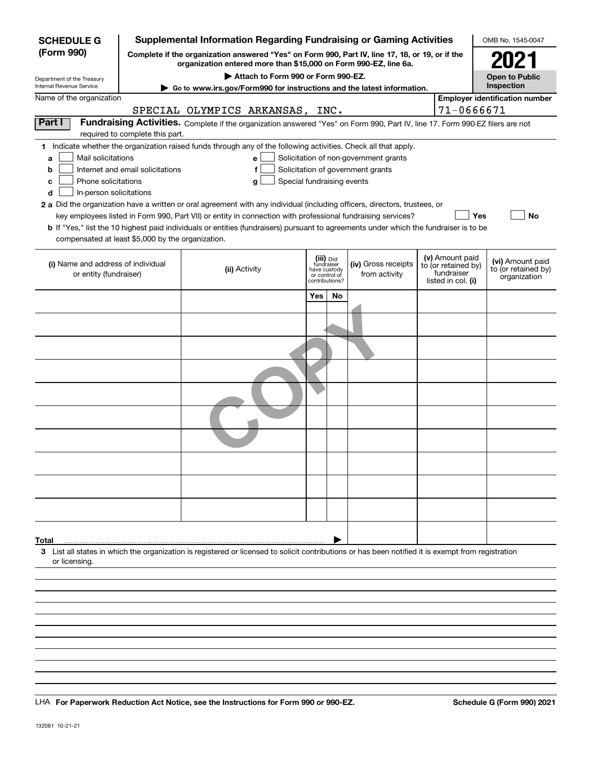| <b>SCHEDULE G</b>                                                                                                                                                                                                                                                                                                                                                                                                                                                                                                                              |                                                                                                                                                                  |                                                                                      |                                           |                                                                            |           | <b>Supplemental Information Regarding Fundraising or Gaming Activities</b>                                                                                                                |  |                                                                            | OMB No. 1545-0047                                       |  |
|------------------------------------------------------------------------------------------------------------------------------------------------------------------------------------------------------------------------------------------------------------------------------------------------------------------------------------------------------------------------------------------------------------------------------------------------------------------------------------------------------------------------------------------------|------------------------------------------------------------------------------------------------------------------------------------------------------------------|--------------------------------------------------------------------------------------|-------------------------------------------|----------------------------------------------------------------------------|-----------|-------------------------------------------------------------------------------------------------------------------------------------------------------------------------------------------|--|----------------------------------------------------------------------------|---------------------------------------------------------|--|
| (Form 990)                                                                                                                                                                                                                                                                                                                                                                                                                                                                                                                                     |                                                                                                                                                                  |                                                                                      |                                           |                                                                            |           | Complete if the organization answered "Yes" on Form 990, Part IV, line 17, 18, or 19, or if the<br>organization entered more than \$15,000 on Form 990-EZ, line 6a.                       |  |                                                                            | 2021                                                    |  |
| Department of the Treasury                                                                                                                                                                                                                                                                                                                                                                                                                                                                                                                     |                                                                                                                                                                  |                                                                                      | Attach to Form 990 or Form 990-EZ.        |                                                                            |           |                                                                                                                                                                                           |  |                                                                            | <b>Open to Public</b>                                   |  |
| <b>Internal Revenue Service</b>                                                                                                                                                                                                                                                                                                                                                                                                                                                                                                                |                                                                                                                                                                  | Inspection<br>Go to www.irs.gov/Form990 for instructions and the latest information. |                                           |                                                                            |           |                                                                                                                                                                                           |  |                                                                            |                                                         |  |
| Name of the organization                                                                                                                                                                                                                                                                                                                                                                                                                                                                                                                       |                                                                                                                                                                  |                                                                                      |                                           |                                                                            |           |                                                                                                                                                                                           |  |                                                                            | <b>Employer identification number</b>                   |  |
|                                                                                                                                                                                                                                                                                                                                                                                                                                                                                                                                                |                                                                                                                                                                  | SPECIAL OLYMPICS ARKANSAS, INC.                                                      |                                           |                                                                            |           |                                                                                                                                                                                           |  | 71-0666671                                                                 |                                                         |  |
| Part I                                                                                                                                                                                                                                                                                                                                                                                                                                                                                                                                         | Fundraising Activities. Complete if the organization answered "Yes" on Form 990, Part IV, line 17. Form 990-EZ filers are not<br>required to complete this part. |                                                                                      |                                           |                                                                            |           |                                                                                                                                                                                           |  |                                                                            |                                                         |  |
| 1 Indicate whether the organization raised funds through any of the following activities. Check all that apply.<br>Mail solicitations<br>a<br>b<br>Phone solicitations<br>с<br>In-person solicitations<br>d<br>2 a Did the organization have a written or oral agreement with any individual (including officers, directors, trustees, or<br><b>b</b> If "Yes," list the 10 highest paid individuals or entities (fundraisers) pursuant to agreements under which the fundraiser is to be<br>compensated at least \$5,000 by the organization. | Internet and email solicitations                                                                                                                                 |                                                                                      | e<br>f<br>Special fundraising events<br>g |                                                                            |           | Solicitation of non-government grants<br>Solicitation of government grants<br>key employees listed in Form 990, Part VII) or entity in connection with professional fundraising services? |  | Yes                                                                        | No                                                      |  |
| (i) Name and address of individual<br>or entity (fundraiser)                                                                                                                                                                                                                                                                                                                                                                                                                                                                                   |                                                                                                                                                                  | (ii) Activity                                                                        |                                           | (iii) Did<br>fundraiser<br>have custody<br>or control of<br>contributions? |           | (iv) Gross receipts<br>from activity                                                                                                                                                      |  | (v) Amount paid<br>to (or retained by)<br>fundraiser<br>listed in col. (i) | (vi) Amount paid<br>to (or retained by)<br>organization |  |
|                                                                                                                                                                                                                                                                                                                                                                                                                                                                                                                                                |                                                                                                                                                                  |                                                                                      |                                           | Yes                                                                        | <b>No</b> |                                                                                                                                                                                           |  |                                                                            |                                                         |  |
|                                                                                                                                                                                                                                                                                                                                                                                                                                                                                                                                                |                                                                                                                                                                  |                                                                                      |                                           |                                                                            |           |                                                                                                                                                                                           |  |                                                                            |                                                         |  |
|                                                                                                                                                                                                                                                                                                                                                                                                                                                                                                                                                |                                                                                                                                                                  |                                                                                      |                                           |                                                                            |           |                                                                                                                                                                                           |  |                                                                            |                                                         |  |
|                                                                                                                                                                                                                                                                                                                                                                                                                                                                                                                                                |                                                                                                                                                                  |                                                                                      |                                           |                                                                            |           |                                                                                                                                                                                           |  |                                                                            |                                                         |  |
|                                                                                                                                                                                                                                                                                                                                                                                                                                                                                                                                                |                                                                                                                                                                  |                                                                                      |                                           |                                                                            |           |                                                                                                                                                                                           |  |                                                                            |                                                         |  |
|                                                                                                                                                                                                                                                                                                                                                                                                                                                                                                                                                |                                                                                                                                                                  |                                                                                      |                                           |                                                                            |           |                                                                                                                                                                                           |  |                                                                            |                                                         |  |
|                                                                                                                                                                                                                                                                                                                                                                                                                                                                                                                                                |                                                                                                                                                                  |                                                                                      |                                           |                                                                            |           |                                                                                                                                                                                           |  |                                                                            |                                                         |  |
|                                                                                                                                                                                                                                                                                                                                                                                                                                                                                                                                                |                                                                                                                                                                  |                                                                                      |                                           |                                                                            |           |                                                                                                                                                                                           |  |                                                                            |                                                         |  |
|                                                                                                                                                                                                                                                                                                                                                                                                                                                                                                                                                |                                                                                                                                                                  |                                                                                      |                                           |                                                                            |           |                                                                                                                                                                                           |  |                                                                            |                                                         |  |
|                                                                                                                                                                                                                                                                                                                                                                                                                                                                                                                                                |                                                                                                                                                                  |                                                                                      |                                           |                                                                            |           |                                                                                                                                                                                           |  |                                                                            |                                                         |  |
| Total                                                                                                                                                                                                                                                                                                                                                                                                                                                                                                                                          |                                                                                                                                                                  |                                                                                      |                                           |                                                                            |           |                                                                                                                                                                                           |  |                                                                            |                                                         |  |
| 3 List all states in which the organization is registered or licensed to solicit contributions or has been notified it is exempt from registration<br>or licensing.                                                                                                                                                                                                                                                                                                                                                                            |                                                                                                                                                                  |                                                                                      |                                           |                                                                            |           |                                                                                                                                                                                           |  |                                                                            |                                                         |  |
|                                                                                                                                                                                                                                                                                                                                                                                                                                                                                                                                                |                                                                                                                                                                  |                                                                                      |                                           |                                                                            |           |                                                                                                                                                                                           |  |                                                                            |                                                         |  |
|                                                                                                                                                                                                                                                                                                                                                                                                                                                                                                                                                |                                                                                                                                                                  |                                                                                      |                                           |                                                                            |           |                                                                                                                                                                                           |  |                                                                            |                                                         |  |

LHA For Paperwork Reduction Act Notice, see the Instructions for Form 990 or 990-EZ. Schedule G (Form 990) 2021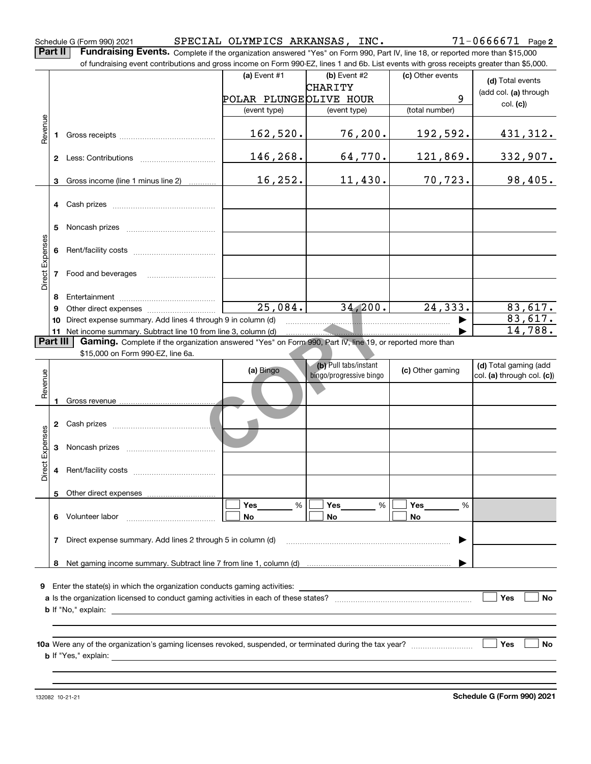Schedule G (Form 990) 2021 SPECIAL OLYMPICS ARKANSAS , INC 71-0666671 Page

**2**

**Part II Fundraising Events.** Complete if the organization answered "Yes" on Form 990, Part IV, line 18, or reported more than \$15,000<br>15.000 of fundraising event contributions and gross income on Form 990-EZ. lines 1 an of fundraising event contributions and gross income on Form 990-EZ, lines 1 and 6b. List events with gross receipts greater than \$5,000.

|                 |              |                                                                                                          | (a) Event $#1$         | (b) Event #2            | (c) Other events | (d) Total events      |
|-----------------|--------------|----------------------------------------------------------------------------------------------------------|------------------------|-------------------------|------------------|-----------------------|
|                 |              |                                                                                                          |                        | CHARITY                 |                  | (add col. (a) through |
|                 |              |                                                                                                          | POLAR PLUNGEOLIVE HOUR |                         | 9                | col. (c)              |
|                 |              |                                                                                                          | (event type)           | (event type)            | (total number)   |                       |
|                 |              |                                                                                                          |                        |                         |                  |                       |
| Revenue         |              |                                                                                                          | 162,520.               | 76, 200.                | 192,592.         | 431,312.              |
|                 |              |                                                                                                          |                        |                         |                  |                       |
|                 | $\mathbf{2}$ | Less: Contributions                                                                                      | 146,268.               | 64,770.                 | 121,869.         | 332,907.              |
|                 |              |                                                                                                          |                        |                         |                  |                       |
|                 | 3            | Gross income (line 1 minus line 2)                                                                       | 16, 252.               | 11,430.                 | 70, 723.         | 98,405.               |
|                 |              |                                                                                                          |                        |                         |                  |                       |
|                 |              |                                                                                                          |                        |                         |                  |                       |
|                 |              |                                                                                                          |                        |                         |                  |                       |
|                 | 5            | Noncash prizes                                                                                           |                        |                         |                  |                       |
|                 |              |                                                                                                          |                        |                         |                  |                       |
|                 | 6            |                                                                                                          |                        |                         |                  |                       |
| Direct Expenses |              | Food and beverages                                                                                       |                        |                         |                  |                       |
|                 |              |                                                                                                          |                        |                         |                  |                       |
|                 | 8            |                                                                                                          |                        |                         |                  |                       |
|                 | 9            | Other direct expenses <i>mummummum</i>                                                                   | 25,084.                | 34,200.                 | 24, 333.         | 83,617.               |
|                 | 10           | Direct expense summary. Add lines 4 through 9 in column (d)                                              |                        |                         |                  | 83,617.               |
|                 | 11           | Net income summary. Subtract line 10 from line 3, column (d)                                             |                        |                         |                  | 14,788.               |
| <b>Part III</b> |              | Gaming. Complete if the organization answered "Yes" on Form 990, Part IV, line 19, or reported more than |                        |                         |                  |                       |
|                 |              | \$15,000 on Form 990-EZ, line 6a.                                                                        |                        |                         |                  |                       |
|                 |              |                                                                                                          |                        | (b) Pull tabs/instant   |                  | (d) Total gaming (add |
| 의               |              |                                                                                                          | (a) Bingo              | hingo/prograppivo hingo | (c) Other gaming |                       |

|                 | 9               |                                                                                                          | 25,084.        |  | 34, 200.                                         |  | 24,333.               | 83,617.                                             |  |  |
|-----------------|-----------------|----------------------------------------------------------------------------------------------------------|----------------|--|--------------------------------------------------|--|-----------------------|-----------------------------------------------------|--|--|
|                 | 10              | 83,617.<br>Direct expense summary. Add lines 4 through 9 in column (d)                                   |                |  |                                                  |  |                       |                                                     |  |  |
|                 |                 |                                                                                                          |                |  |                                                  |  |                       | 14,788.                                             |  |  |
|                 | <b>Part III</b> | Gaming. Complete if the organization answered "Yes" on Form 990, Part IV, line 19, or reported more than |                |  |                                                  |  |                       |                                                     |  |  |
|                 |                 | \$15,000 on Form 990-EZ, line 6a.                                                                        |                |  |                                                  |  |                       |                                                     |  |  |
|                 |                 |                                                                                                          | (a) Bingo      |  | (b) Pull tabs/instant<br>bingo/progressive bingo |  | (c) Other gaming      | (d) Total gaming (add<br>col. (a) through col. (c)) |  |  |
| Revenue         | 1               |                                                                                                          |                |  |                                                  |  |                       |                                                     |  |  |
|                 |                 |                                                                                                          |                |  |                                                  |  |                       |                                                     |  |  |
| Direct Expenses | 3               |                                                                                                          |                |  |                                                  |  |                       |                                                     |  |  |
|                 | 4               |                                                                                                          |                |  |                                                  |  |                       |                                                     |  |  |
|                 | 5.              |                                                                                                          |                |  |                                                  |  |                       |                                                     |  |  |
|                 |                 |                                                                                                          | %<br><b>No</b> |  | Yes<br>%<br><b>No</b>                            |  | Yes<br>%<br><b>No</b> |                                                     |  |  |
|                 | 7               |                                                                                                          |                |  |                                                  |  | ▶                     |                                                     |  |  |
|                 | 8               |                                                                                                          |                |  |                                                  |  |                       |                                                     |  |  |
|                 |                 |                                                                                                          |                |  |                                                  |  |                       |                                                     |  |  |
| 9               |                 | Enter the state(s) in which the organization conducts gaming activities:                                 |                |  |                                                  |  |                       |                                                     |  |  |
|                 |                 |                                                                                                          |                |  |                                                  |  |                       | Yes<br><b>No</b>                                    |  |  |
|                 |                 |                                                                                                          |                |  |                                                  |  |                       |                                                     |  |  |
|                 |                 |                                                                                                          |                |  |                                                  |  |                       |                                                     |  |  |
|                 |                 |                                                                                                          |                |  |                                                  |  |                       | <b>No</b><br>Yes                                    |  |  |
|                 |                 |                                                                                                          |                |  |                                                  |  |                       |                                                     |  |  |
|                 |                 |                                                                                                          |                |  |                                                  |  |                       |                                                     |  |  |
|                 |                 |                                                                                                          |                |  |                                                  |  |                       |                                                     |  |  |
|                 |                 |                                                                                                          |                |  |                                                  |  |                       |                                                     |  |  |

132082 10-21-21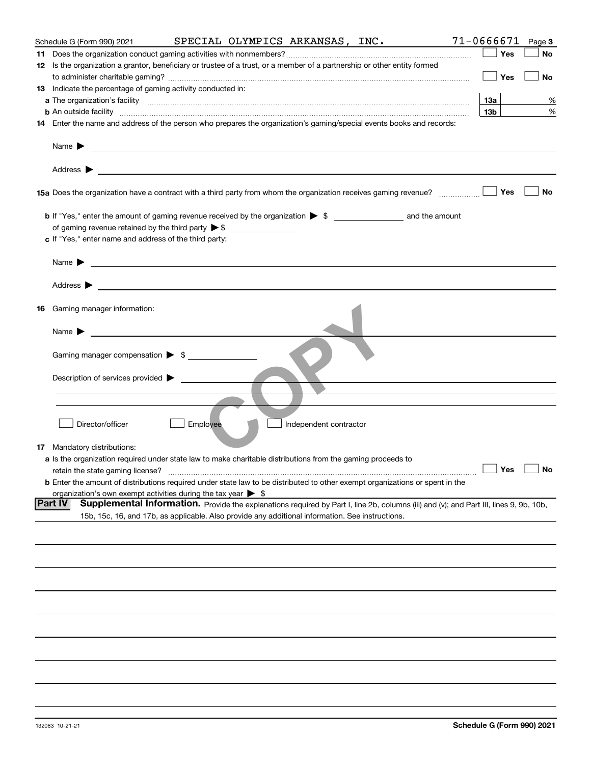|          | Schedule G (Form 990) 2021                                                                                                                                                                                                                |          |                        | SPECIAL OLYMPICS ARKANSAS, INC. | $71 - 0666671$ Page 3                                                                                                                  |
|----------|-------------------------------------------------------------------------------------------------------------------------------------------------------------------------------------------------------------------------------------------|----------|------------------------|---------------------------------|----------------------------------------------------------------------------------------------------------------------------------------|
| 11       |                                                                                                                                                                                                                                           |          |                        |                                 | Yes<br>No                                                                                                                              |
|          | 12 Is the organization a grantor, beneficiary or trustee of a trust, or a member of a partnership or other entity formed                                                                                                                  |          |                        |                                 |                                                                                                                                        |
|          |                                                                                                                                                                                                                                           |          |                        |                                 | Yes<br>No                                                                                                                              |
|          | 13 Indicate the percentage of gaming activity conducted in:                                                                                                                                                                               |          |                        |                                 |                                                                                                                                        |
|          |                                                                                                                                                                                                                                           |          |                        |                                 | 13a  <br>%                                                                                                                             |
|          | <b>b</b> An outside facility <b>contained a contract and a contract of the contract of the contract of the contract of the contract of the contract of the contract of the contract of the contract of the contract of the contract o</b> |          |                        |                                 | 13 <sub>b</sub><br>%                                                                                                                   |
|          | 14 Enter the name and address of the person who prepares the organization's gaming/special events books and records:                                                                                                                      |          |                        |                                 |                                                                                                                                        |
|          | Name $\blacktriangleright$ $\frac{\blacktriangleright}{\color{red}1}$                                                                                                                                                                     |          |                        |                                 |                                                                                                                                        |
|          |                                                                                                                                                                                                                                           |          |                        |                                 |                                                                                                                                        |
|          |                                                                                                                                                                                                                                           |          |                        |                                 | No                                                                                                                                     |
|          | <b>b</b> If "Yes," enter the amount of gaming revenue received by the organization $\triangleright$ \$                                                                                                                                    |          |                        |                                 |                                                                                                                                        |
|          |                                                                                                                                                                                                                                           |          |                        |                                 |                                                                                                                                        |
|          | c If "Yes," enter name and address of the third party:                                                                                                                                                                                    |          |                        |                                 |                                                                                                                                        |
|          |                                                                                                                                                                                                                                           |          |                        |                                 |                                                                                                                                        |
|          | Name $\blacktriangleright$ $\qquad \qquad$                                                                                                                                                                                                |          |                        |                                 |                                                                                                                                        |
|          | Address <b>Department of the Contract Contract Contract Contract Contract Contract Contract Contract Contract Contract Contract Contract Contract Contract Contract Contract Contract Contract Contract Contract Contract Contra</b>      |          |                        |                                 |                                                                                                                                        |
|          | 16 Gaming manager information:                                                                                                                                                                                                            |          |                        |                                 |                                                                                                                                        |
|          | Name $\blacktriangleright$ $\lrcorner$                                                                                                                                                                                                    |          |                        |                                 |                                                                                                                                        |
|          |                                                                                                                                                                                                                                           |          |                        |                                 |                                                                                                                                        |
|          | Gaming manager compensation > \$                                                                                                                                                                                                          |          |                        |                                 |                                                                                                                                        |
|          | Description of services provided $\blacktriangleright$                                                                                                                                                                                    |          |                        |                                 |                                                                                                                                        |
|          |                                                                                                                                                                                                                                           |          |                        |                                 |                                                                                                                                        |
|          |                                                                                                                                                                                                                                           |          |                        |                                 |                                                                                                                                        |
|          |                                                                                                                                                                                                                                           |          |                        |                                 |                                                                                                                                        |
|          | Director/officer                                                                                                                                                                                                                          | Employee | Independent contractor |                                 |                                                                                                                                        |
|          | 17 Mandatory distributions:                                                                                                                                                                                                               |          |                        |                                 |                                                                                                                                        |
|          | a Is the organization required under state law to make charitable distributions from the gaming proceeds to                                                                                                                               |          |                        |                                 |                                                                                                                                        |
|          | retain the state gaming license?                                                                                                                                                                                                          |          |                        |                                 | $\Box$ Yes<br>$\Box$ No                                                                                                                |
|          | <b>b</b> Enter the amount of distributions required under state law to be distributed to other exempt organizations or spent in the                                                                                                       |          |                        |                                 |                                                                                                                                        |
| ∣Part IV | organization's own exempt activities during the tax year $\triangleright$ \$                                                                                                                                                              |          |                        |                                 | Supplemental Information. Provide the explanations required by Part I, line 2b, columns (iii) and (v); and Part III, lines 9, 9b, 10b, |
|          | 15b, 15c, 16, and 17b, as applicable. Also provide any additional information. See instructions.                                                                                                                                          |          |                        |                                 |                                                                                                                                        |
|          |                                                                                                                                                                                                                                           |          |                        |                                 |                                                                                                                                        |
|          |                                                                                                                                                                                                                                           |          |                        |                                 |                                                                                                                                        |
|          |                                                                                                                                                                                                                                           |          |                        |                                 |                                                                                                                                        |
|          |                                                                                                                                                                                                                                           |          |                        |                                 |                                                                                                                                        |
|          |                                                                                                                                                                                                                                           |          |                        |                                 |                                                                                                                                        |
|          |                                                                                                                                                                                                                                           |          |                        |                                 |                                                                                                                                        |
|          |                                                                                                                                                                                                                                           |          |                        |                                 |                                                                                                                                        |
|          |                                                                                                                                                                                                                                           |          |                        |                                 |                                                                                                                                        |
|          |                                                                                                                                                                                                                                           |          |                        |                                 |                                                                                                                                        |
|          |                                                                                                                                                                                                                                           |          |                        |                                 |                                                                                                                                        |
|          |                                                                                                                                                                                                                                           |          |                        |                                 |                                                                                                                                        |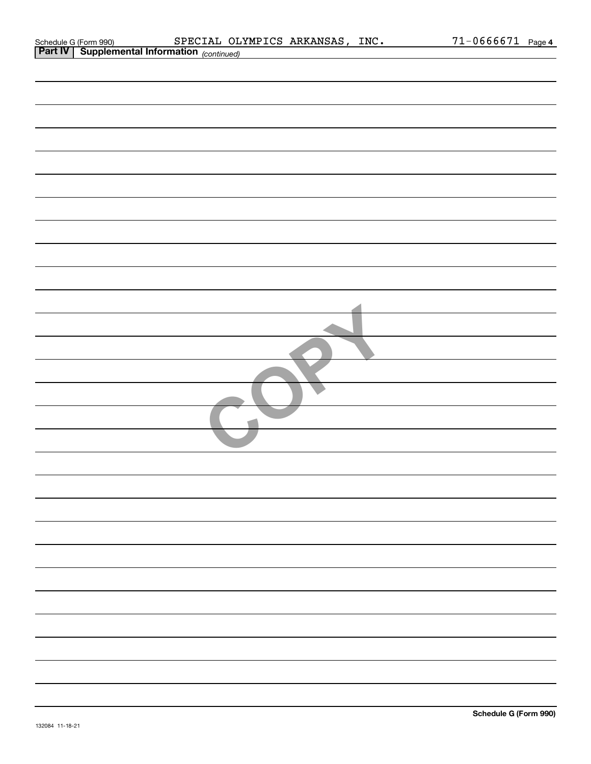|  |  | Schedule G (Form 990) |  |
|--|--|-----------------------|--|
|  |  |                       |  |

| <b>Part IV   Supplemental Information</b> (continued) |
|-------------------------------------------------------|
|                                                       |
|                                                       |
|                                                       |
|                                                       |
|                                                       |
|                                                       |
|                                                       |
|                                                       |
|                                                       |
|                                                       |
|                                                       |
|                                                       |
|                                                       |
|                                                       |
|                                                       |
|                                                       |
|                                                       |
|                                                       |
|                                                       |
|                                                       |
|                                                       |
|                                                       |
|                                                       |
|                                                       |
|                                                       |
|                                                       |
|                                                       |
|                                                       |